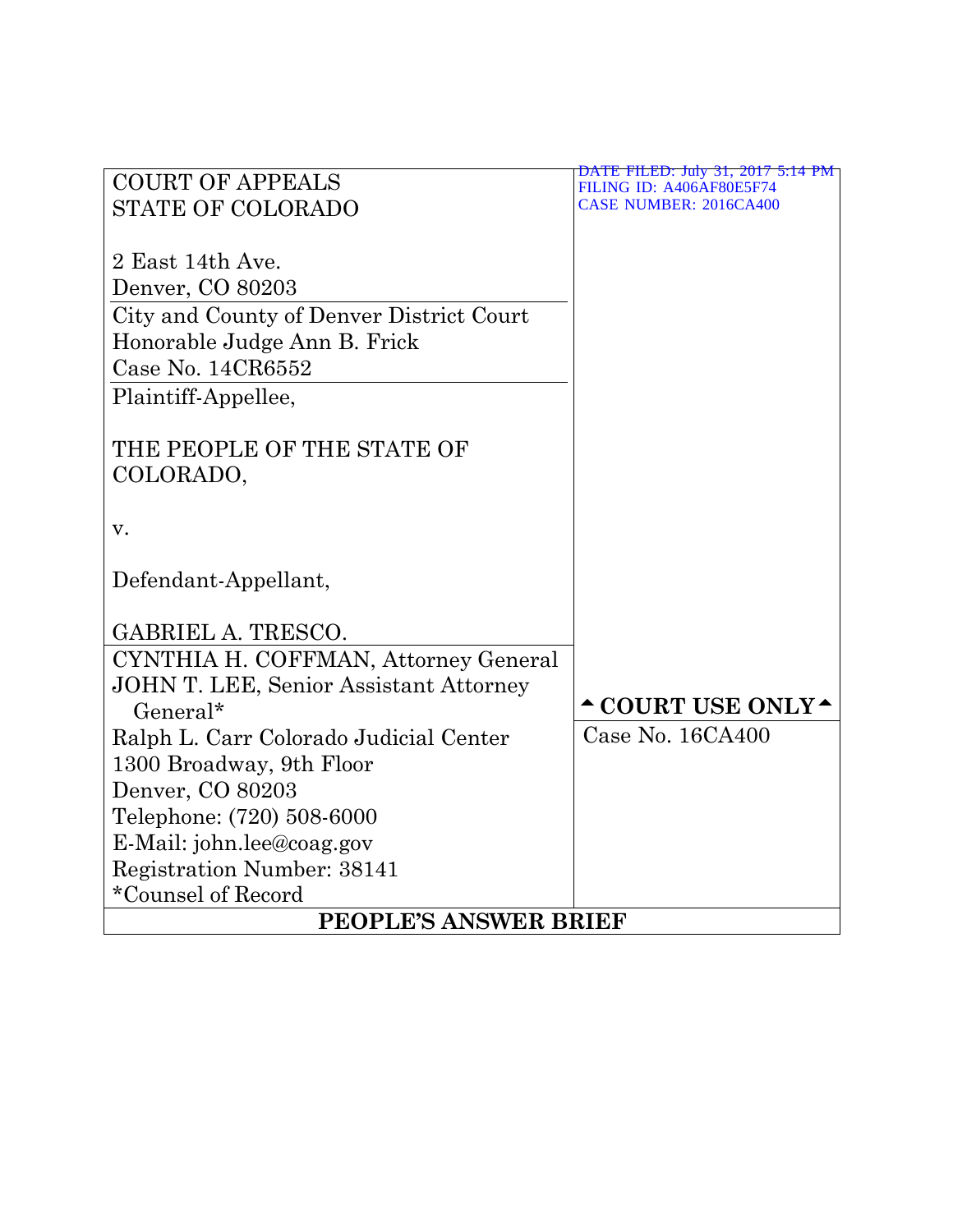| <b>COURT OF APPEALS</b><br>FILING ID: A406AF80E5F74<br><b>CASE NUMBER: 2016CA400</b><br><b>STATE OF COLORADO</b><br>2 East 14th Ave.<br>Denver, CO 80203<br>City and County of Denver District Court<br>Honorable Judge Ann B. Frick<br>Case No. 14CR6552 |  |  |  |  |
|-----------------------------------------------------------------------------------------------------------------------------------------------------------------------------------------------------------------------------------------------------------|--|--|--|--|
|                                                                                                                                                                                                                                                           |  |  |  |  |
|                                                                                                                                                                                                                                                           |  |  |  |  |
|                                                                                                                                                                                                                                                           |  |  |  |  |
|                                                                                                                                                                                                                                                           |  |  |  |  |
|                                                                                                                                                                                                                                                           |  |  |  |  |
|                                                                                                                                                                                                                                                           |  |  |  |  |
|                                                                                                                                                                                                                                                           |  |  |  |  |
|                                                                                                                                                                                                                                                           |  |  |  |  |
| Plaintiff-Appellee,                                                                                                                                                                                                                                       |  |  |  |  |
|                                                                                                                                                                                                                                                           |  |  |  |  |
| THE PEOPLE OF THE STATE OF                                                                                                                                                                                                                                |  |  |  |  |
| COLORADO,                                                                                                                                                                                                                                                 |  |  |  |  |
|                                                                                                                                                                                                                                                           |  |  |  |  |
| V.                                                                                                                                                                                                                                                        |  |  |  |  |
|                                                                                                                                                                                                                                                           |  |  |  |  |
| Defendant-Appellant,                                                                                                                                                                                                                                      |  |  |  |  |
|                                                                                                                                                                                                                                                           |  |  |  |  |
| <b>GABRIEL A. TRESCO.</b>                                                                                                                                                                                                                                 |  |  |  |  |
| CYNTHIA H. COFFMAN, Attorney General                                                                                                                                                                                                                      |  |  |  |  |
| <b>JOHN T. LEE, Senior Assistant Attorney</b>                                                                                                                                                                                                             |  |  |  |  |
| $\triangle$ COURT USE ONLY $\triangle$<br>$General*$                                                                                                                                                                                                      |  |  |  |  |
| Case No. 16CA400<br>Ralph L. Carr Colorado Judicial Center                                                                                                                                                                                                |  |  |  |  |
| 1300 Broadway, 9th Floor                                                                                                                                                                                                                                  |  |  |  |  |
| Denver, CO 80203                                                                                                                                                                                                                                          |  |  |  |  |
| Telephone: (720) 508-6000                                                                                                                                                                                                                                 |  |  |  |  |
| E-Mail: john.lee@coag.gov                                                                                                                                                                                                                                 |  |  |  |  |
| <b>Registration Number: 38141</b>                                                                                                                                                                                                                         |  |  |  |  |
| *Counsel of Record                                                                                                                                                                                                                                        |  |  |  |  |
| <b>PEOPLE'S ANSWER BRIEF</b>                                                                                                                                                                                                                              |  |  |  |  |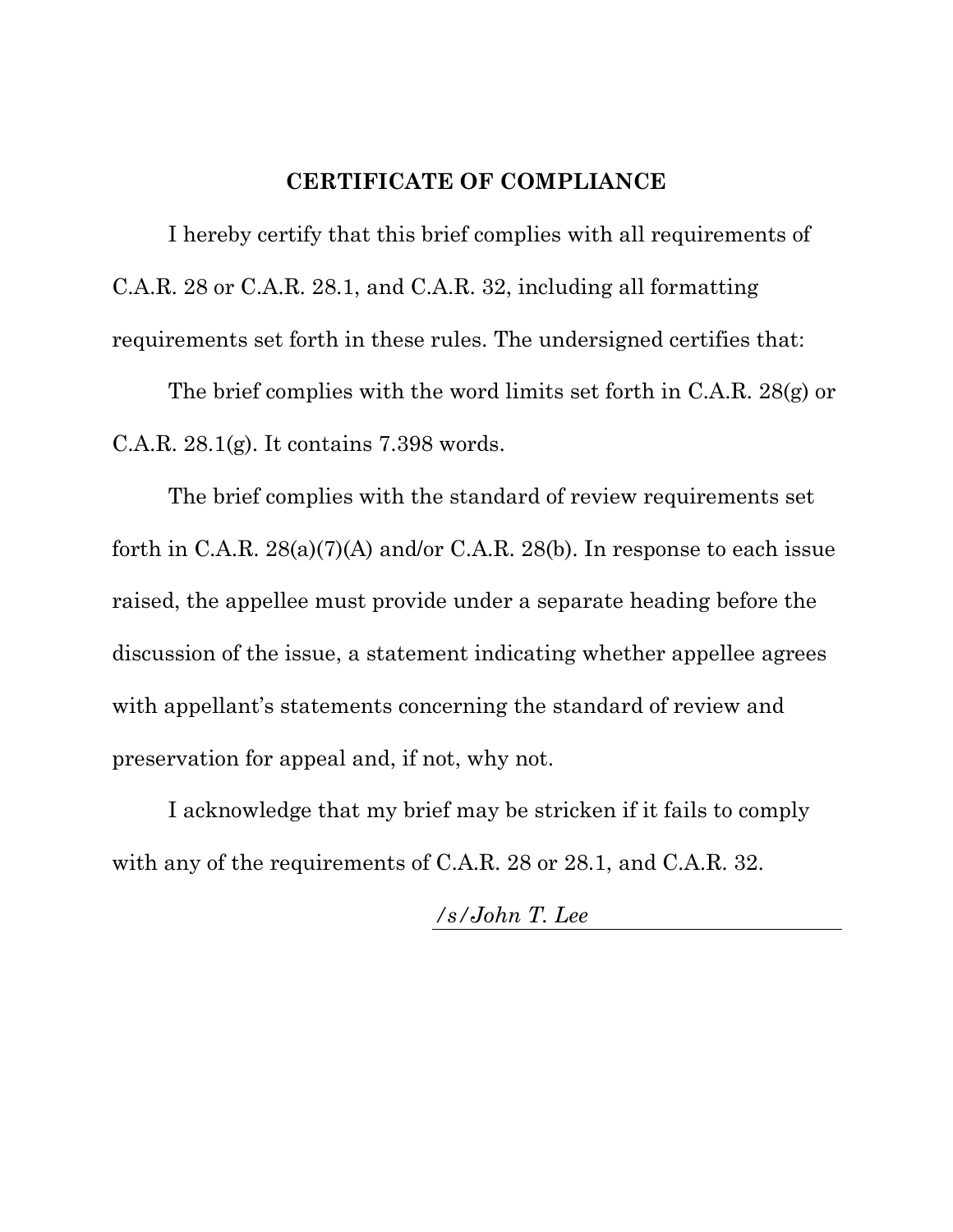#### **CERTIFICATE OF COMPLIANCE**

I hereby certify that this brief complies with all requirements of C.A.R. 28 or C.A.R. 28.1, and C.A.R. 32, including all formatting requirements set forth in these rules. The undersigned certifies that:

The brief complies with the word limits set forth in C.A.R. 28(g) or C.A.R. 28.1(g). It contains 7.398 words.

The brief complies with the standard of review requirements set forth in C.A.R. 28(a)(7)(A) and/or C.A.R. 28(b). In response to each issue raised, the appellee must provide under a separate heading before the discussion of the issue, a statement indicating whether appellee agrees with appellant's statements concerning the standard of review and preservation for appeal and, if not, why not.

I acknowledge that my brief may be stricken if it fails to comply with any of the requirements of C.A.R. 28 or 28.1, and C.A.R. 32.

*/s/John T. Lee*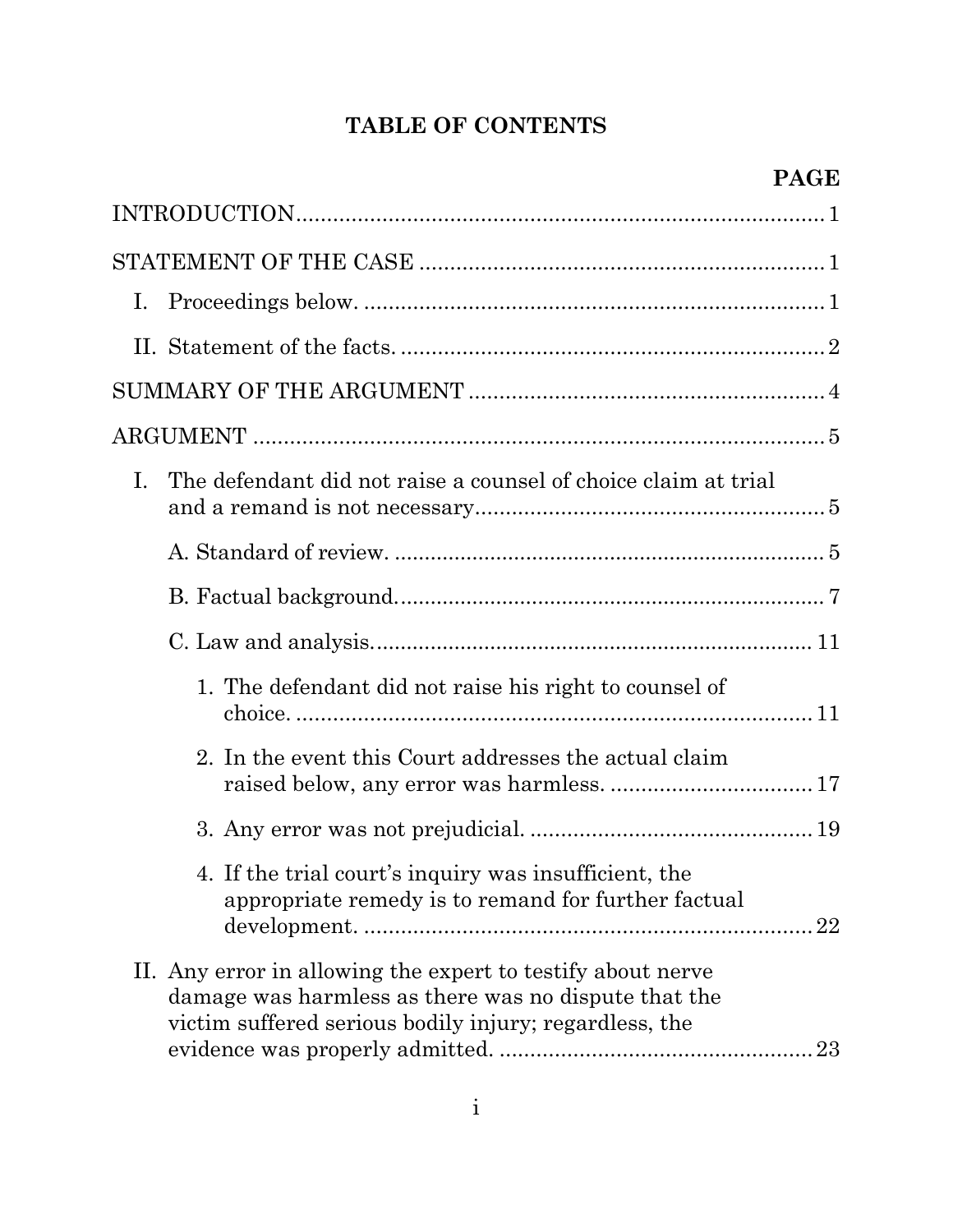# **TABLE OF CONTENTS**

| Ι. |                                                                                                                                                                               |
|----|-------------------------------------------------------------------------------------------------------------------------------------------------------------------------------|
|    |                                                                                                                                                                               |
|    |                                                                                                                                                                               |
|    |                                                                                                                                                                               |
| Ι. | The defendant did not raise a counsel of choice claim at trial                                                                                                                |
|    |                                                                                                                                                                               |
|    |                                                                                                                                                                               |
|    |                                                                                                                                                                               |
|    | 1. The defendant did not raise his right to counsel of                                                                                                                        |
|    | 2. In the event this Court addresses the actual claim                                                                                                                         |
|    |                                                                                                                                                                               |
|    | 4. If the trial court's inquiry was insufficient, the<br>appropriate remedy is to remand for further factual<br>22                                                            |
|    | II. Any error in allowing the expert to testify about nerve<br>damage was harmless as there was no dispute that the<br>victim suffered serious bodily injury; regardless, the |
|    |                                                                                                                                                                               |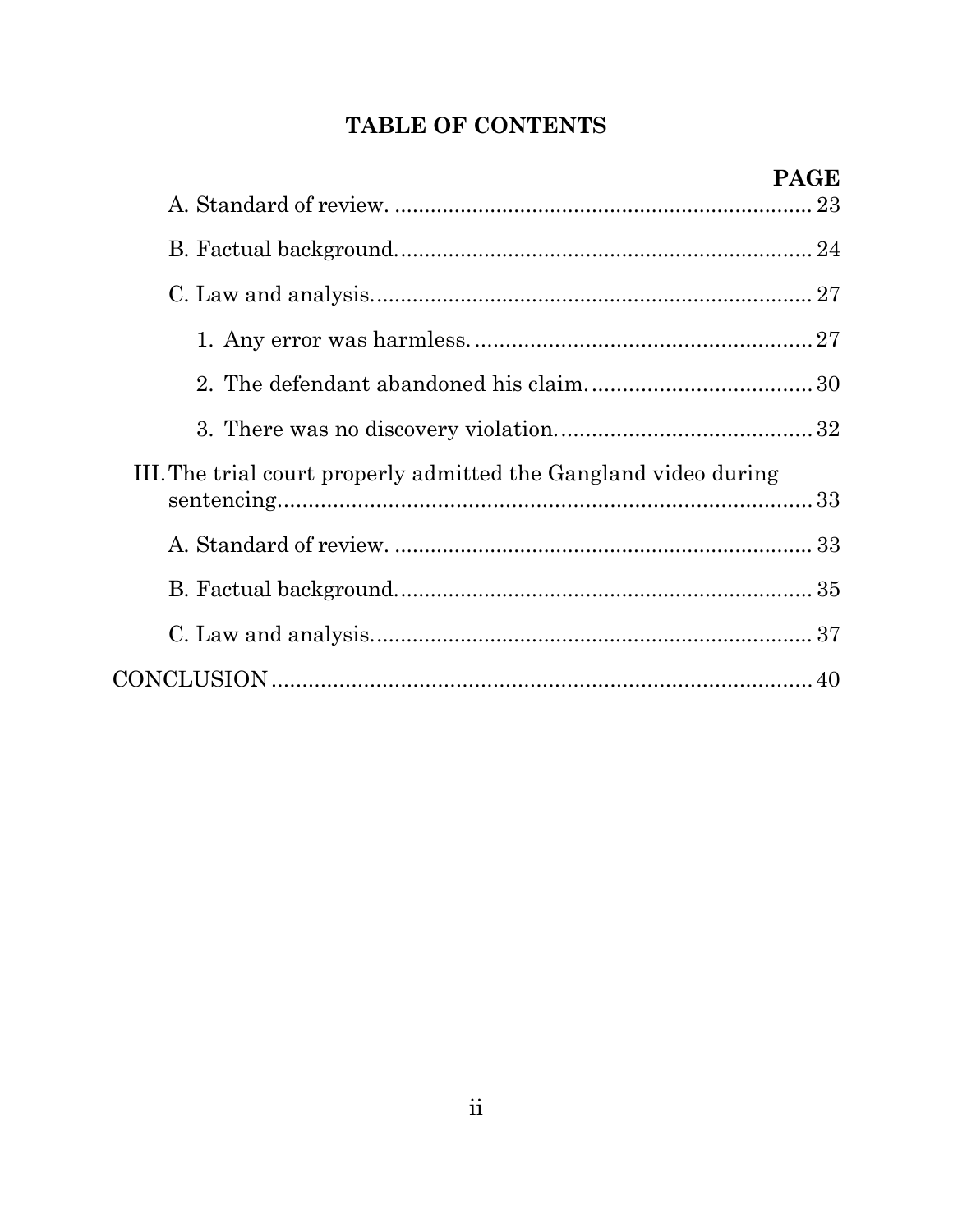# TABLE OF CONTENTS

| III. The trial court properly admitted the Gangland video during |  |
|------------------------------------------------------------------|--|
|                                                                  |  |
|                                                                  |  |
|                                                                  |  |
|                                                                  |  |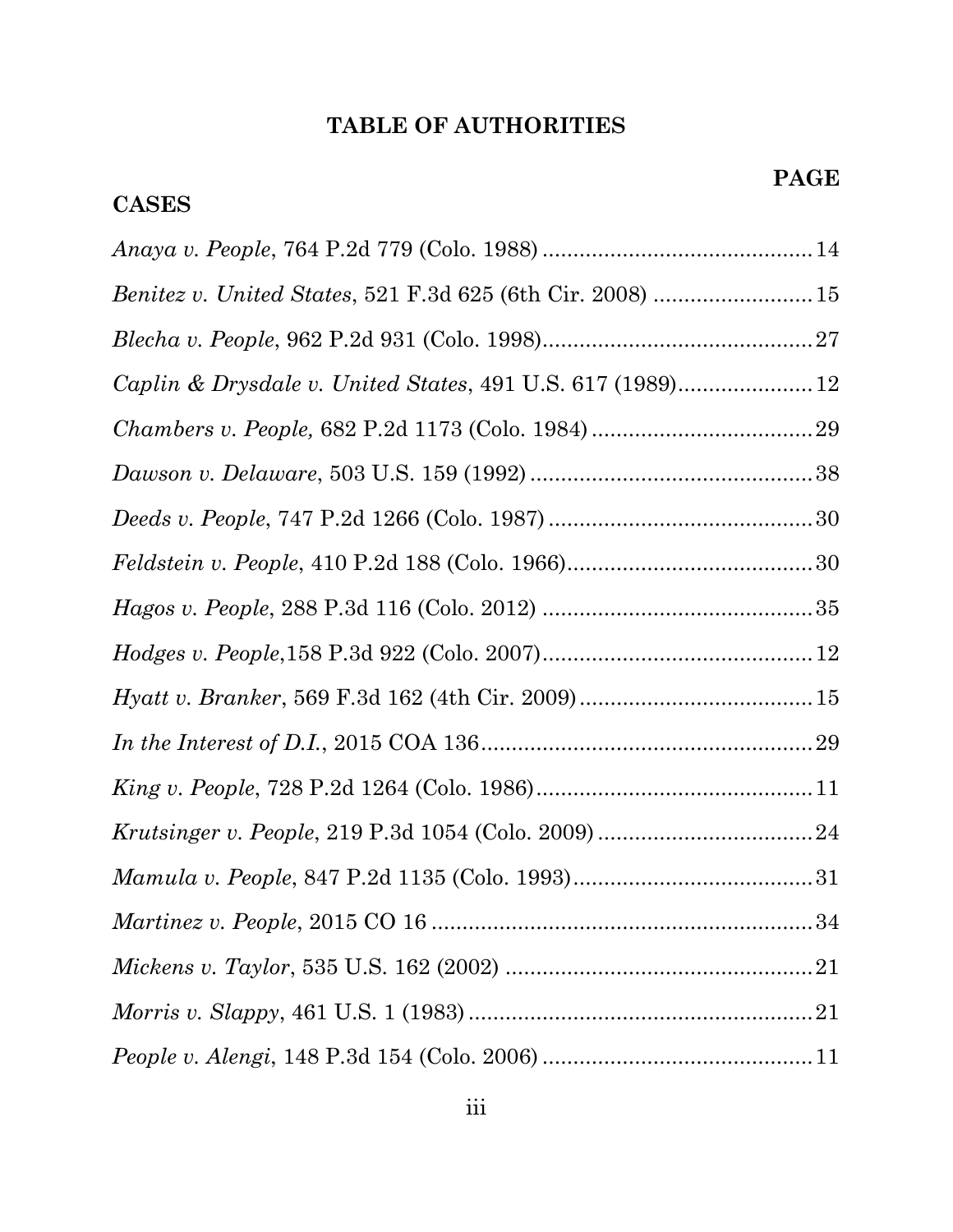**CASES**

# *Anaya v. People*, 764 P.2d 779 (Colo. 1988) ............................................14 *Benitez v. United States*, 521 F.3d 625 (6th Cir. 2008) ..........................15 *Blecha v. People*, 962 P.2d 931 (Colo. 1998)............................................27 *Caplin & Drysdale v. United States*, 491 U.S. 617 (1989)......................12 *Chambers v. People,* 682 P.2d 1173 (Colo. 1984)....................................29 *Dawson v. Delaware*, 503 U.S. 159 (1992)..............................................38 *Deeds v. People*, 747 P.2d 1266 (Colo. 1987)...........................................30 *Feldstein v. People*, 410 P.2d 188 (Colo. 1966)........................................30 *Hagos v. People*, 288 P.3d 116 (Colo. 2012) ............................................35 *Hodges v. People*,158 P.3d 922 (Colo. 2007)............................................12 *Hyatt v. Branker*, 569 F.3d 162 (4th Cir. 2009)......................................15 *In the Interest of D.I.*, 2015 COA 136......................................................29 *King v. People*, 728 P.2d 1264 (Colo. 1986).............................................11 *Krutsinger v. People*, 219 P.3d 1054 (Colo. 2009)...................................24 *Mamula v. People*, 847 P.2d 1135 (Colo. 1993).......................................31 *Martinez v. People*, 2015 CO 16 ..............................................................34 *Mickens v. Taylor*, 535 U.S. 162 (2002) ..................................................21 *Morris v. Slappy*, 461 U.S. 1 (1983)........................................................21 *People v. Alengi*, 148 P.3d 154 (Colo. 2006) ............................................11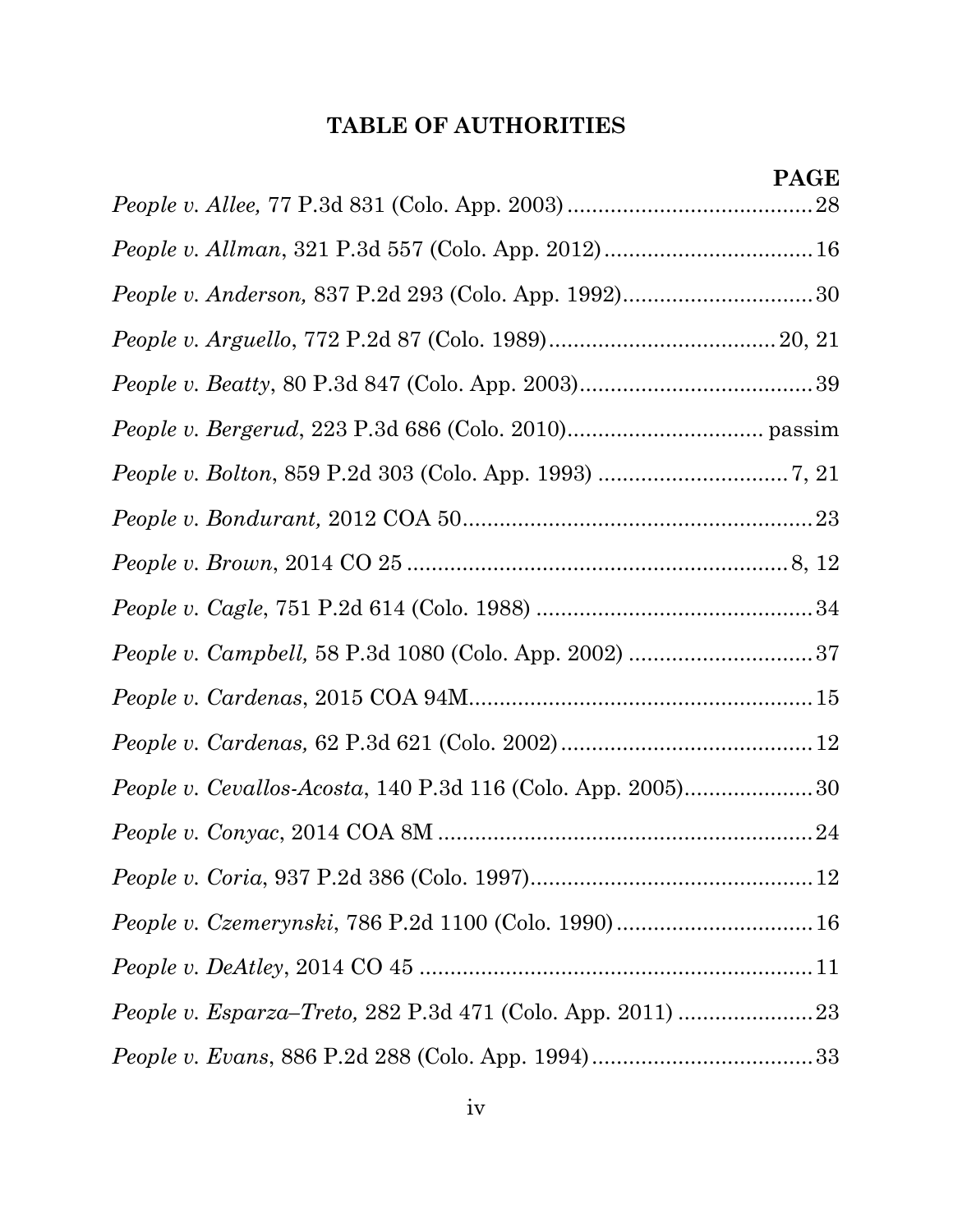| People v. Anderson, 837 P.2d 293 (Colo. App. 1992)30 |  |
|------------------------------------------------------|--|
|                                                      |  |
|                                                      |  |
|                                                      |  |
|                                                      |  |
|                                                      |  |
|                                                      |  |
|                                                      |  |
|                                                      |  |
|                                                      |  |
|                                                      |  |
|                                                      |  |
|                                                      |  |
|                                                      |  |
|                                                      |  |
|                                                      |  |
|                                                      |  |
|                                                      |  |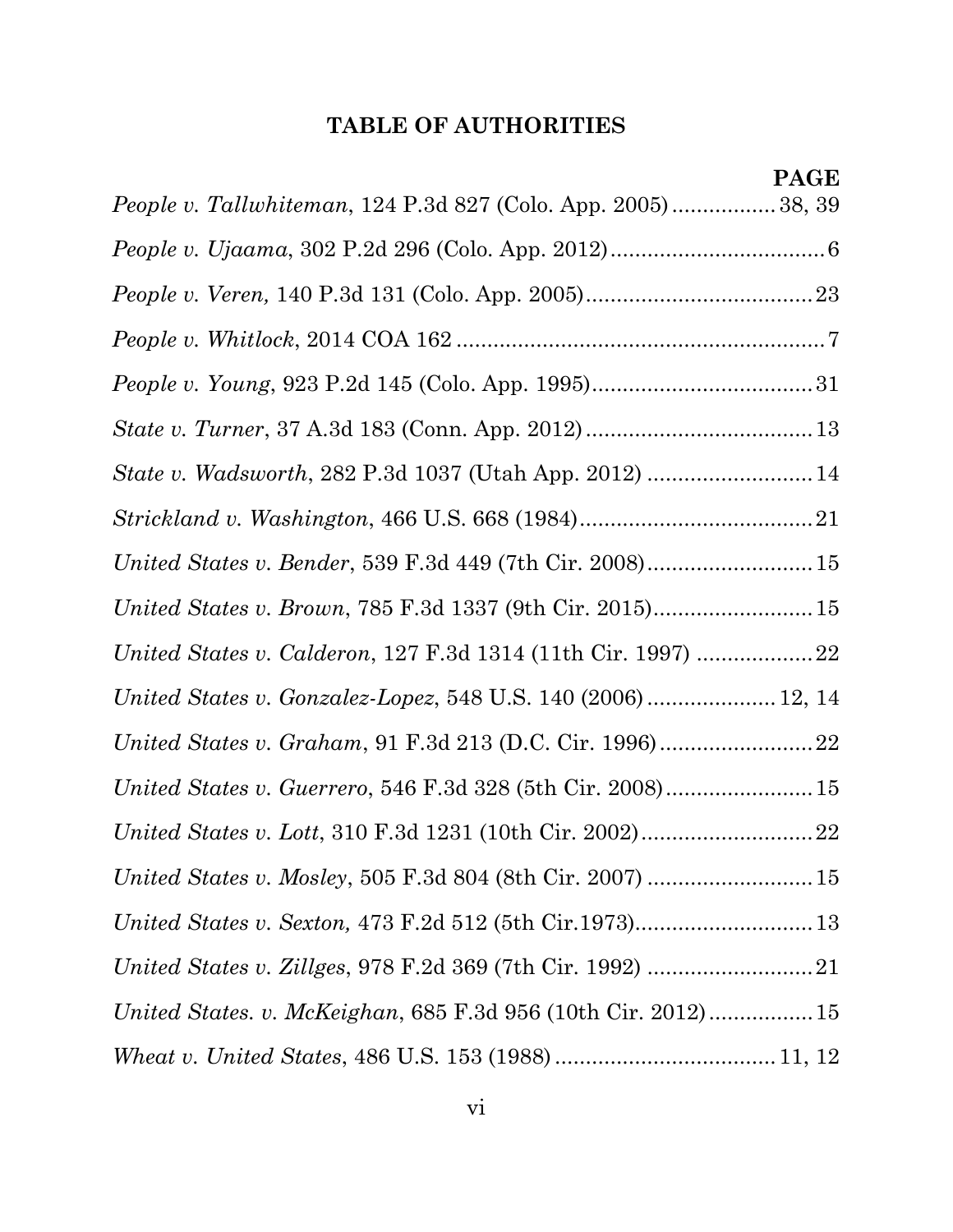| <i>People v. Tallwhiteman, 124 P.3d 827 (Colo. App. 2005)</i> 38, 39 |
|----------------------------------------------------------------------|
|                                                                      |
|                                                                      |
|                                                                      |
|                                                                      |
|                                                                      |
| State v. Wadsworth, 282 P.3d 1037 (Utah App. 2012)  14               |
|                                                                      |
| United States v. Bender, 539 F.3d 449 (7th Cir. 2008) 15             |
| United States v. Brown, 785 F.3d 1337 (9th Cir. 2015)15              |
|                                                                      |
| United States v. Gonzalez-Lopez, 548 U.S. 140 (2006)  12, 14         |
| United States v. Graham, 91 F.3d 213 (D.C. Cir. 1996)22              |
|                                                                      |
|                                                                      |
|                                                                      |
|                                                                      |
|                                                                      |
| United States. v. McKeighan, 685 F.3d 956 (10th Cir. 2012) 15        |
|                                                                      |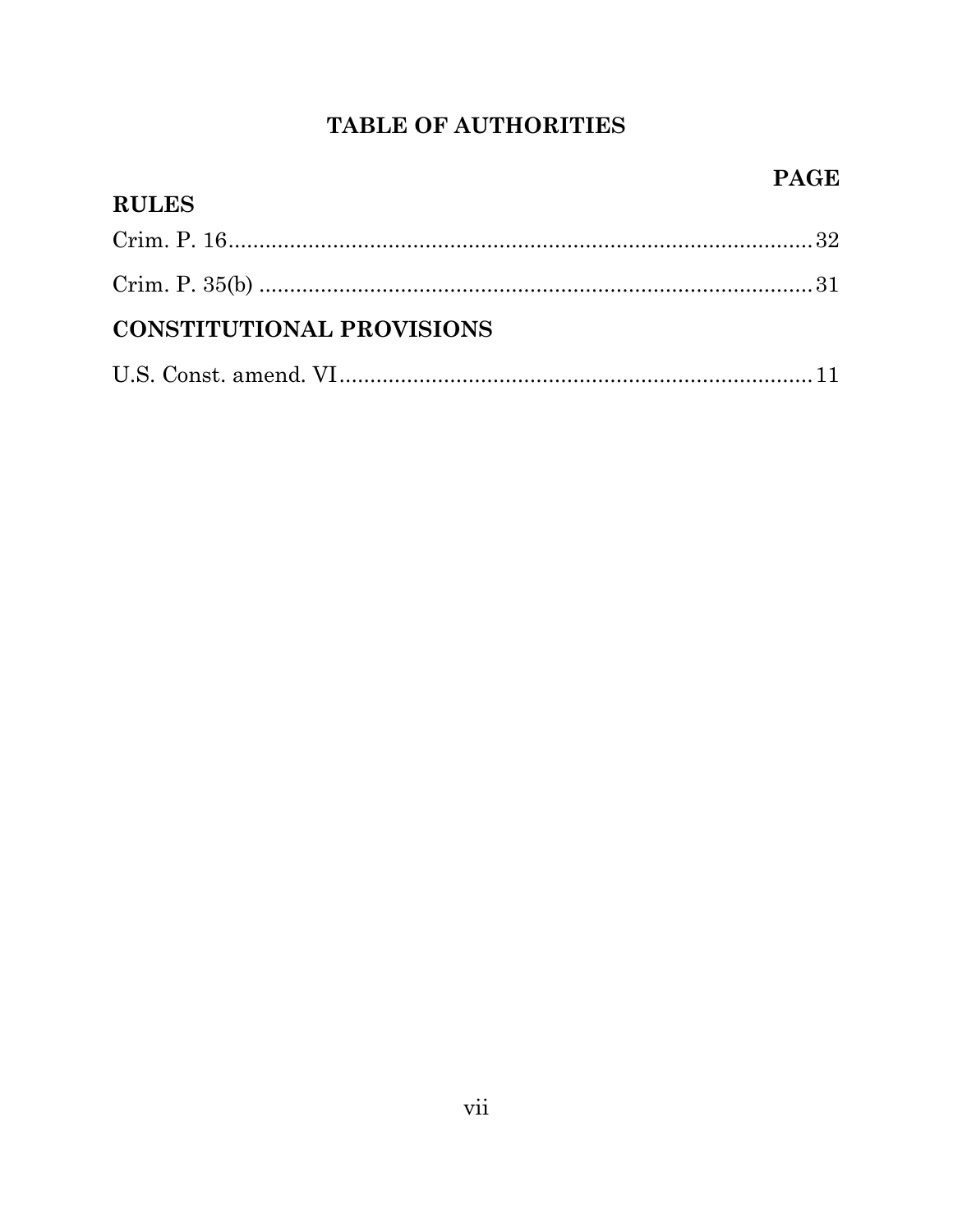| <b>RULES</b>                     |  |
|----------------------------------|--|
|                                  |  |
|                                  |  |
| <b>CONSTITUTIONAL PROVISIONS</b> |  |
|                                  |  |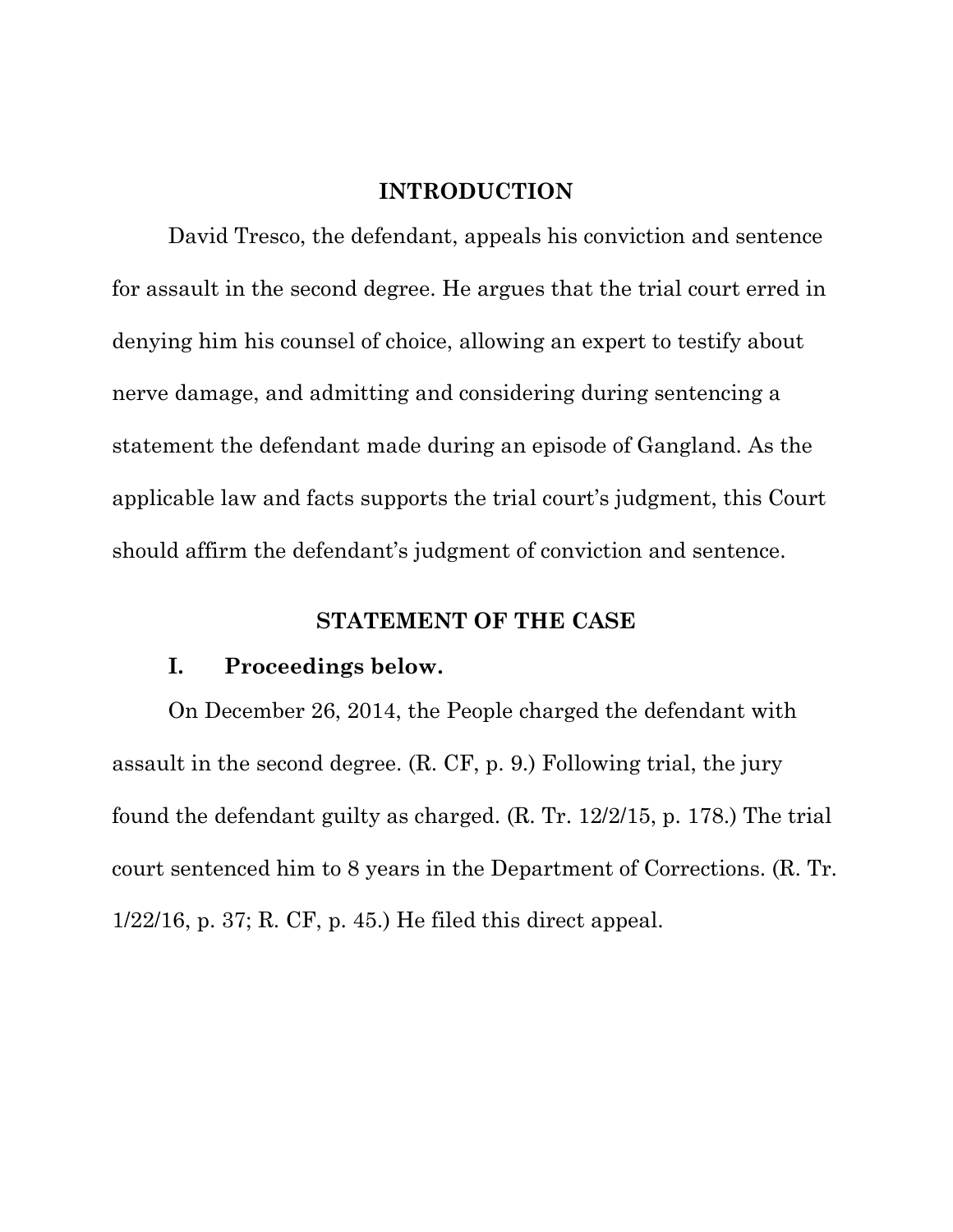## **INTRODUCTION**

David Tresco, the defendant, appeals his conviction and sentence for assault in the second degree. He argues that the trial court erred in denying him his counsel of choice, allowing an expert to testify about nerve damage, and admitting and considering during sentencing a statement the defendant made during an episode of Gangland. As the applicable law and facts supports the trial court's judgment, this Court should affirm the defendant's judgment of conviction and sentence.

## **STATEMENT OF THE CASE**

#### **I. Proceedings below.**

On December 26, 2014, the People charged the defendant with assault in the second degree. (R. CF, p. 9.) Following trial, the jury found the defendant guilty as charged. (R. Tr. 12/2/15, p. 178.) The trial court sentenced him to 8 years in the Department of Corrections. (R. Tr. 1/22/16, p. 37; R. CF, p. 45.) He filed this direct appeal.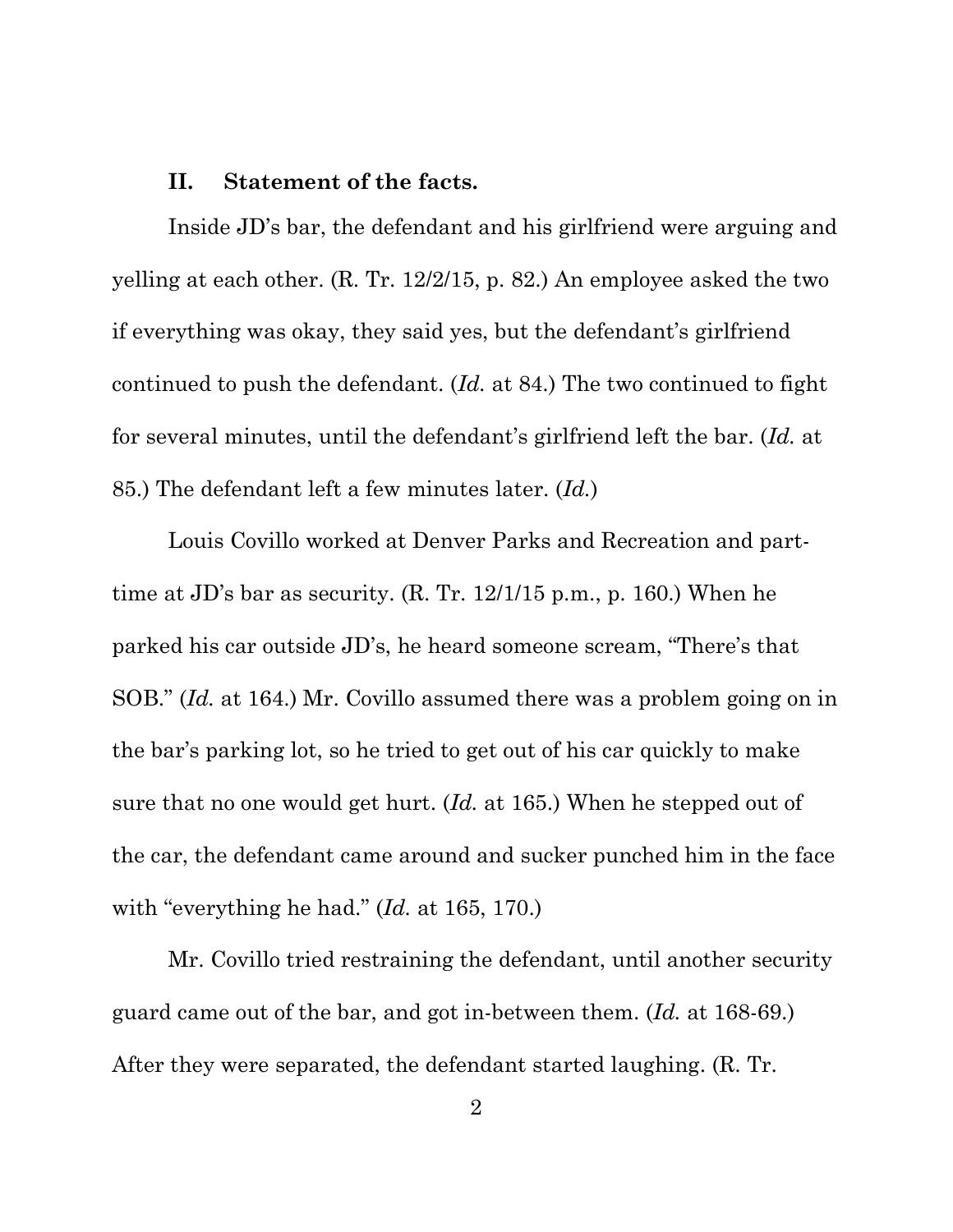#### **II. Statement of the facts.**

Inside JD's bar, the defendant and his girlfriend were arguing and yelling at each other. (R. Tr. 12/2/15, p. 82.) An employee asked the two if everything was okay, they said yes, but the defendant's girlfriend continued to push the defendant. (*Id.* at 84.) The two continued to fight for several minutes, until the defendant's girlfriend left the bar. (*Id.* at 85.) The defendant left a few minutes later. (*Id.*)

Louis Covillo worked at Denver Parks and Recreation and parttime at JD's bar as security. (R. Tr. 12/1/15 p.m., p. 160.) When he parked his car outside JD's, he heard someone scream, "There's that SOB." (*Id.* at 164.) Mr. Covillo assumed there was a problem going on in the bar's parking lot, so he tried to get out of his car quickly to make sure that no one would get hurt. (*Id.* at 165.) When he stepped out of the car, the defendant came around and sucker punched him in the face with "everything he had." (*Id.* at 165, 170.)

Mr. Covillo tried restraining the defendant, until another security guard came out of the bar, and got in-between them. (*Id.* at 168-69.) After they were separated, the defendant started laughing. (R. Tr.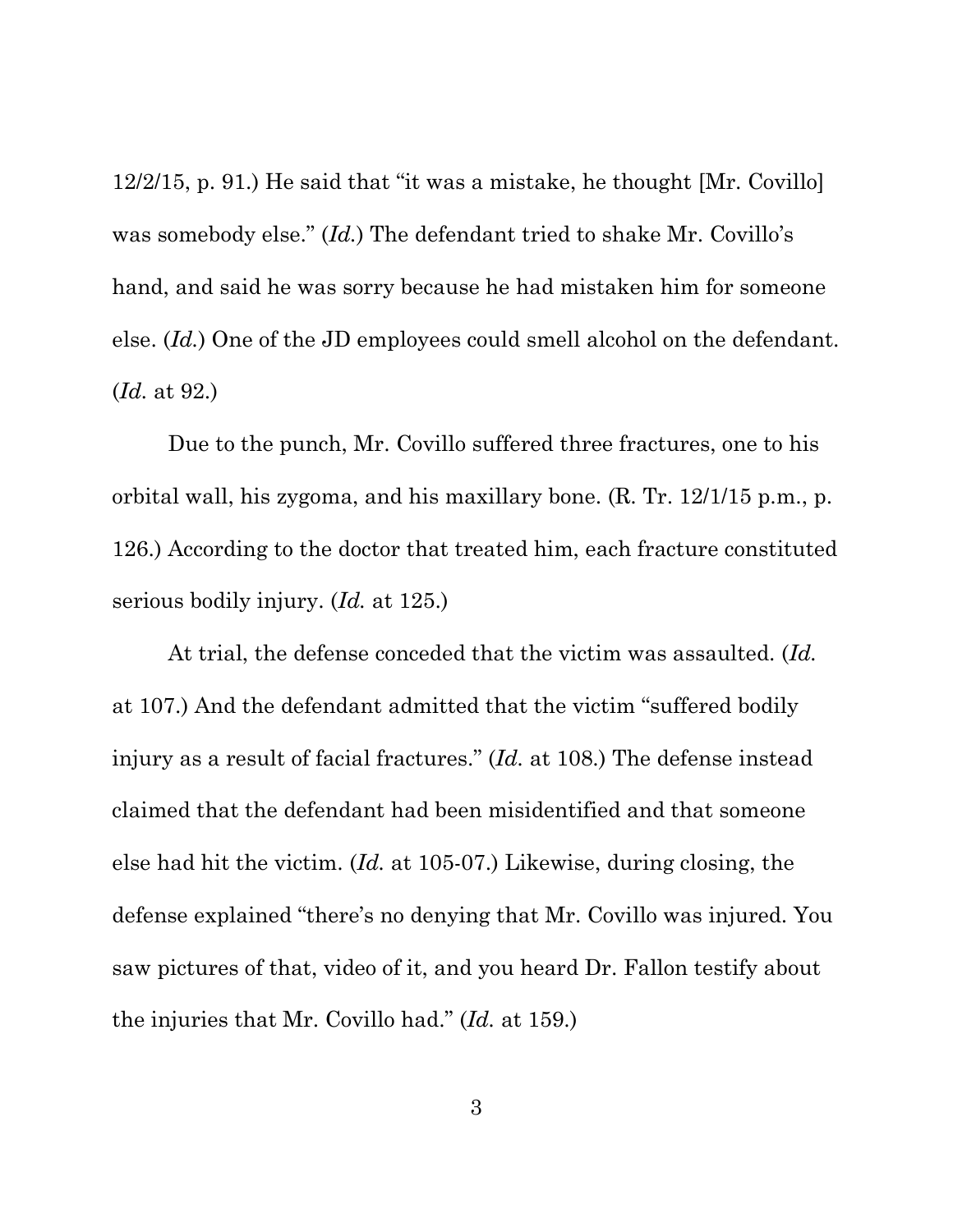12/2/15, p. 91.) He said that "it was a mistake, he thought [Mr. Covillo] was somebody else." (*Id.*) The defendant tried to shake Mr. Covillo's hand, and said he was sorry because he had mistaken him for someone else. (*Id.*) One of the JD employees could smell alcohol on the defendant. (*Id.* at 92.)

Due to the punch, Mr. Covillo suffered three fractures, one to his orbital wall, his zygoma, and his maxillary bone. (R. Tr. 12/1/15 p.m., p. 126.) According to the doctor that treated him, each fracture constituted serious bodily injury. (*Id.* at 125.)

At trial, the defense conceded that the victim was assaulted. (*Id.* at 107.) And the defendant admitted that the victim "suffered bodily injury as a result of facial fractures." (*Id.* at 108.) The defense instead claimed that the defendant had been misidentified and that someone else had hit the victim. (*Id.* at 105-07.) Likewise, during closing, the defense explained "there's no denying that Mr. Covillo was injured. You saw pictures of that, video of it, and you heard Dr. Fallon testify about the injuries that Mr. Covillo had." (*Id.* at 159.)

3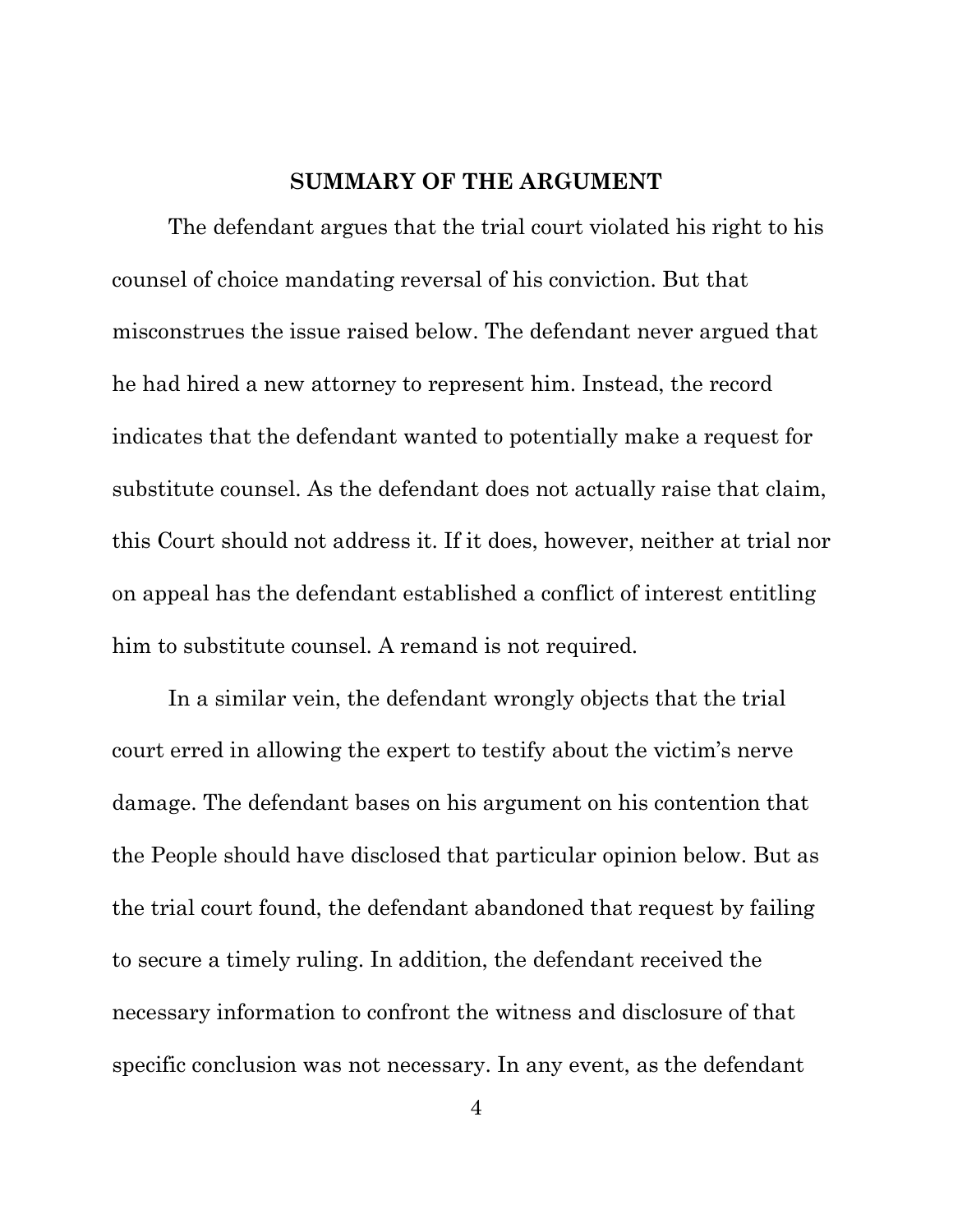#### **SUMMARY OF THE ARGUMENT**

The defendant argues that the trial court violated his right to his counsel of choice mandating reversal of his conviction. But that misconstrues the issue raised below. The defendant never argued that he had hired a new attorney to represent him. Instead, the record indicates that the defendant wanted to potentially make a request for substitute counsel. As the defendant does not actually raise that claim, this Court should not address it. If it does, however, neither at trial nor on appeal has the defendant established a conflict of interest entitling him to substitute counsel. A remand is not required.

In a similar vein, the defendant wrongly objects that the trial court erred in allowing the expert to testify about the victim's nerve damage. The defendant bases on his argument on his contention that the People should have disclosed that particular opinion below. But as the trial court found, the defendant abandoned that request by failing to secure a timely ruling. In addition, the defendant received the necessary information to confront the witness and disclosure of that specific conclusion was not necessary. In any event, as the defendant

4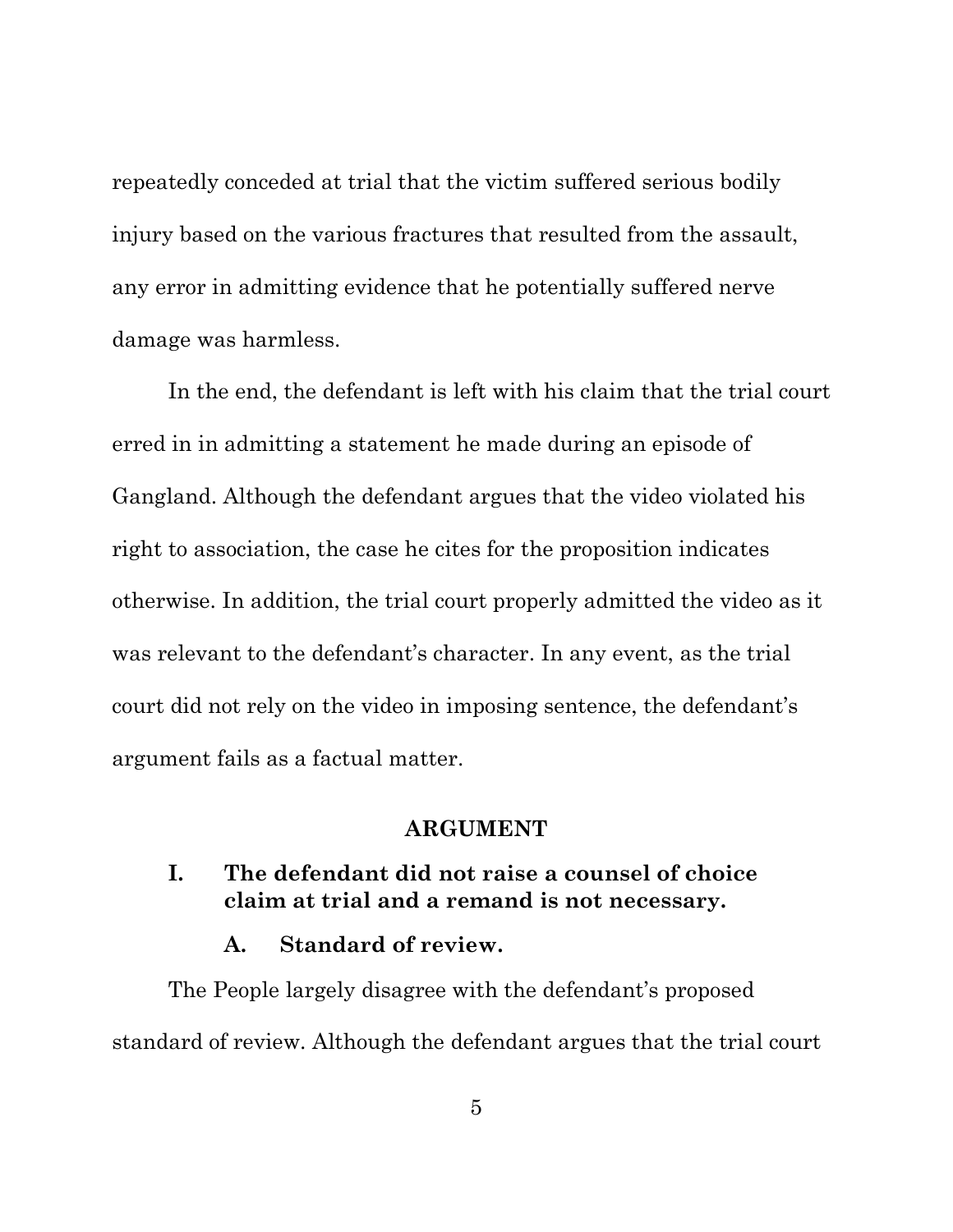repeatedly conceded at trial that the victim suffered serious bodily injury based on the various fractures that resulted from the assault, any error in admitting evidence that he potentially suffered nerve damage was harmless.

In the end, the defendant is left with his claim that the trial court erred in in admitting a statement he made during an episode of Gangland. Although the defendant argues that the video violated his right to association, the case he cites for the proposition indicates otherwise. In addition, the trial court properly admitted the video as it was relevant to the defendant's character. In any event, as the trial court did not rely on the video in imposing sentence, the defendant's argument fails as a factual matter.

#### **ARGUMENT**

## **I. The defendant did not raise a counsel of choice claim at trial and a remand is not necessary.**

#### **A. Standard of review.**

The People largely disagree with the defendant's proposed standard of review. Although the defendant argues that the trial court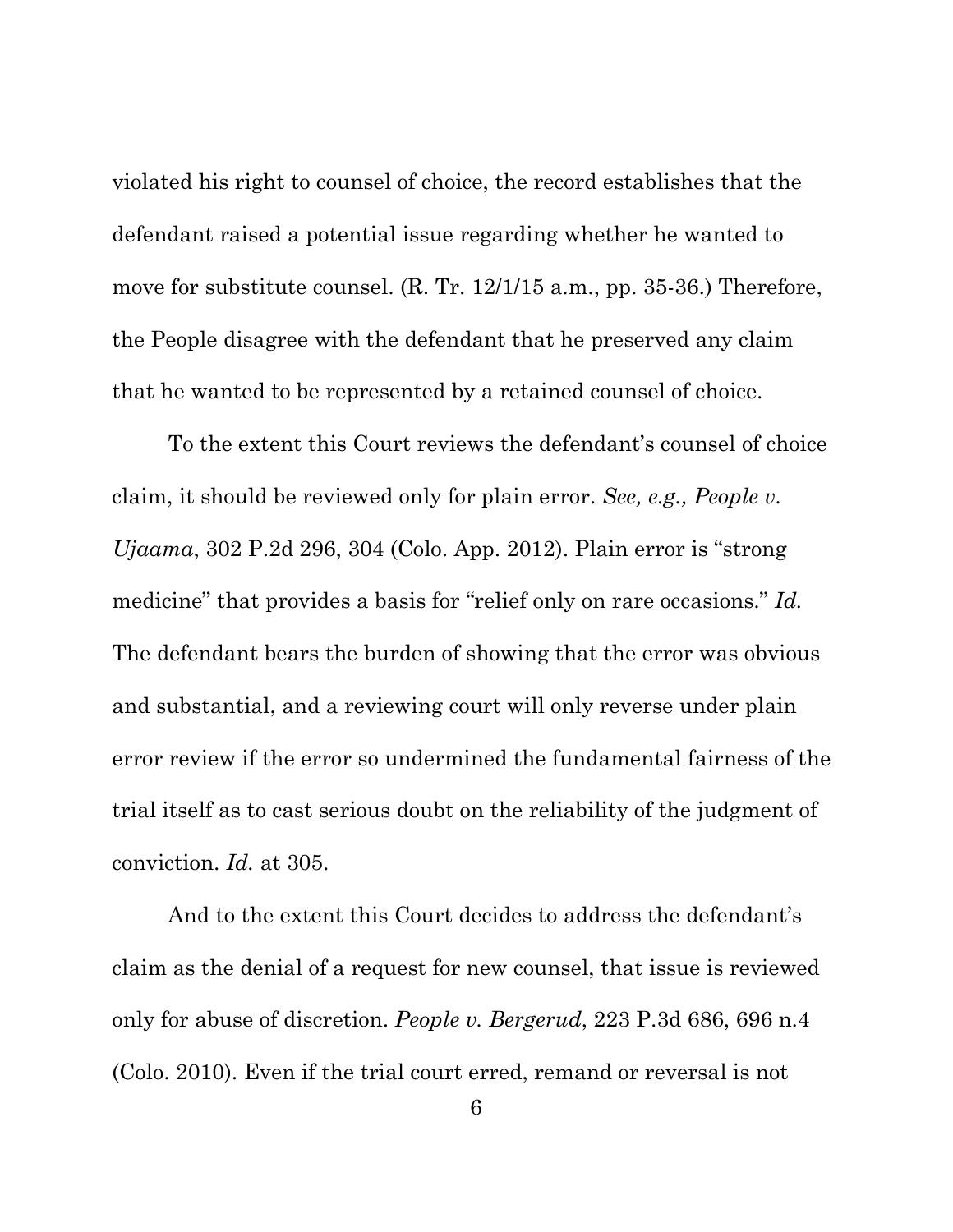violated his right to counsel of choice, the record establishes that the defendant raised a potential issue regarding whether he wanted to move for substitute counsel. (R. Tr. 12/1/15 a.m., pp. 35-36.) Therefore, the People disagree with the defendant that he preserved any claim that he wanted to be represented by a retained counsel of choice.

To the extent this Court reviews the defendant's counsel of choice claim, it should be reviewed only for plain error. *See, e.g., People v. Ujaama*, 302 P.2d 296, 304 (Colo. App. 2012). Plain error is "strong medicine" that provides a basis for "relief only on rare occasions." *Id.* The defendant bears the burden of showing that the error was obvious and substantial, and a reviewing court will only reverse under plain error review if the error so undermined the fundamental fairness of the trial itself as to cast serious doubt on the reliability of the judgment of conviction. *Id.* at 305.

And to the extent this Court decides to address the defendant's claim as the denial of a request for new counsel, that issue is reviewed only for abuse of discretion. *People v. Bergerud*, 223 P.3d 686, 696 n.4 (Colo. 2010). Even if the trial court erred, remand or reversal is not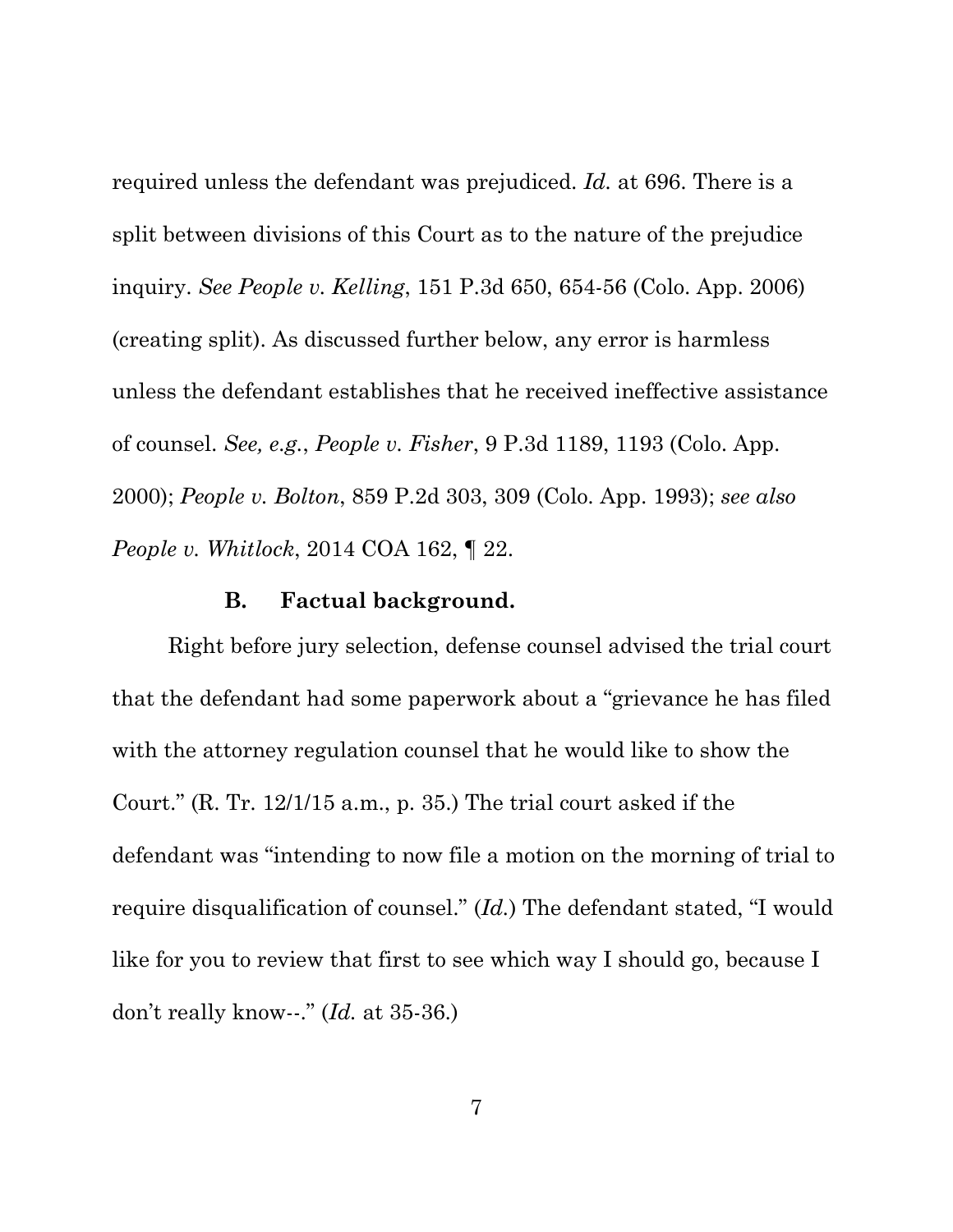required unless the defendant was prejudiced. *Id.* at 696. There is a split between divisions of this Court as to the nature of the prejudice inquiry. *See People v. Kelling*, 151 P.3d 650, 654-56 (Colo. App. 2006) (creating split). As discussed further below, any error is harmless unless the defendant establishes that he received ineffective assistance of counsel. *See, e.g.*, *People v. Fisher*, 9 P.3d 1189, 1193 (Colo. App. 2000); *People v. Bolton*, 859 P.2d 303, 309 (Colo. App. 1993); *see also People v. Whitlock*, 2014 COA 162, ¶ 22.

#### **B. Factual background.**

Right before jury selection, defense counsel advised the trial court that the defendant had some paperwork about a "grievance he has filed with the attorney regulation counsel that he would like to show the Court." (R. Tr. 12/1/15 a.m., p. 35.) The trial court asked if the defendant was "intending to now file a motion on the morning of trial to require disqualification of counsel." (*Id.*) The defendant stated, "I would like for you to review that first to see which way I should go, because I don't really know--." (*Id.* at 35-36.)

7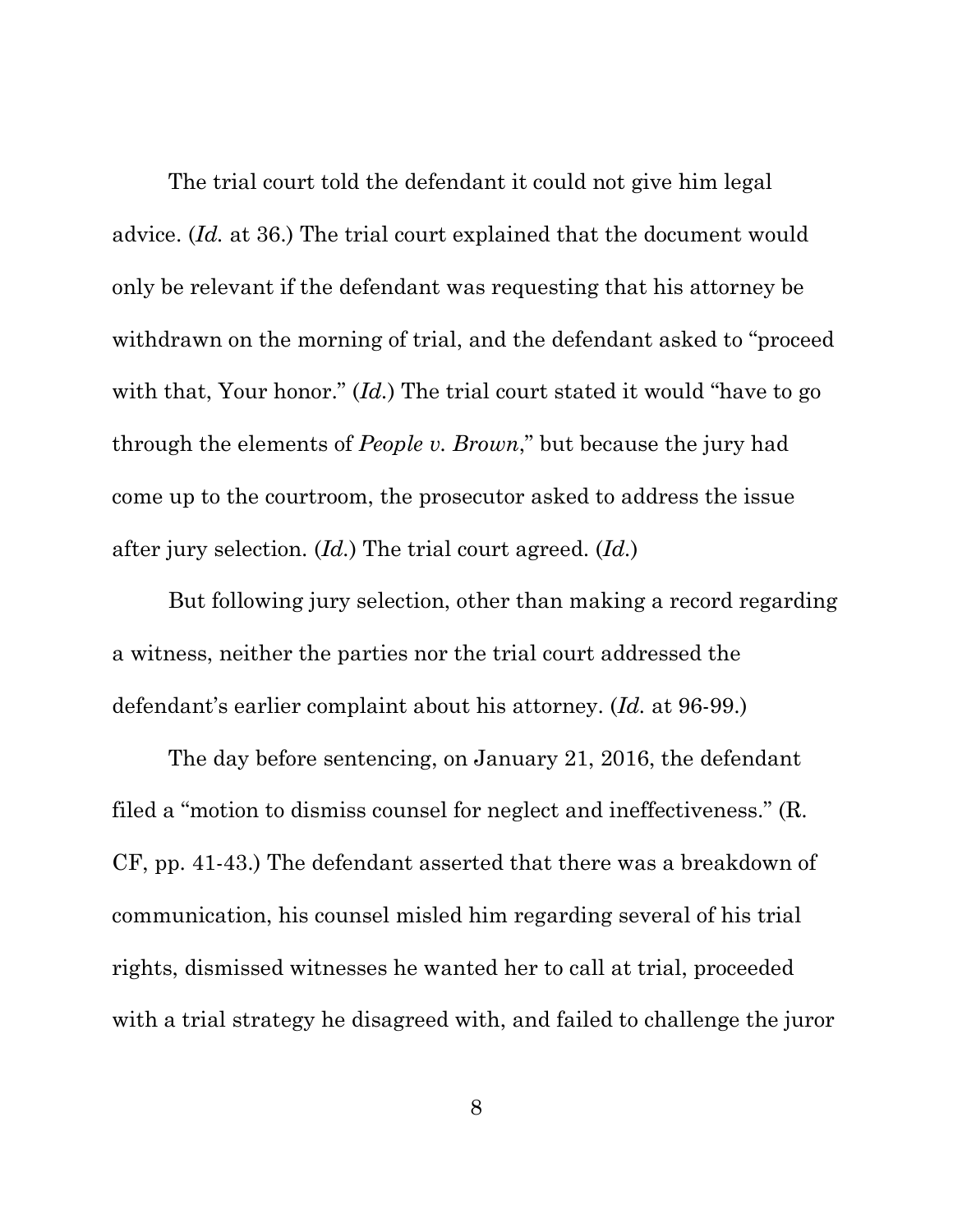The trial court told the defendant it could not give him legal advice. (*Id.* at 36.) The trial court explained that the document would only be relevant if the defendant was requesting that his attorney be withdrawn on the morning of trial, and the defendant asked to "proceed with that, Your honor." *(Id.)* The trial court stated it would "have to go through the elements of *People v. Brown*," but because the jury had come up to the courtroom, the prosecutor asked to address the issue after jury selection. (*Id.*) The trial court agreed. (*Id.*)

But following jury selection, other than making a record regarding a witness, neither the parties nor the trial court addressed the defendant's earlier complaint about his attorney. (*Id.* at 96-99.)

The day before sentencing, on January 21, 2016, the defendant filed a "motion to dismiss counsel for neglect and ineffectiveness." (R. CF, pp. 41-43.) The defendant asserted that there was a breakdown of communication, his counsel misled him regarding several of his trial rights, dismissed witnesses he wanted her to call at trial, proceeded with a trial strategy he disagreed with, and failed to challenge the juror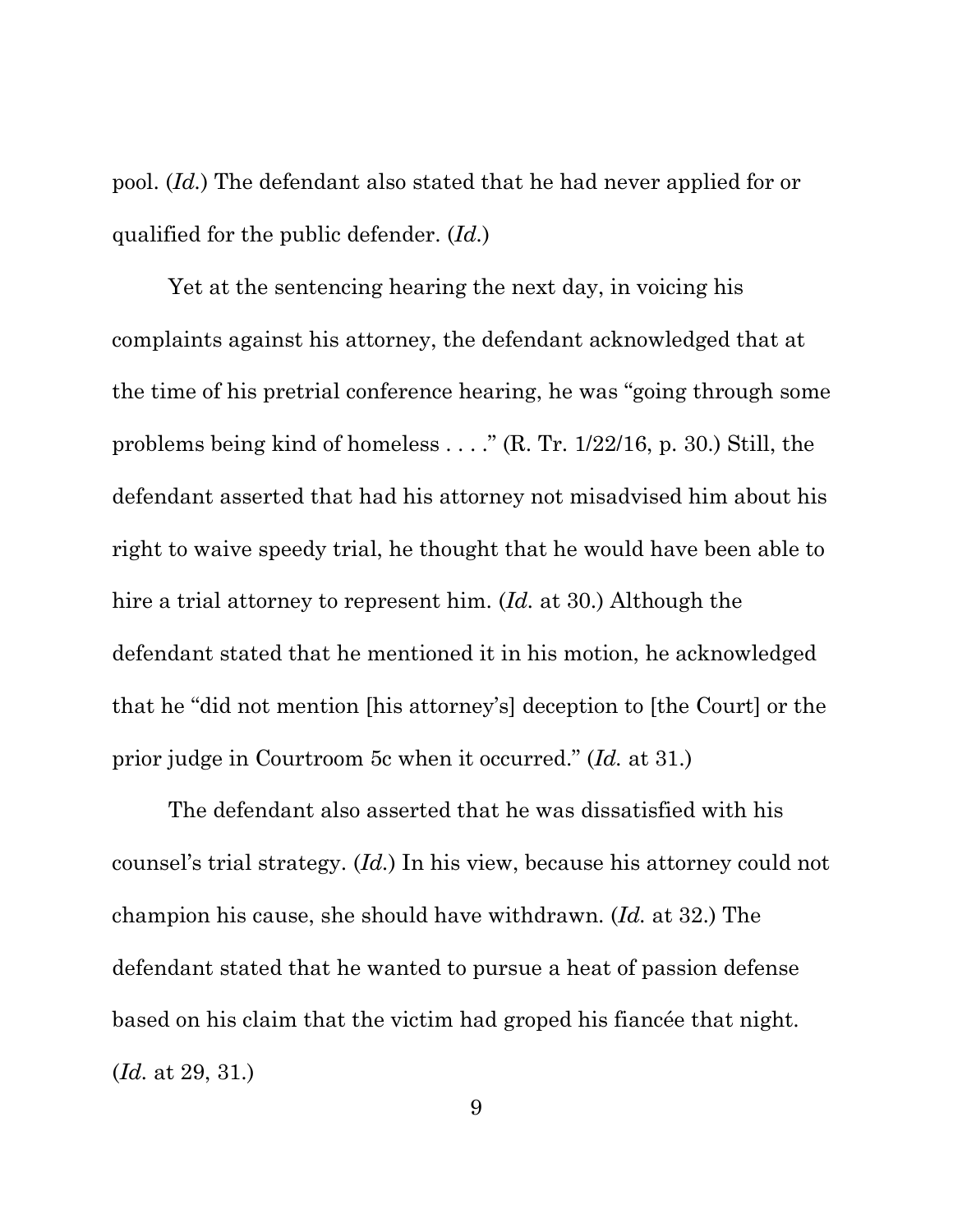pool. (*Id.*) The defendant also stated that he had never applied for or qualified for the public defender. (*Id.*)

Yet at the sentencing hearing the next day, in voicing his complaints against his attorney, the defendant acknowledged that at the time of his pretrial conference hearing, he was "going through some problems being kind of homeless . . . ." (R. Tr. 1/22/16, p. 30.) Still, the defendant asserted that had his attorney not misadvised him about his right to waive speedy trial, he thought that he would have been able to hire a trial attorney to represent him. (*Id.* at 30.) Although the defendant stated that he mentioned it in his motion, he acknowledged that he "did not mention [his attorney's] deception to [the Court] or the prior judge in Courtroom 5c when it occurred." (*Id.* at 31.)

The defendant also asserted that he was dissatisfied with his counsel's trial strategy. (*Id.*) In his view, because his attorney could not champion his cause, she should have withdrawn. (*Id.* at 32.) The defendant stated that he wanted to pursue a heat of passion defense based on his claim that the victim had groped his fiancée that night. (*Id.* at 29, 31.)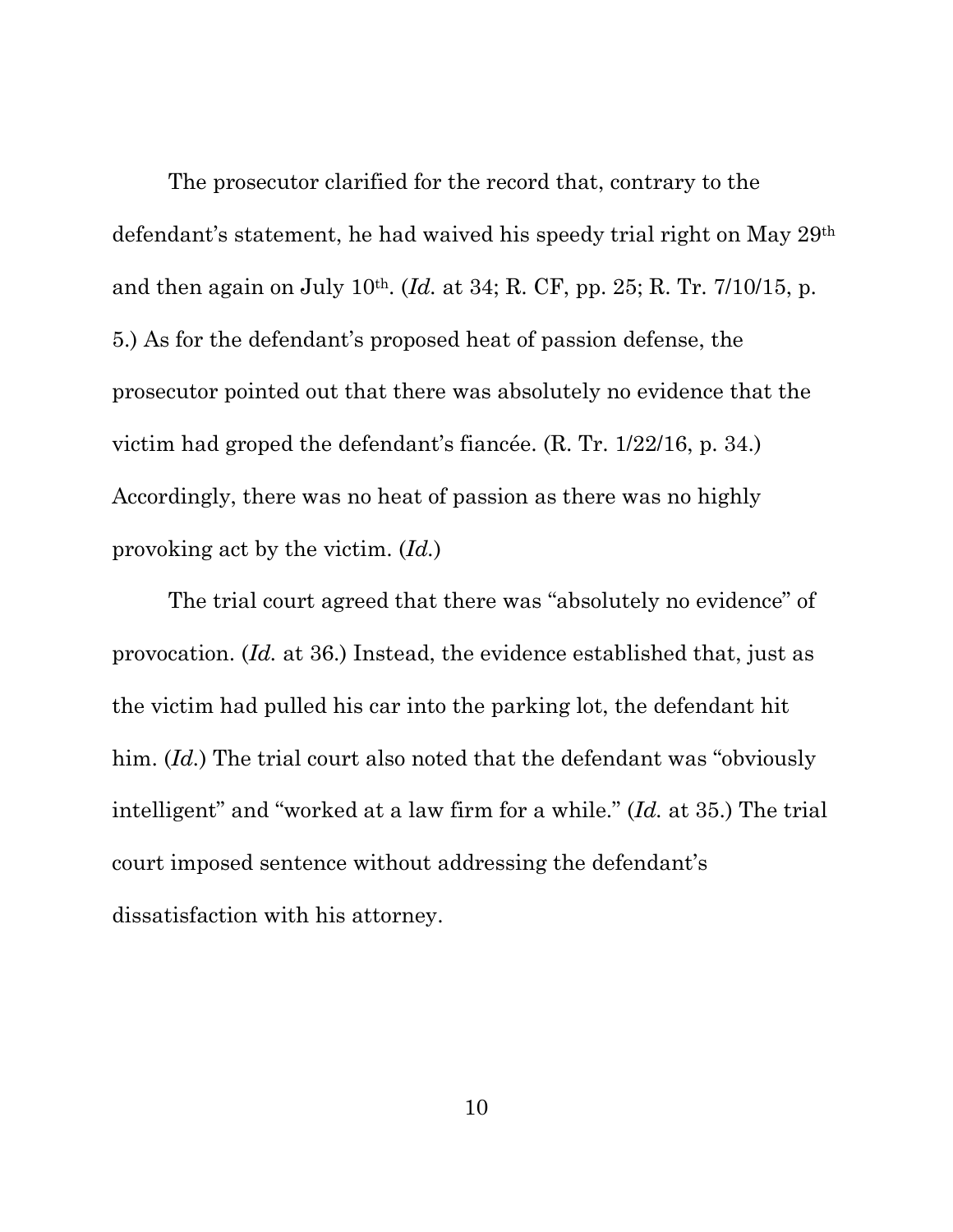The prosecutor clarified for the record that, contrary to the defendant's statement, he had waived his speedy trial right on May 29th and then again on July 10th. (*Id.* at 34; R. CF, pp. 25; R. Tr. 7/10/15, p. 5.) As for the defendant's proposed heat of passion defense, the prosecutor pointed out that there was absolutely no evidence that the victim had groped the defendant's fiancée. (R. Tr. 1/22/16, p. 34.) Accordingly, there was no heat of passion as there was no highly provoking act by the victim. (*Id.*)

The trial court agreed that there was "absolutely no evidence" of provocation. (*Id.* at 36.) Instead, the evidence established that, just as the victim had pulled his car into the parking lot, the defendant hit him. (*Id.*) The trial court also noted that the defendant was "obviously intelligent" and "worked at a law firm for a while." (*Id.* at 35.) The trial court imposed sentence without addressing the defendant's dissatisfaction with his attorney.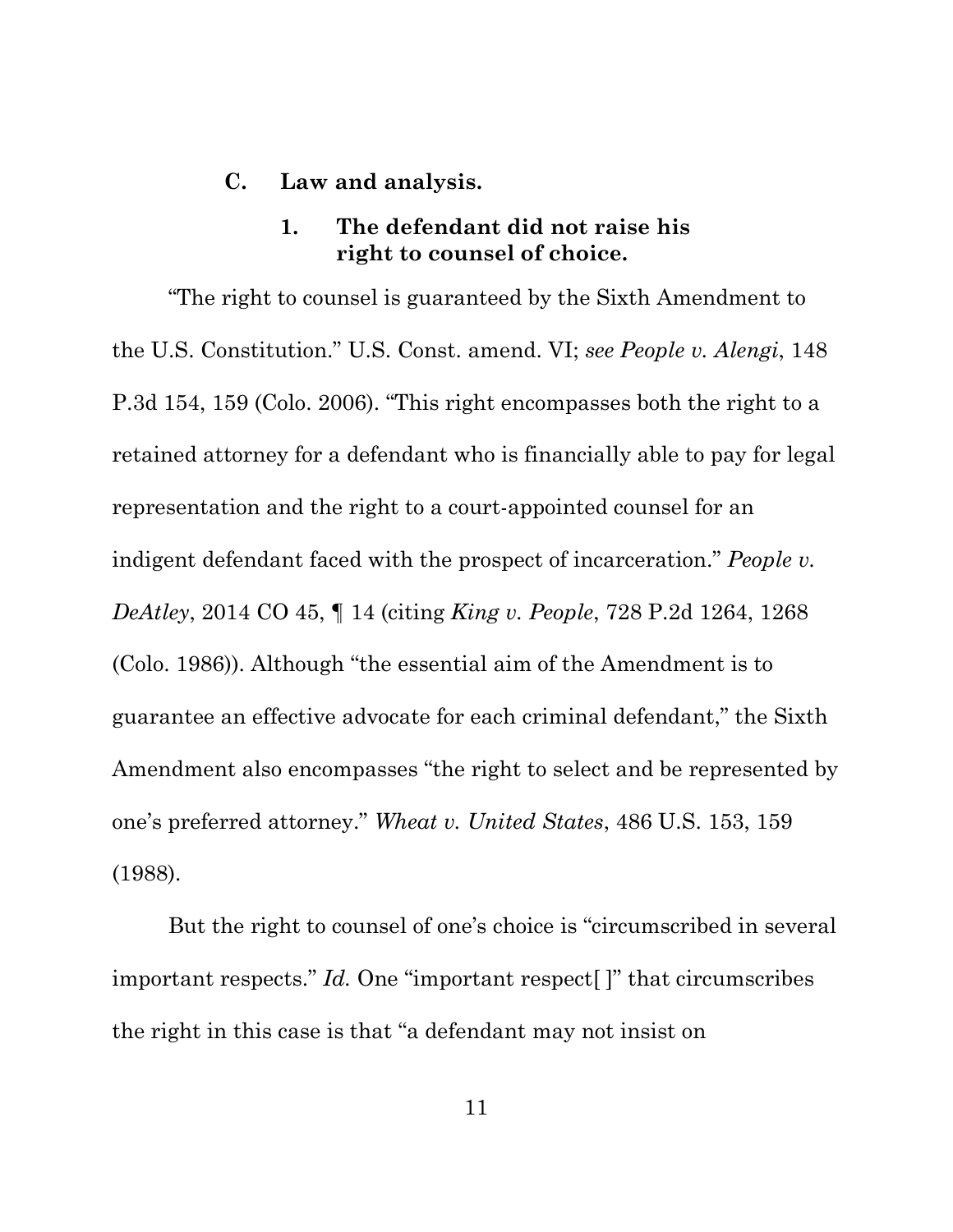#### **C. Law and analysis.**

## **1. The defendant did not raise his right to counsel of choice.**

"The right to counsel is guaranteed by the Sixth Amendment to the U.S. Constitution." U.S. Const. amend. VI; *see People v. Alengi*, 148 P.3d 154, 159 (Colo. 2006). "This right encompasses both the right to a retained attorney for a defendant who is financially able to pay for legal representation and the right to a court-appointed counsel for an indigent defendant faced with the prospect of incarceration." *People v. DeAtley*, 2014 CO 45, ¶ 14 (citing *King v. People*, 728 P.2d 1264, 1268 (Colo. 1986)). Although "the essential aim of the Amendment is to guarantee an effective advocate for each criminal defendant," the Sixth Amendment also encompasses "the right to select and be represented by one's preferred attorney." *Wheat v. United States*, 486 U.S. 153, 159 (1988).

But the right to counsel of one's choice is "circumscribed in several important respects." *Id.* One "important respect[ ]" that circumscribes the right in this case is that "a defendant may not insist on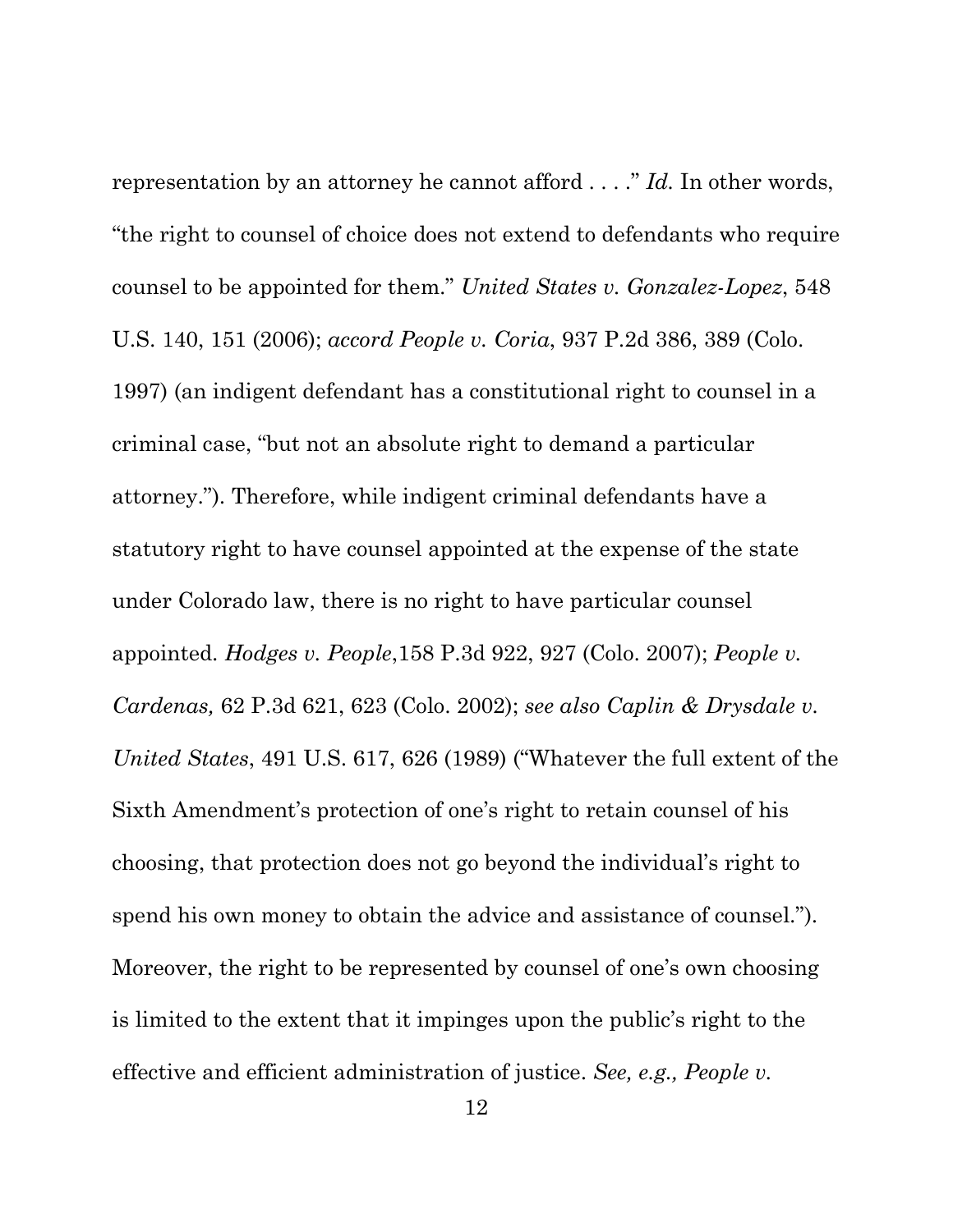representation by an attorney he cannot afford . . . ." *Id.* In other words, "the right to counsel of choice does not extend to defendants who require counsel to be appointed for them." *United States v. Gonzalez-Lopez*, 548 U.S. 140, 151 (2006); *accord People v. Coria*, 937 P.2d 386, 389 (Colo. 1997) (an indigent defendant has a constitutional right to counsel in a criminal case, "but not an absolute right to demand a particular attorney."). Therefore, while indigent criminal defendants have a statutory right to have counsel appointed at the expense of the state under Colorado law, there is no right to have particular counsel appointed. *Hodges v. People*,158 P.3d 922, 927 (Colo. 2007); *People v. Cardenas,* 62 P.3d 621, 623 (Colo. 2002); *see also Caplin & Drysdale v. United States*, 491 U.S. 617, 626 (1989) ("Whatever the full extent of the Sixth Amendment's protection of one's right to retain counsel of his choosing, that protection does not go beyond the individual's right to spend his own money to obtain the advice and assistance of counsel."). Moreover, the right to be represented by counsel of one's own choosing is limited to the extent that it impinges upon the public's right to the effective and efficient administration of justice. *See, e.g., People v.*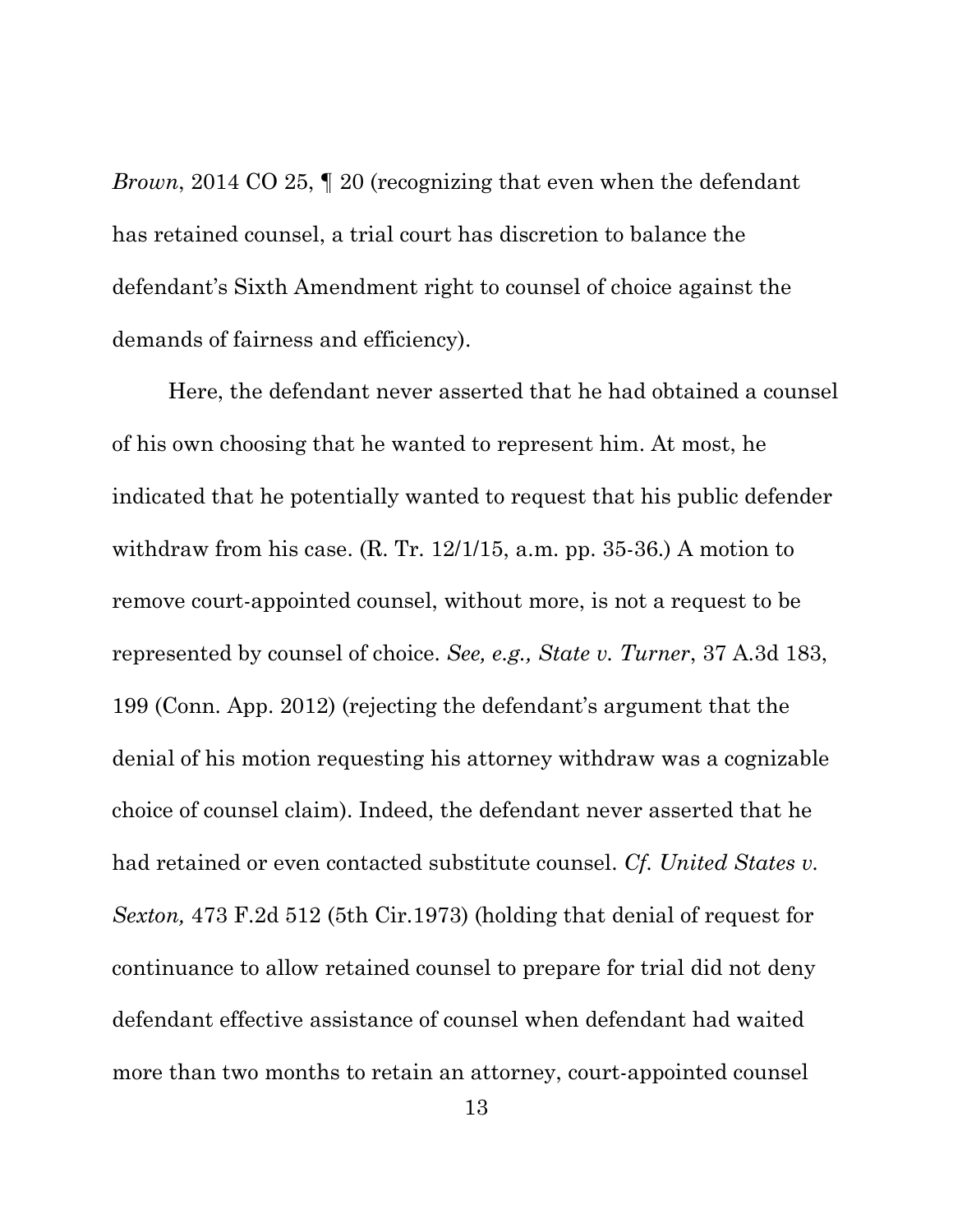*Brown*, 2014 CO 25, 1 20 (recognizing that even when the defendant has retained counsel, a trial court has discretion to balance the defendant's Sixth Amendment right to counsel of choice against the demands of fairness and efficiency).

Here, the defendant never asserted that he had obtained a counsel of his own choosing that he wanted to represent him. At most, he indicated that he potentially wanted to request that his public defender withdraw from his case. (R. Tr. 12/1/15, a.m. pp. 35-36.) A motion to remove court-appointed counsel, without more, is not a request to be represented by counsel of choice. *See, e.g., State v. Turner*, 37 A.3d 183, 199 (Conn. App. 2012) (rejecting the defendant's argument that the denial of his motion requesting his attorney withdraw was a cognizable choice of counsel claim). Indeed, the defendant never asserted that he had retained or even contacted substitute counsel. *Cf. United States v. Sexton,* 473 F.2d 512 (5th Cir.1973) (holding that denial of request for continuance to allow retained counsel to prepare for trial did not deny defendant effective assistance of counsel when defendant had waited more than two months to retain an attorney, court-appointed counsel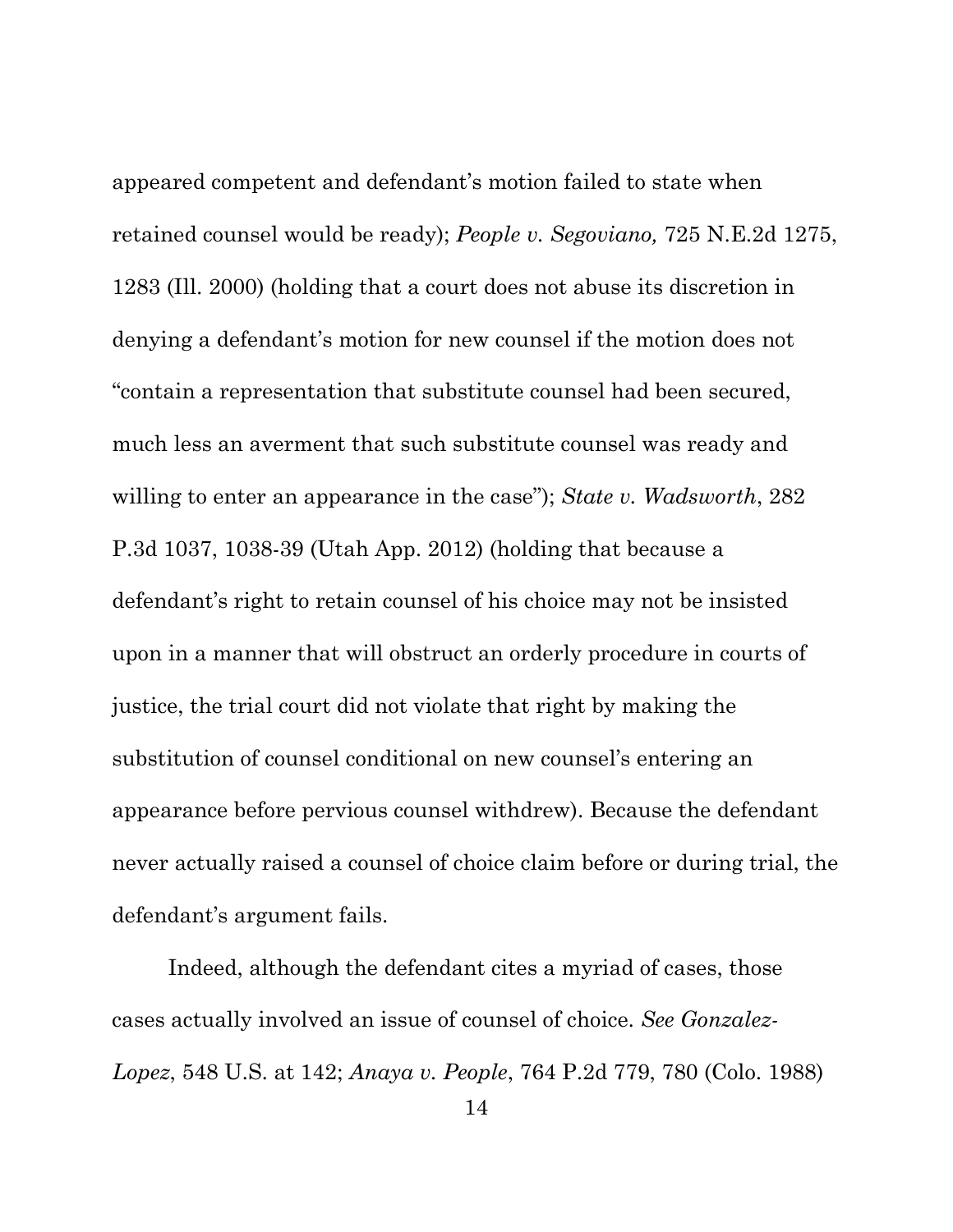appeared competent and defendant's motion failed to state when retained counsel would be ready); *People v. Segoviano,* 725 N.E.2d 1275, 1283 (Ill. 2000) (holding that a court does not abuse its discretion in denying a defendant's motion for new counsel if the motion does not "contain a representation that substitute counsel had been secured, much less an averment that such substitute counsel was ready and willing to enter an appearance in the case"); *State v. Wadsworth*, 282 P.3d 1037, 1038-39 (Utah App. 2012) (holding that because a defendant's right to retain counsel of his choice may not be insisted upon in a manner that will obstruct an orderly procedure in courts of justice, the trial court did not violate that right by making the substitution of counsel conditional on new counsel's entering an appearance before pervious counsel withdrew). Because the defendant never actually raised a counsel of choice claim before or during trial, the defendant's argument fails.

Indeed, although the defendant cites a myriad of cases, those cases actually involved an issue of counsel of choice. *See Gonzalez-Lopez*, 548 U.S. at 142; *Anaya v. People*, 764 P.2d 779, 780 (Colo. 1988)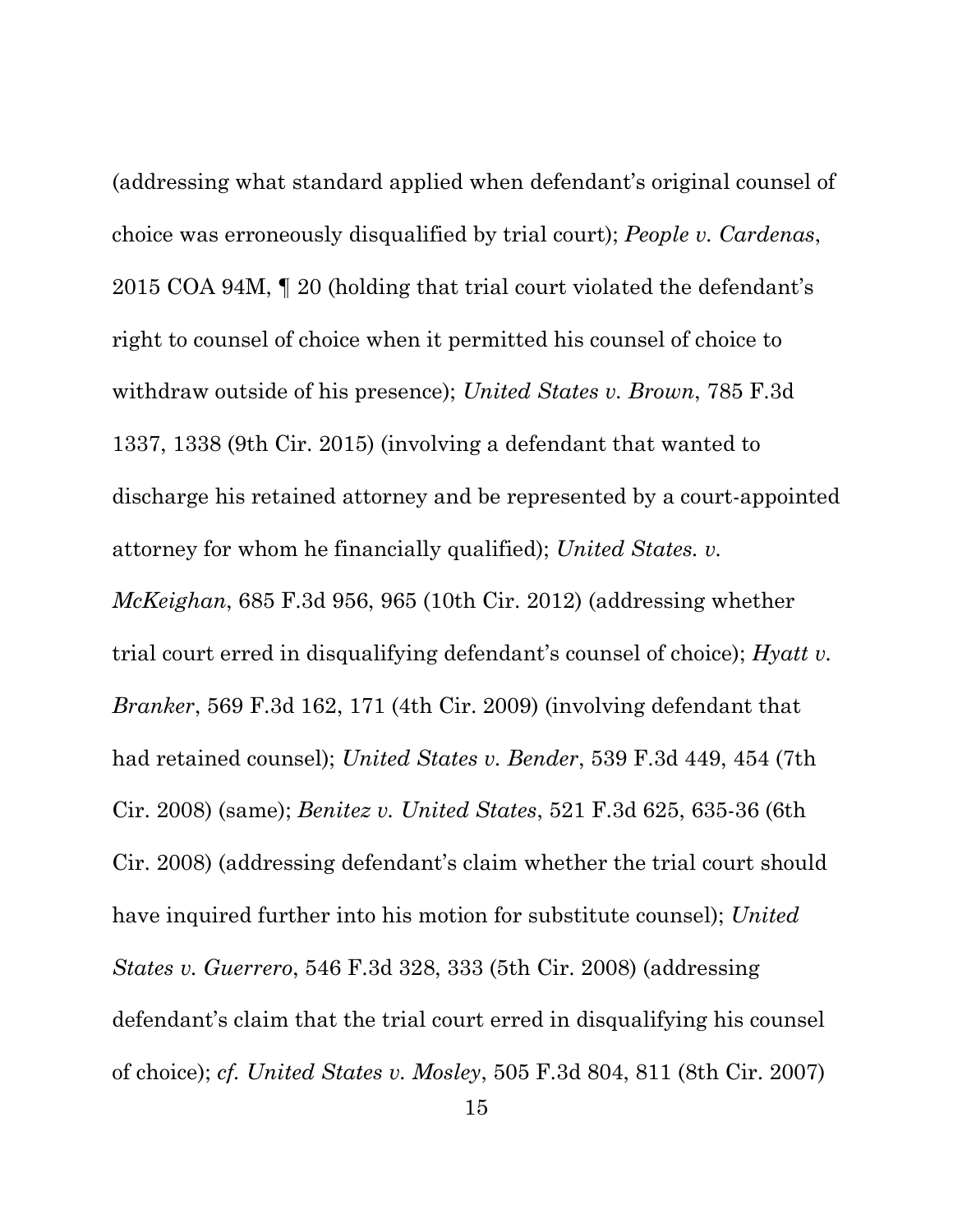(addressing what standard applied when defendant's original counsel of choice was erroneously disqualified by trial court); *People v. Cardenas*, 2015 COA 94M, ¶ 20 (holding that trial court violated the defendant's right to counsel of choice when it permitted his counsel of choice to withdraw outside of his presence); *United States v. Brown*, 785 F.3d 1337, 1338 (9th Cir. 2015) (involving a defendant that wanted to discharge his retained attorney and be represented by a court-appointed attorney for whom he financially qualified); *United States. v. McKeighan*, 685 F.3d 956, 965 (10th Cir. 2012) (addressing whether trial court erred in disqualifying defendant's counsel of choice); *Hyatt v. Branker*, 569 F.3d 162, 171 (4th Cir. 2009) (involving defendant that had retained counsel); *United States v. Bender*, 539 F.3d 449, 454 (7th Cir. 2008) (same); *Benitez v. United States*, 521 F.3d 625, 635-36 (6th Cir. 2008) (addressing defendant's claim whether the trial court should have inquired further into his motion for substitute counsel); *United States v. Guerrero*, 546 F.3d 328, 333 (5th Cir. 2008) (addressing defendant's claim that the trial court erred in disqualifying his counsel of choice); *cf. United States v. Mosley*, 505 F.3d 804, 811 (8th Cir. 2007)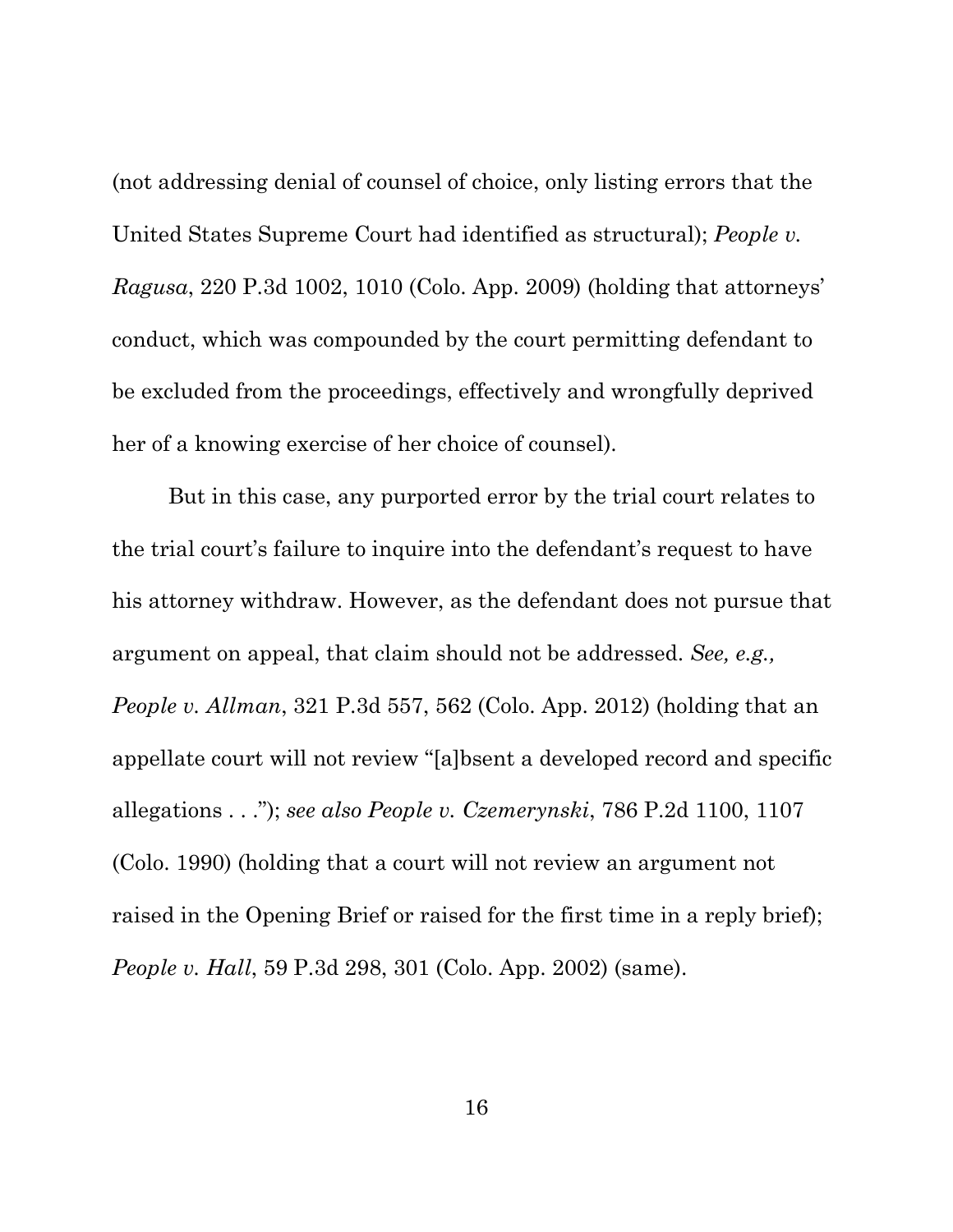(not addressing denial of counsel of choice, only listing errors that the United States Supreme Court had identified as structural); *People v. Ragusa*, 220 P.3d 1002, 1010 (Colo. App. 2009) (holding that attorneys' conduct, which was compounded by the court permitting defendant to be excluded from the proceedings, effectively and wrongfully deprived her of a knowing exercise of her choice of counsel).

But in this case, any purported error by the trial court relates to the trial court's failure to inquire into the defendant's request to have his attorney withdraw. However, as the defendant does not pursue that argument on appeal, that claim should not be addressed. *See, e.g., People v. Allman*, 321 P.3d 557, 562 (Colo. App. 2012) (holding that an appellate court will not review "[a]bsent a developed record and specific allegations . . ."); *see also People v. Czemerynski*, 786 P.2d 1100, 1107 (Colo. 1990) (holding that a court will not review an argument not raised in the Opening Brief or raised for the first time in a reply brief); *People v. Hall*, 59 P.3d 298, 301 (Colo. App. 2002) (same).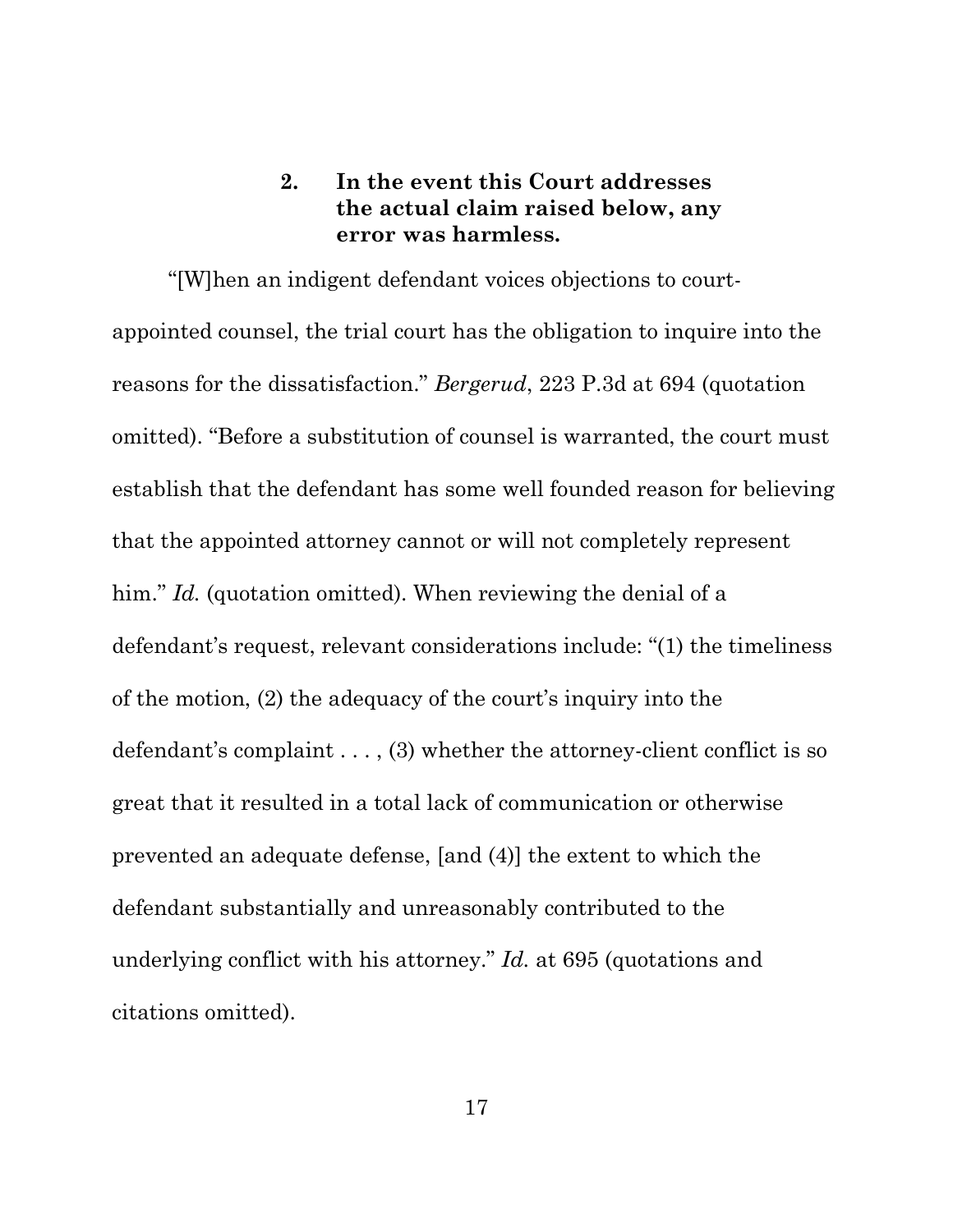# **2. In the event this Court addresses the actual claim raised below, any error was harmless.**

"[W]hen an indigent defendant voices objections to courtappointed counsel, the trial court has the obligation to inquire into the reasons for the dissatisfaction." *Bergerud*, 223 P.3d at 694 (quotation omitted). "Before a substitution of counsel is warranted, the court must establish that the defendant has some well founded reason for believing that the appointed attorney cannot or will not completely represent him." *Id.* (quotation omitted). When reviewing the denial of a defendant's request, relevant considerations include: "(1) the timeliness of the motion, (2) the adequacy of the court's inquiry into the defendant's complaint . . . , (3) whether the attorney-client conflict is so great that it resulted in a total lack of communication or otherwise prevented an adequate defense, [and (4)] the extent to which the defendant substantially and unreasonably contributed to the underlying conflict with his attorney." *Id.* at 695 (quotations and citations omitted).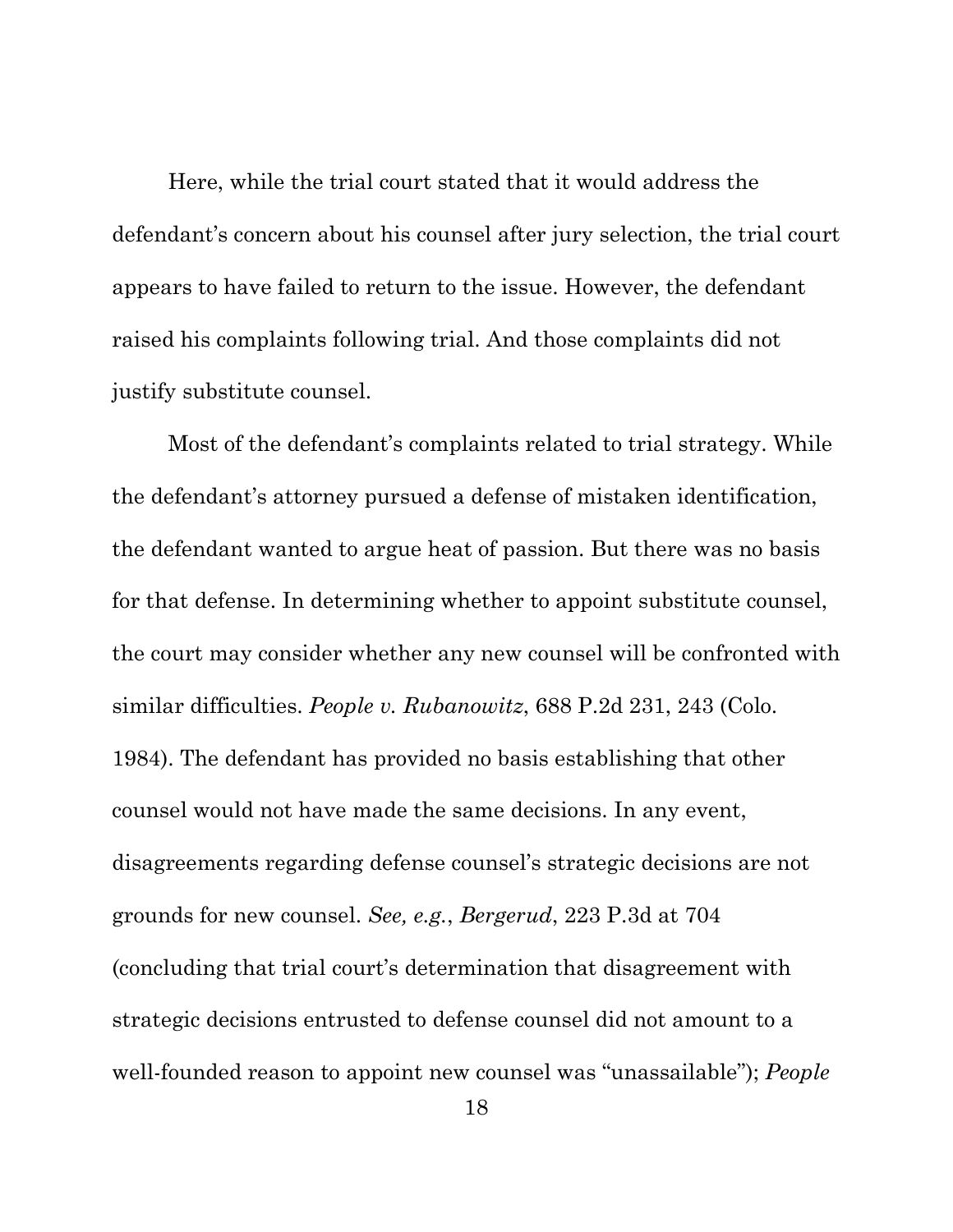Here, while the trial court stated that it would address the defendant's concern about his counsel after jury selection, the trial court appears to have failed to return to the issue. However, the defendant raised his complaints following trial. And those complaints did not justify substitute counsel.

Most of the defendant's complaints related to trial strategy. While the defendant's attorney pursued a defense of mistaken identification, the defendant wanted to argue heat of passion. But there was no basis for that defense. In determining whether to appoint substitute counsel, the court may consider whether any new counsel will be confronted with similar difficulties. *People v. Rubanowitz*, 688 P.2d 231, 243 (Colo. 1984). The defendant has provided no basis establishing that other counsel would not have made the same decisions. In any event, disagreements regarding defense counsel's strategic decisions are not grounds for new counsel. *See, e.g.*, *Bergerud*, 223 P.3d at 704 (concluding that trial court's determination that disagreement with strategic decisions entrusted to defense counsel did not amount to a well-founded reason to appoint new counsel was "unassailable"); *People*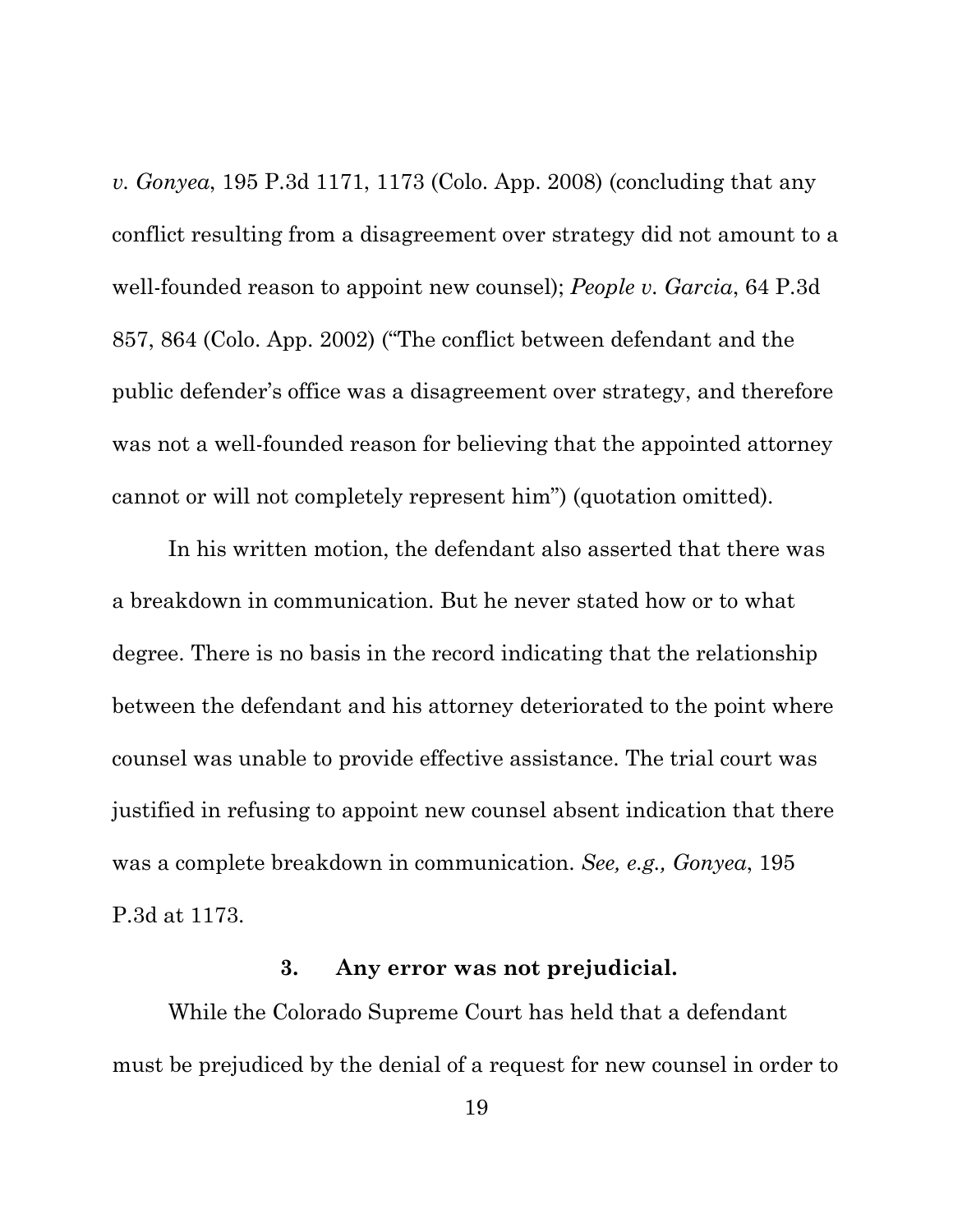*v. Gonyea*, 195 P.3d 1171, 1173 (Colo. App. 2008) (concluding that any conflict resulting from a disagreement over strategy did not amount to a well-founded reason to appoint new counsel); *People v. Garcia*, 64 P.3d 857, 864 (Colo. App. 2002) ("The conflict between defendant and the public defender's office was a disagreement over strategy, and therefore was not a well-founded reason for believing that the appointed attorney cannot or will not completely represent him") (quotation omitted).

In his written motion, the defendant also asserted that there was a breakdown in communication. But he never stated how or to what degree. There is no basis in the record indicating that the relationship between the defendant and his attorney deteriorated to the point where counsel was unable to provide effective assistance. The trial court was justified in refusing to appoint new counsel absent indication that there was a complete breakdown in communication. *See, e.g., Gonyea*, 195 P.3d at 1173.

#### **3. Any error was not prejudicial.**

While the Colorado Supreme Court has held that a defendant must be prejudiced by the denial of a request for new counsel in order to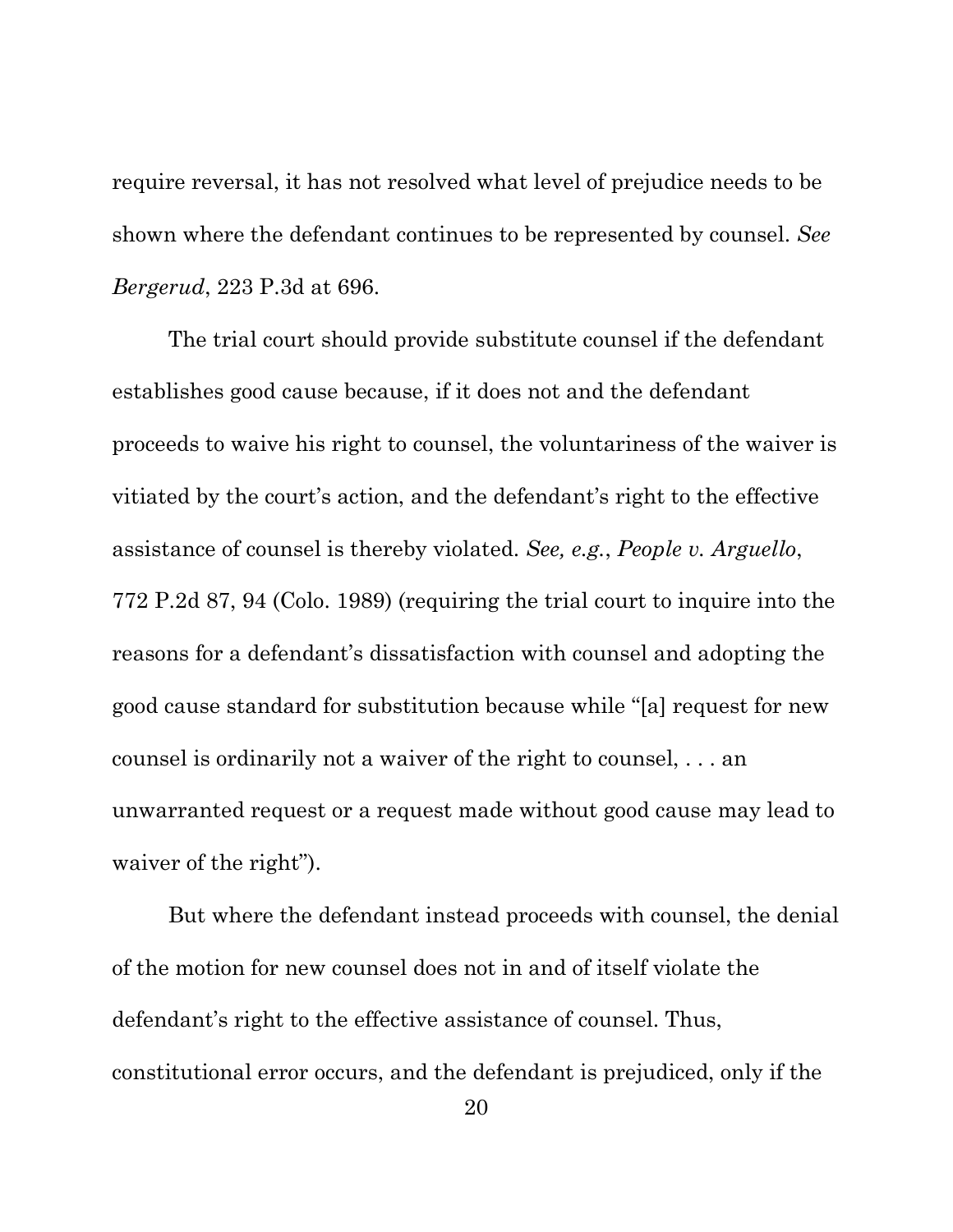require reversal, it has not resolved what level of prejudice needs to be shown where the defendant continues to be represented by counsel. *See Bergerud*, 223 P.3d at 696.

The trial court should provide substitute counsel if the defendant establishes good cause because, if it does not and the defendant proceeds to waive his right to counsel, the voluntariness of the waiver is vitiated by the court's action, and the defendant's right to the effective assistance of counsel is thereby violated. *See, e.g.*, *People v. Arguello*, 772 P.2d 87, 94 (Colo. 1989) (requiring the trial court to inquire into the reasons for a defendant's dissatisfaction with counsel and adopting the good cause standard for substitution because while "[a] request for new counsel is ordinarily not a waiver of the right to counsel, . . . an unwarranted request or a request made without good cause may lead to waiver of the right").

But where the defendant instead proceeds with counsel, the denial of the motion for new counsel does not in and of itself violate the defendant's right to the effective assistance of counsel. Thus, constitutional error occurs, and the defendant is prejudiced, only if the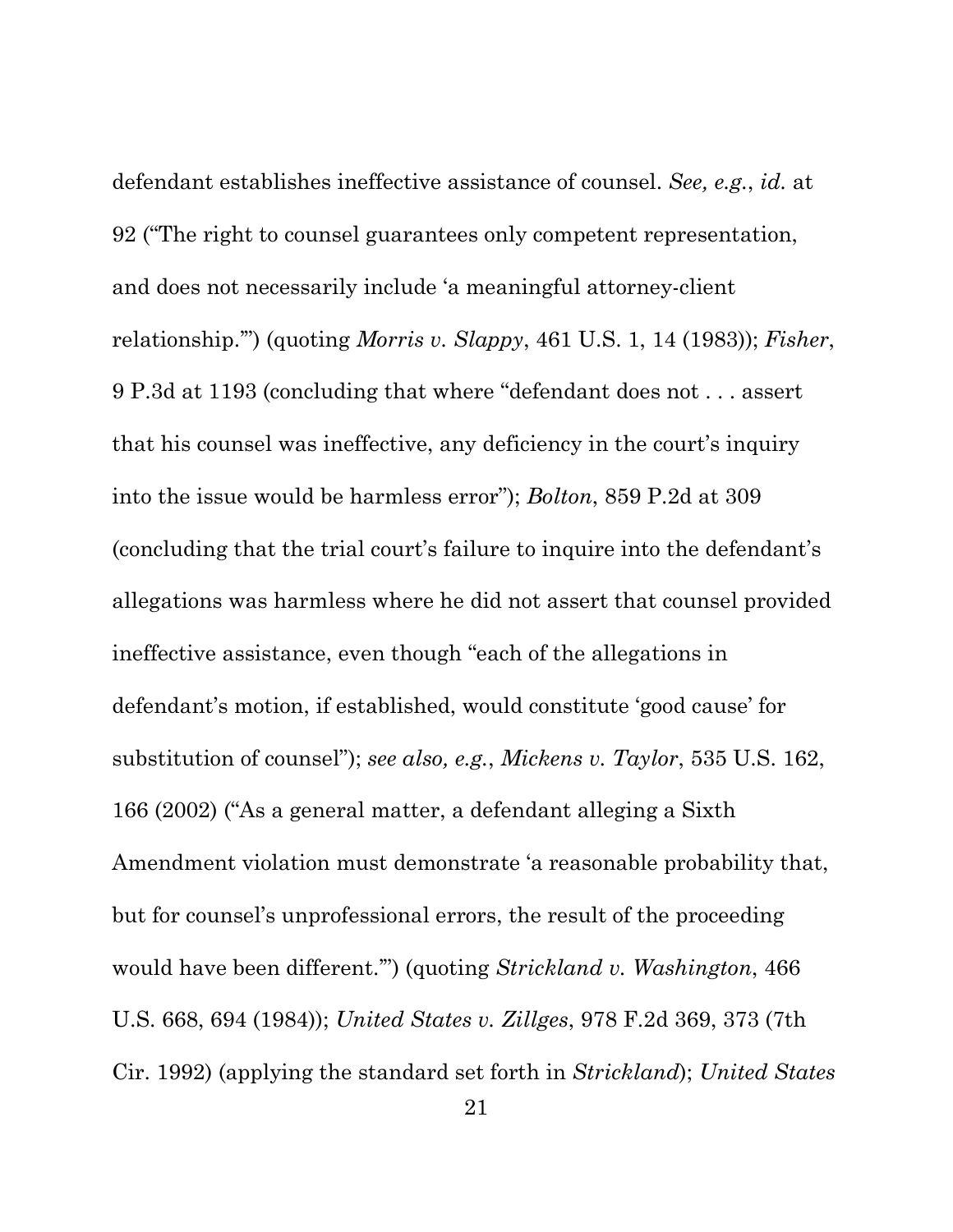defendant establishes ineffective assistance of counsel. *See, e.g.*, *id.* at 92 ("The right to counsel guarantees only competent representation, and does not necessarily include 'a meaningful attorney-client relationship.'") (quoting *Morris v. Slappy*, 461 U.S. 1, 14 (1983)); *Fisher*, 9 P.3d at 1193 (concluding that where "defendant does not . . . assert that his counsel was ineffective, any deficiency in the court's inquiry into the issue would be harmless error"); *Bolton*, 859 P.2d at 309 (concluding that the trial court's failure to inquire into the defendant's allegations was harmless where he did not assert that counsel provided ineffective assistance, even though "each of the allegations in defendant's motion, if established, would constitute 'good cause' for substitution of counsel"); *see also, e.g.*, *Mickens v. Taylor*, 535 U.S. 162, 166 (2002) ("As a general matter, a defendant alleging a Sixth Amendment violation must demonstrate 'a reasonable probability that, but for counsel's unprofessional errors, the result of the proceeding would have been different.'") (quoting *Strickland v. Washington*, 466 U.S. 668, 694 (1984)); *United States v. Zillges*, 978 F.2d 369, 373 (7th Cir. 1992) (applying the standard set forth in *Strickland*); *United States*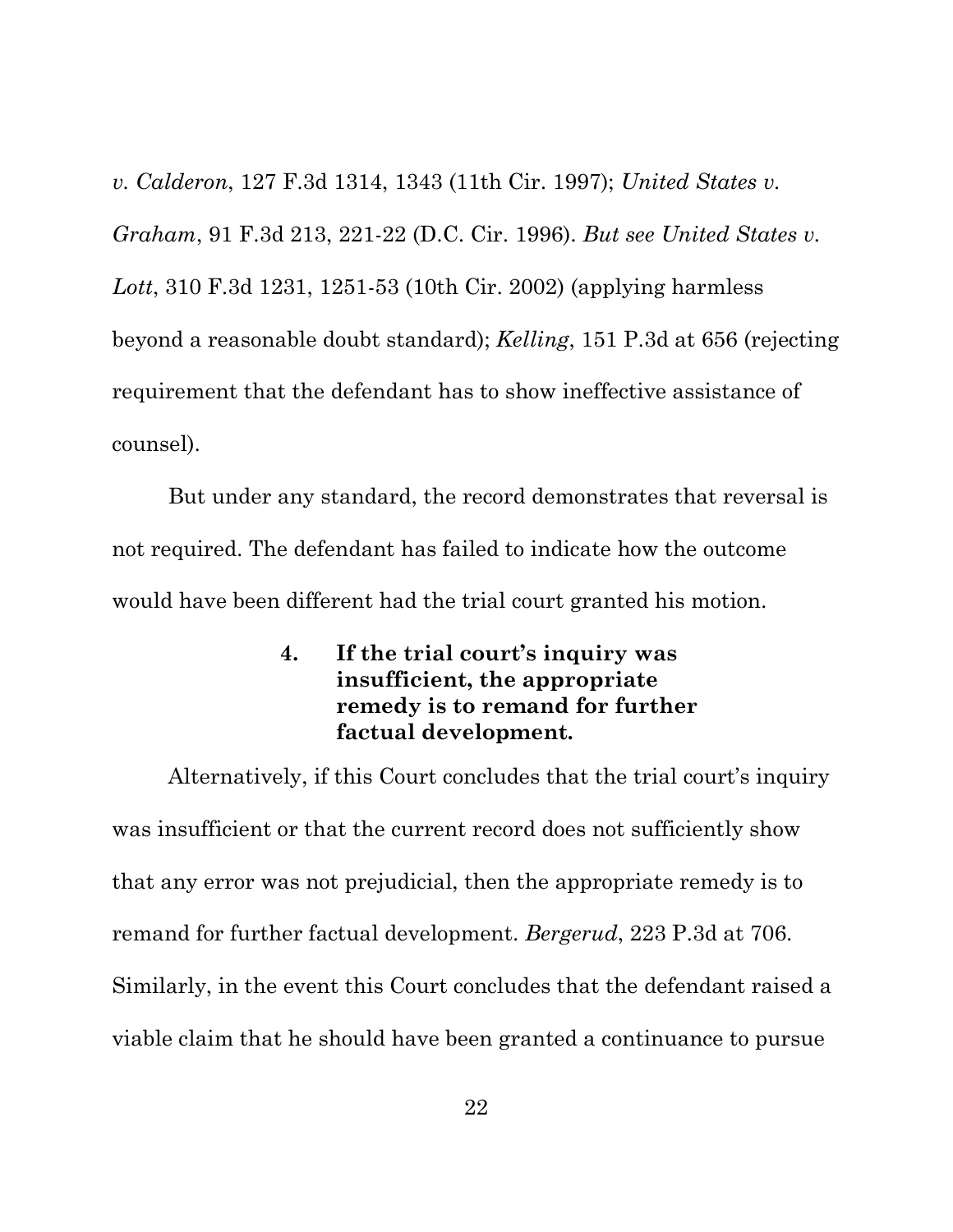*v. Calderon*, 127 F.3d 1314, 1343 (11th Cir. 1997); *United States v. Graham*, 91 F.3d 213, 221-22 (D.C. Cir. 1996). *But see United States v. Lott*, 310 F.3d 1231, 1251-53 (10th Cir. 2002) (applying harmless beyond a reasonable doubt standard); *Kelling*, 151 P.3d at 656 (rejecting requirement that the defendant has to show ineffective assistance of counsel).

But under any standard, the record demonstrates that reversal is not required. The defendant has failed to indicate how the outcome would have been different had the trial court granted his motion.

> **4. If the trial court's inquiry was insufficient, the appropriate remedy is to remand for further factual development.**

Alternatively, if this Court concludes that the trial court's inquiry was insufficient or that the current record does not sufficiently show that any error was not prejudicial, then the appropriate remedy is to remand for further factual development. *Bergerud*, 223 P.3d at 706. Similarly, in the event this Court concludes that the defendant raised a viable claim that he should have been granted a continuance to pursue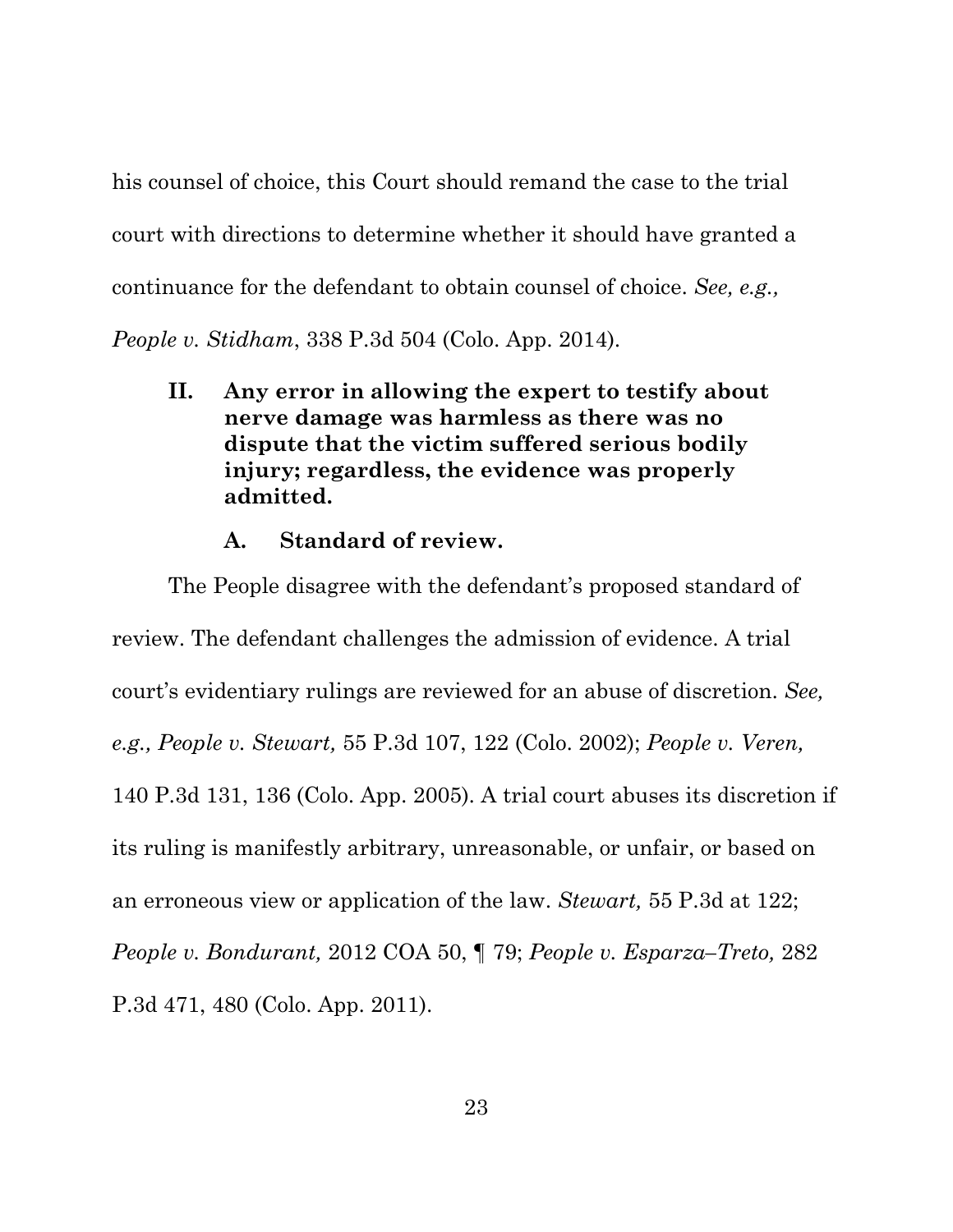his counsel of choice, this Court should remand the case to the trial court with directions to determine whether it should have granted a continuance for the defendant to obtain counsel of choice. *See, e.g.,* 

*People v. Stidham*, 338 P.3d 504 (Colo. App. 2014).

**II. Any error in allowing the expert to testify about nerve damage was harmless as there was no dispute that the victim suffered serious bodily injury; regardless, the evidence was properly admitted.** 

## **A. Standard of review.**

The People disagree with the defendant's proposed standard of review. The defendant challenges the admission of evidence. A trial court's evidentiary rulings are reviewed for an abuse of discretion. *See, e.g., People v. Stewart,* 55 P.3d 107, 122 (Colo. 2002); *People v. Veren,* 140 P.3d 131, 136 (Colo. App. 2005). A trial court abuses its discretion if its ruling is manifestly arbitrary, unreasonable, or unfair, or based on an erroneous view or application of the law. *Stewart,* 55 P.3d at 122; *People v. Bondurant,* 2012 COA 50, ¶ 79; *People v. Esparza–Treto,* 282 P.3d 471, 480 (Colo. App. 2011).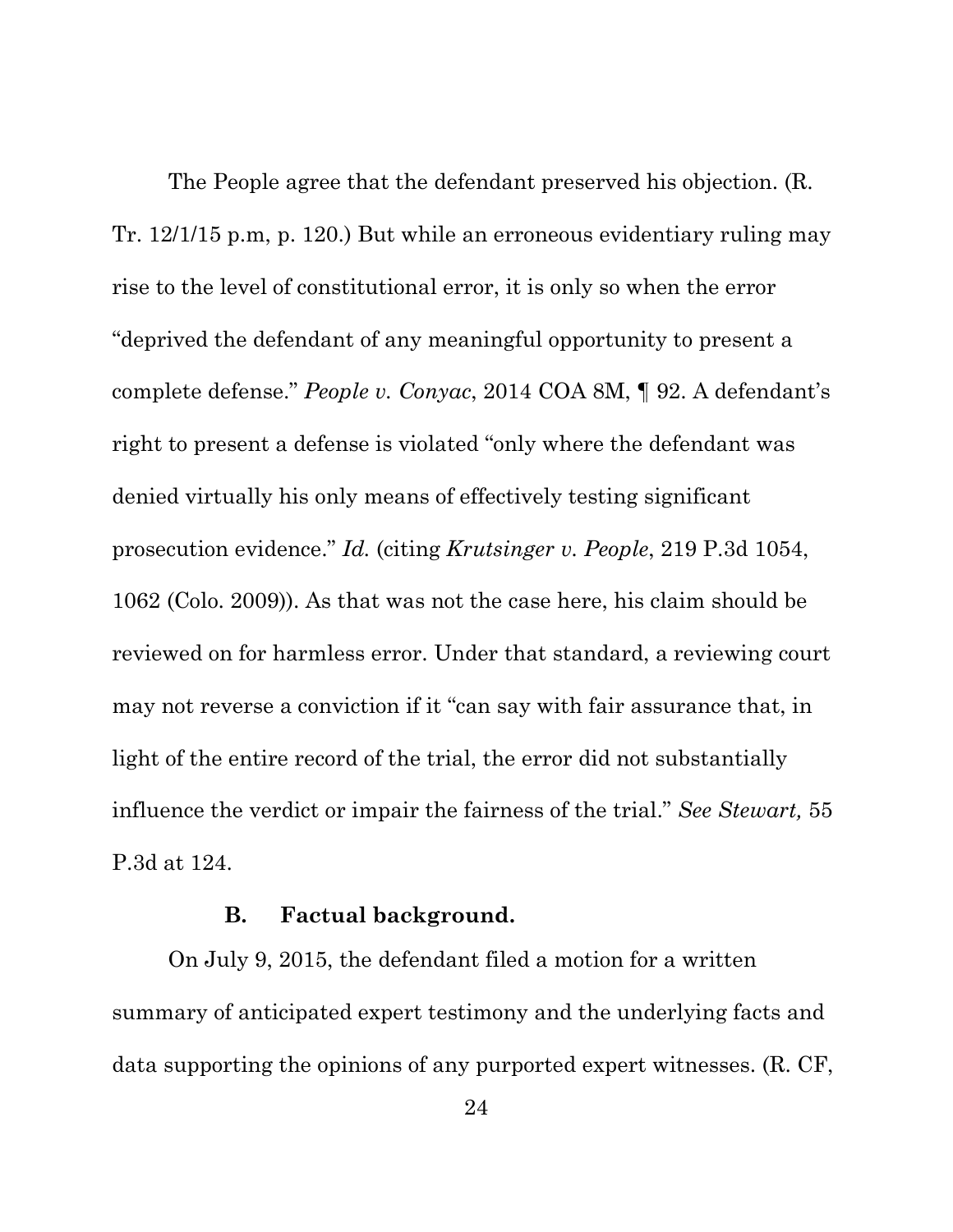The People agree that the defendant preserved his objection. (R. Tr. 12/1/15 p.m, p. 120.) But while an erroneous evidentiary ruling may rise to the level of constitutional error, it is only so when the error "deprived the defendant of any meaningful opportunity to present a complete defense." *People v. Conyac*, 2014 COA 8M, ¶ 92. A defendant's right to present a defense is violated "only where the defendant was denied virtually his only means of effectively testing significant prosecution evidence." *Id.* (citing *Krutsinger v. People*, 219 P.3d 1054, 1062 (Colo. 2009)). As that was not the case here, his claim should be reviewed on for harmless error. Under that standard, a reviewing court may not reverse a conviction if it "can say with fair assurance that, in light of the entire record of the trial, the error did not substantially influence the verdict or impair the fairness of the trial." *See Stewart,* 55 P.3d at 124.

#### **B. Factual background.**

On July 9, 2015, the defendant filed a motion for a written summary of anticipated expert testimony and the underlying facts and data supporting the opinions of any purported expert witnesses. (R. CF,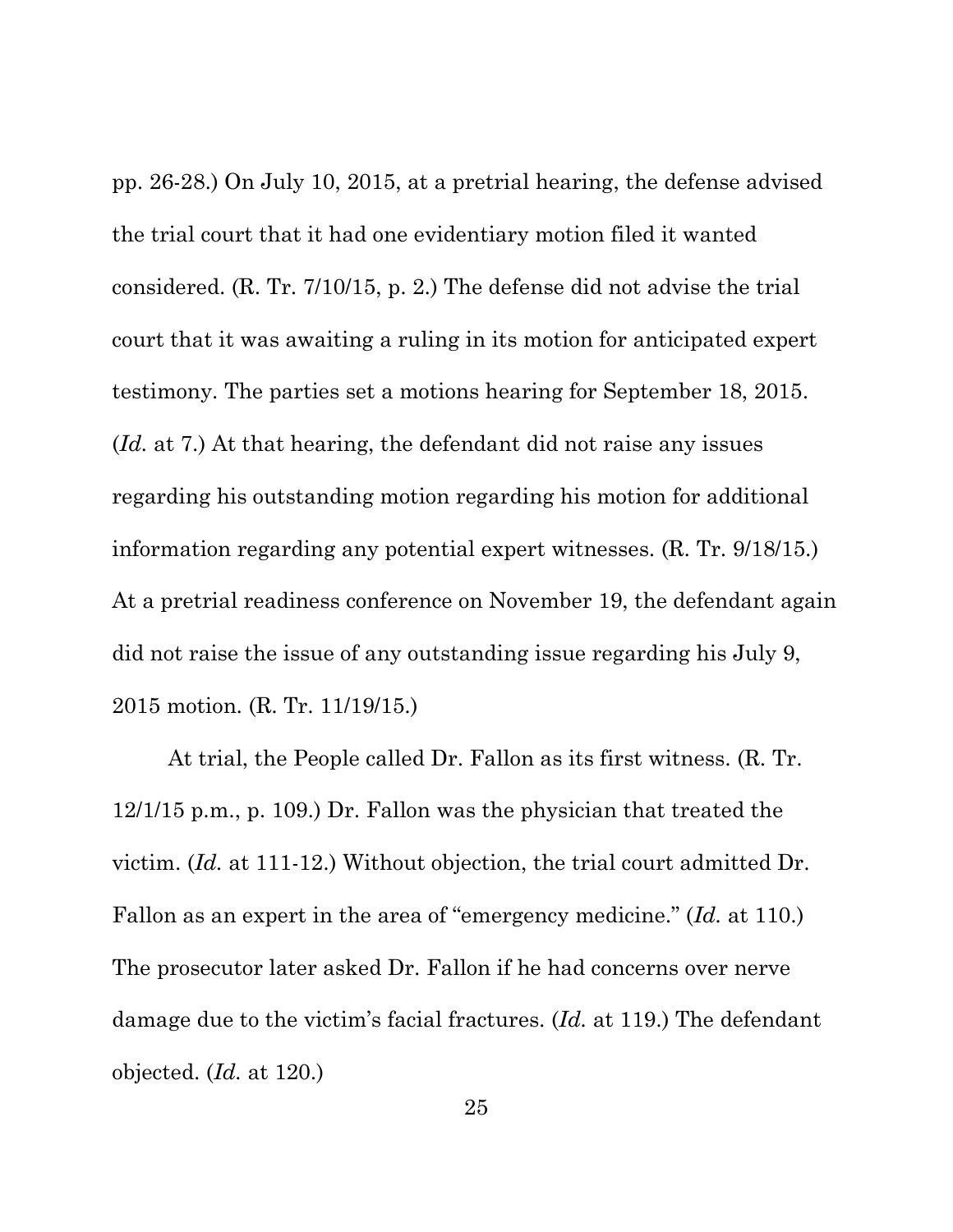pp. 26-28.) On July 10, 2015, at a pretrial hearing, the defense advised the trial court that it had one evidentiary motion filed it wanted considered. (R. Tr. 7/10/15, p. 2.) The defense did not advise the trial court that it was awaiting a ruling in its motion for anticipated expert testimony. The parties set a motions hearing for September 18, 2015. (*Id.* at 7.) At that hearing, the defendant did not raise any issues regarding his outstanding motion regarding his motion for additional information regarding any potential expert witnesses. (R. Tr. 9/18/15.) At a pretrial readiness conference on November 19, the defendant again did not raise the issue of any outstanding issue regarding his July 9, 2015 motion. (R. Tr. 11/19/15.)

At trial, the People called Dr. Fallon as its first witness. (R. Tr. 12/1/15 p.m., p. 109.) Dr. Fallon was the physician that treated the victim. (*Id.* at 111-12.) Without objection, the trial court admitted Dr. Fallon as an expert in the area of "emergency medicine." (*Id.* at 110.) The prosecutor later asked Dr. Fallon if he had concerns over nerve damage due to the victim's facial fractures. (*Id.* at 119.) The defendant objected. (*Id.* at 120.)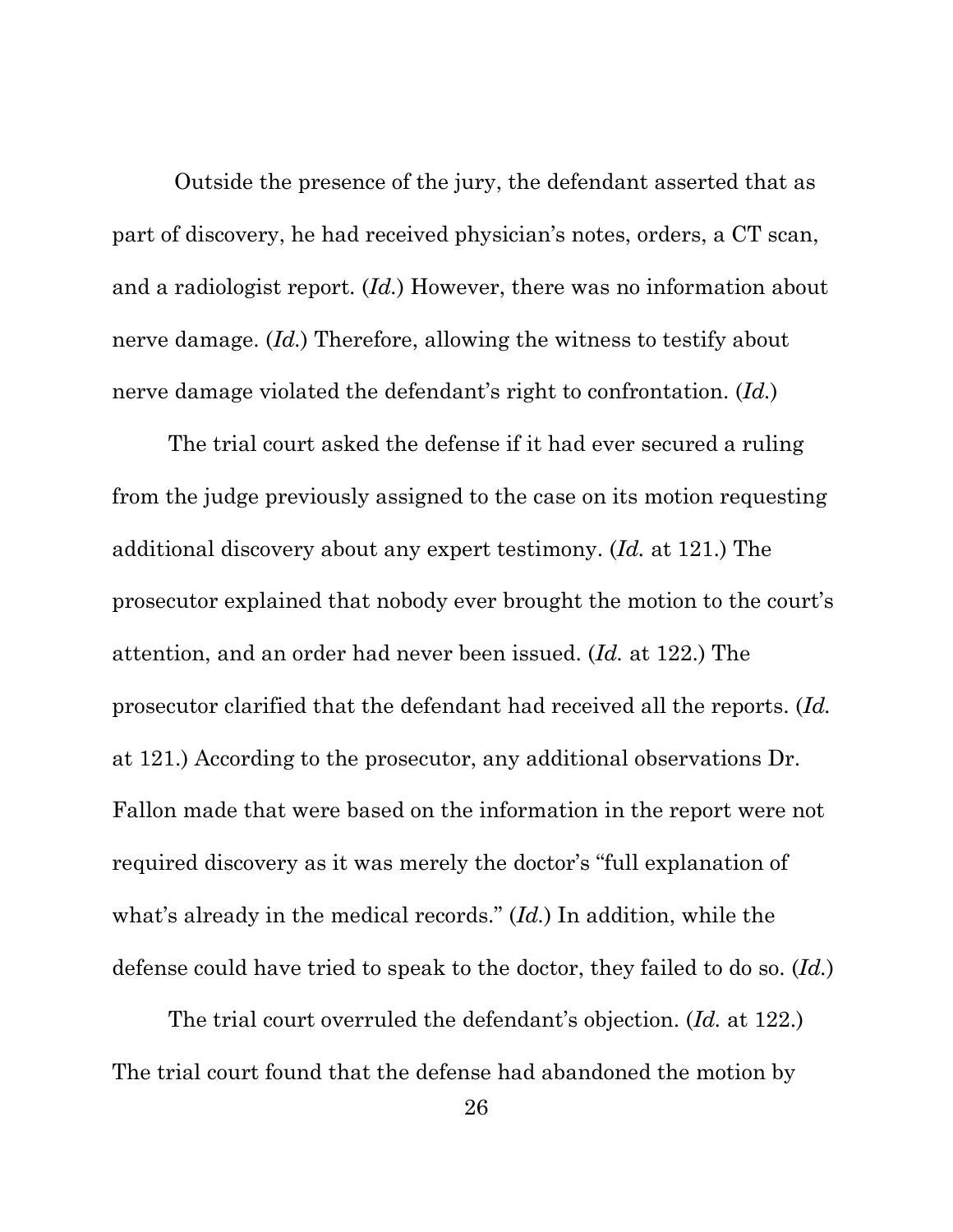Outside the presence of the jury, the defendant asserted that as part of discovery, he had received physician's notes, orders, a CT scan, and a radiologist report. (*Id.*) However, there was no information about nerve damage. (*Id.*) Therefore, allowing the witness to testify about nerve damage violated the defendant's right to confrontation. (*Id.*)

The trial court asked the defense if it had ever secured a ruling from the judge previously assigned to the case on its motion requesting additional discovery about any expert testimony. (*Id.* at 121.) The prosecutor explained that nobody ever brought the motion to the court's attention, and an order had never been issued. (*Id.* at 122.) The prosecutor clarified that the defendant had received all the reports. (*Id.* at 121.) According to the prosecutor, any additional observations Dr. Fallon made that were based on the information in the report were not required discovery as it was merely the doctor's "full explanation of what's already in the medical records." (*Id.*) In addition, while the defense could have tried to speak to the doctor, they failed to do so. (*Id.*)

The trial court overruled the defendant's objection. (*Id.* at 122.) The trial court found that the defense had abandoned the motion by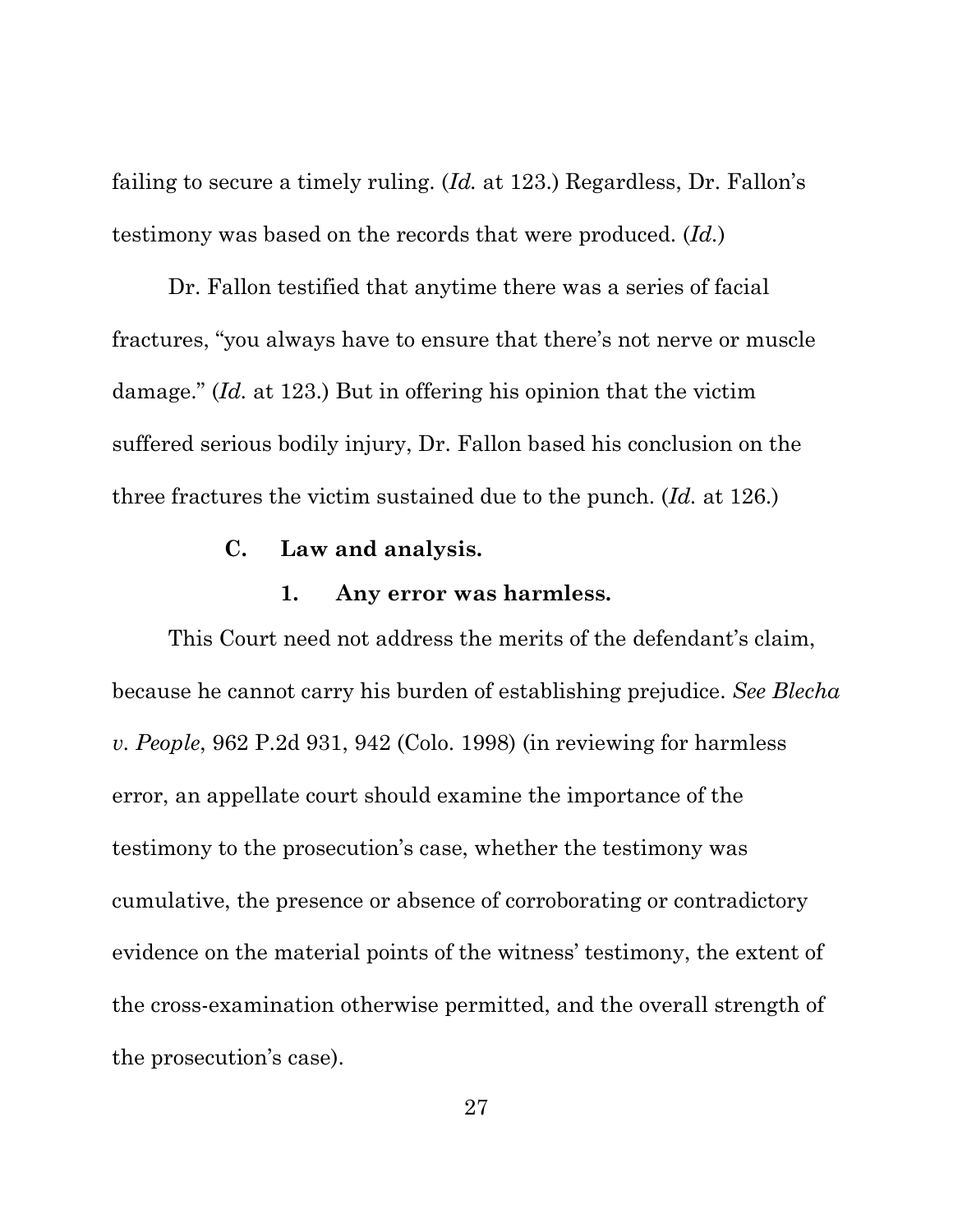failing to secure a timely ruling. (*Id.* at 123.) Regardless, Dr. Fallon's testimony was based on the records that were produced. (*Id.*)

Dr. Fallon testified that anytime there was a series of facial fractures, "you always have to ensure that there's not nerve or muscle damage." (*Id.* at 123.) But in offering his opinion that the victim suffered serious bodily injury, Dr. Fallon based his conclusion on the three fractures the victim sustained due to the punch. (*Id.* at 126.)

## **C. Law and analysis.**

#### **1. Any error was harmless.**

This Court need not address the merits of the defendant's claim, because he cannot carry his burden of establishing prejudice. *See Blecha v. People*, 962 P.2d 931, 942 (Colo. 1998) (in reviewing for harmless error, an appellate court should examine the importance of the testimony to the prosecution's case, whether the testimony was cumulative, the presence or absence of corroborating or contradictory evidence on the material points of the witness' testimony, the extent of the cross-examination otherwise permitted, and the overall strength of the prosecution's case).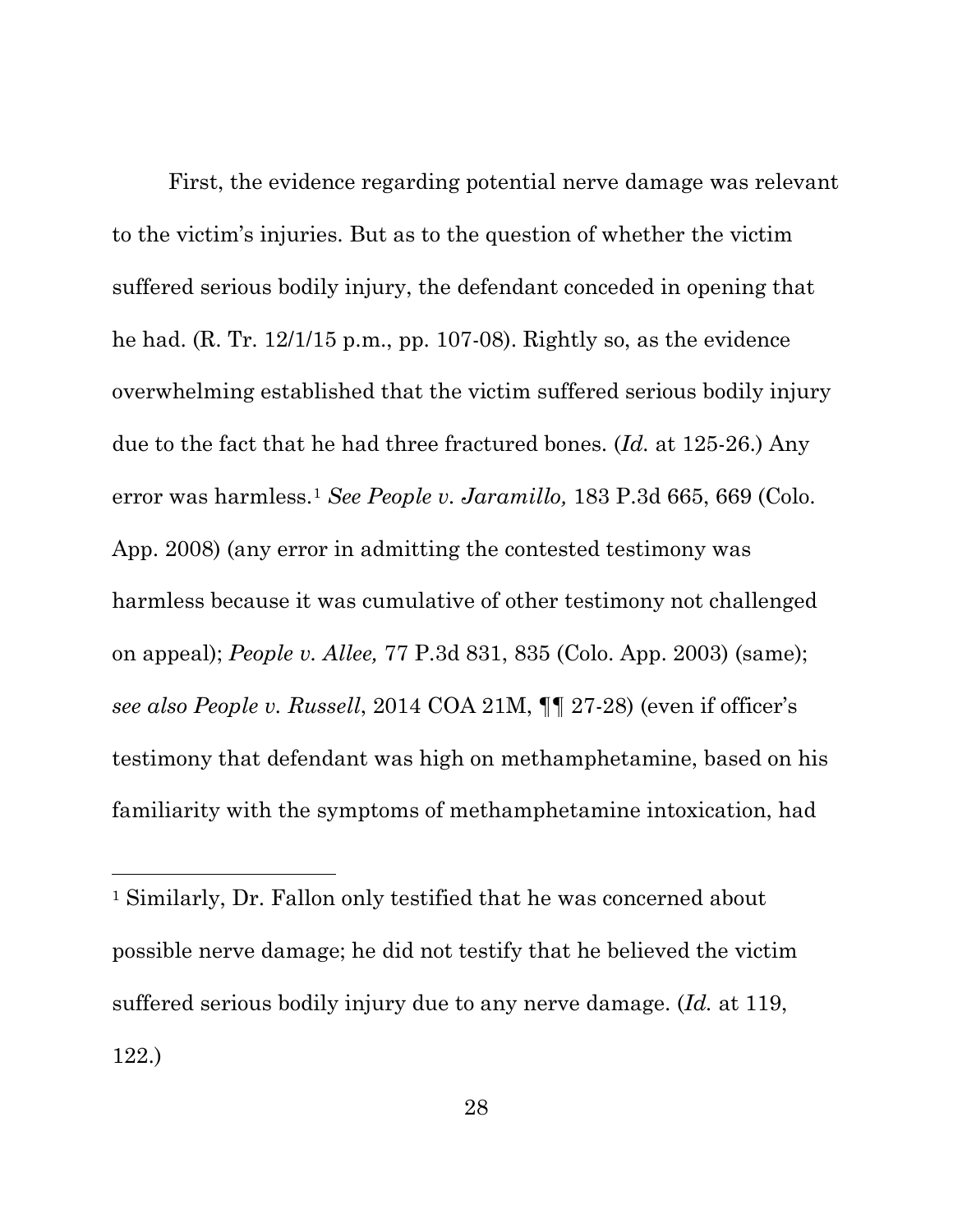First, the evidence regarding potential nerve damage was relevant to the victim's injuries. But as to the question of whether the victim suffered serious bodily injury, the defendant conceded in opening that he had. (R. Tr. 12/1/15 p.m., pp. 107-08). Rightly so, as the evidence overwhelming established that the victim suffered serious bodily injury due to the fact that he had three fractured bones. (*Id.* at 125-26.) Any error was harmless.[1](#page-36-0) *See People v. Jaramillo,* 183 P.3d 665, 669 (Colo. App. 2008) (any error in admitting the contested testimony was harmless because it was cumulative of other testimony not challenged on appeal); *People v. Allee,* 77 P.3d 831, 835 (Colo. App. 2003) (same); *see also People v. Russell*, 2014 COA 21M, ¶¶ 27-28) (even if officer's testimony that defendant was high on methamphetamine, based on his familiarity with the symptoms of methamphetamine intoxication, had

 $\overline{a}$ 

<span id="page-36-0"></span><sup>1</sup> Similarly, Dr. Fallon only testified that he was concerned about possible nerve damage; he did not testify that he believed the victim suffered serious bodily injury due to any nerve damage. (*Id.* at 119, 122.)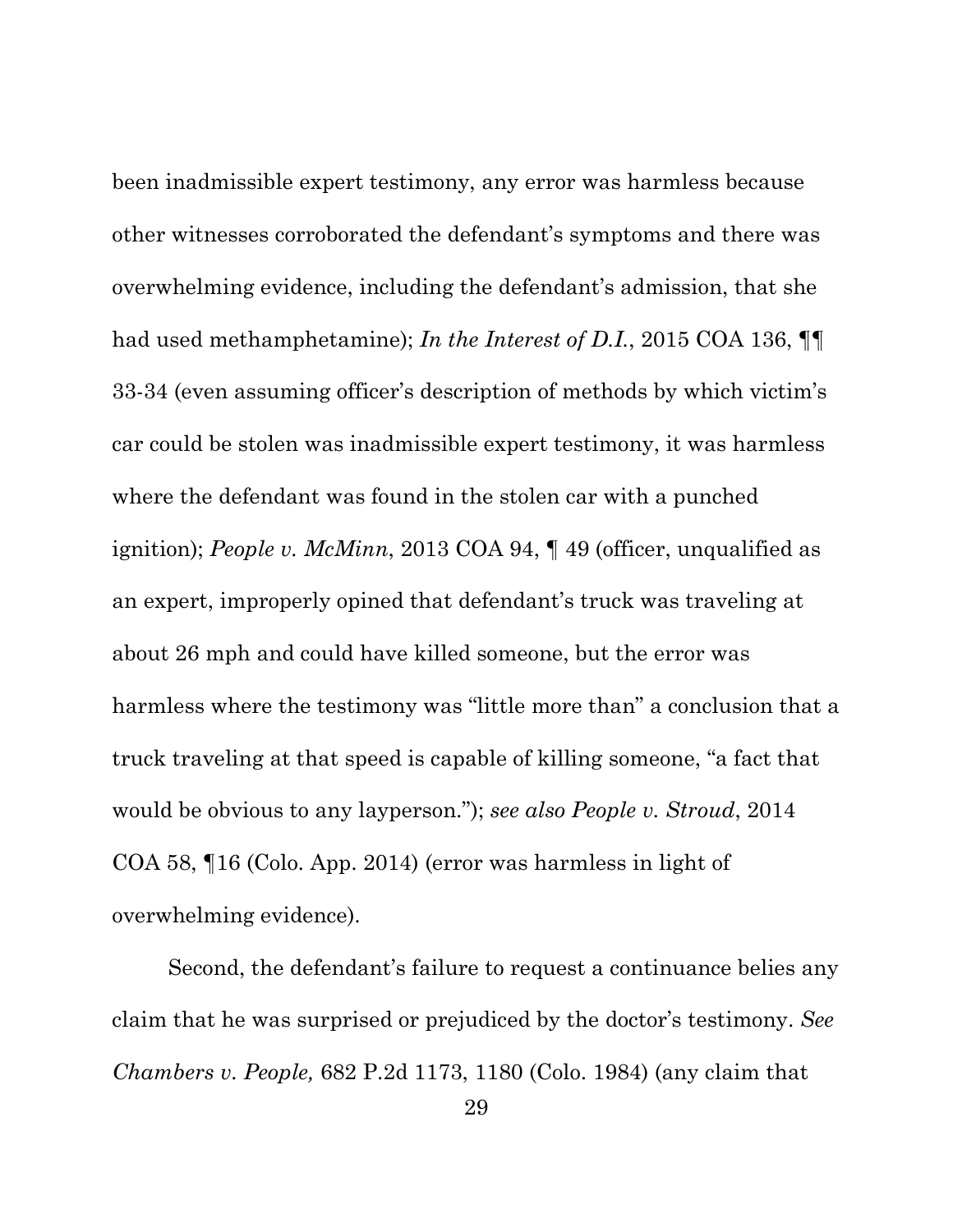been inadmissible expert testimony, any error was harmless because other witnesses corroborated the defendant's symptoms and there was overwhelming evidence, including the defendant's admission, that she had used methamphetamine); *In the Interest of D.I.*, 2015 COA 136, ¶¶ 33-34 (even assuming officer's description of methods by which victim's car could be stolen was inadmissible expert testimony, it was harmless where the defendant was found in the stolen car with a punched ignition); *People v. McMinn*, 2013 COA 94, ¶ 49 (officer, unqualified as an expert, improperly opined that defendant's truck was traveling at about 26 mph and could have killed someone, but the error was harmless where the testimony was "little more than" a conclusion that a truck traveling at that speed is capable of killing someone, "a fact that would be obvious to any layperson."); *see also People v. Stroud*, 2014 COA 58, ¶16 (Colo. App. 2014) (error was harmless in light of overwhelming evidence).

Second, the defendant's failure to request a continuance belies any claim that he was surprised or prejudiced by the doctor's testimony. *See Chambers v. People,* 682 P.2d 1173, 1180 (Colo. 1984) (any claim that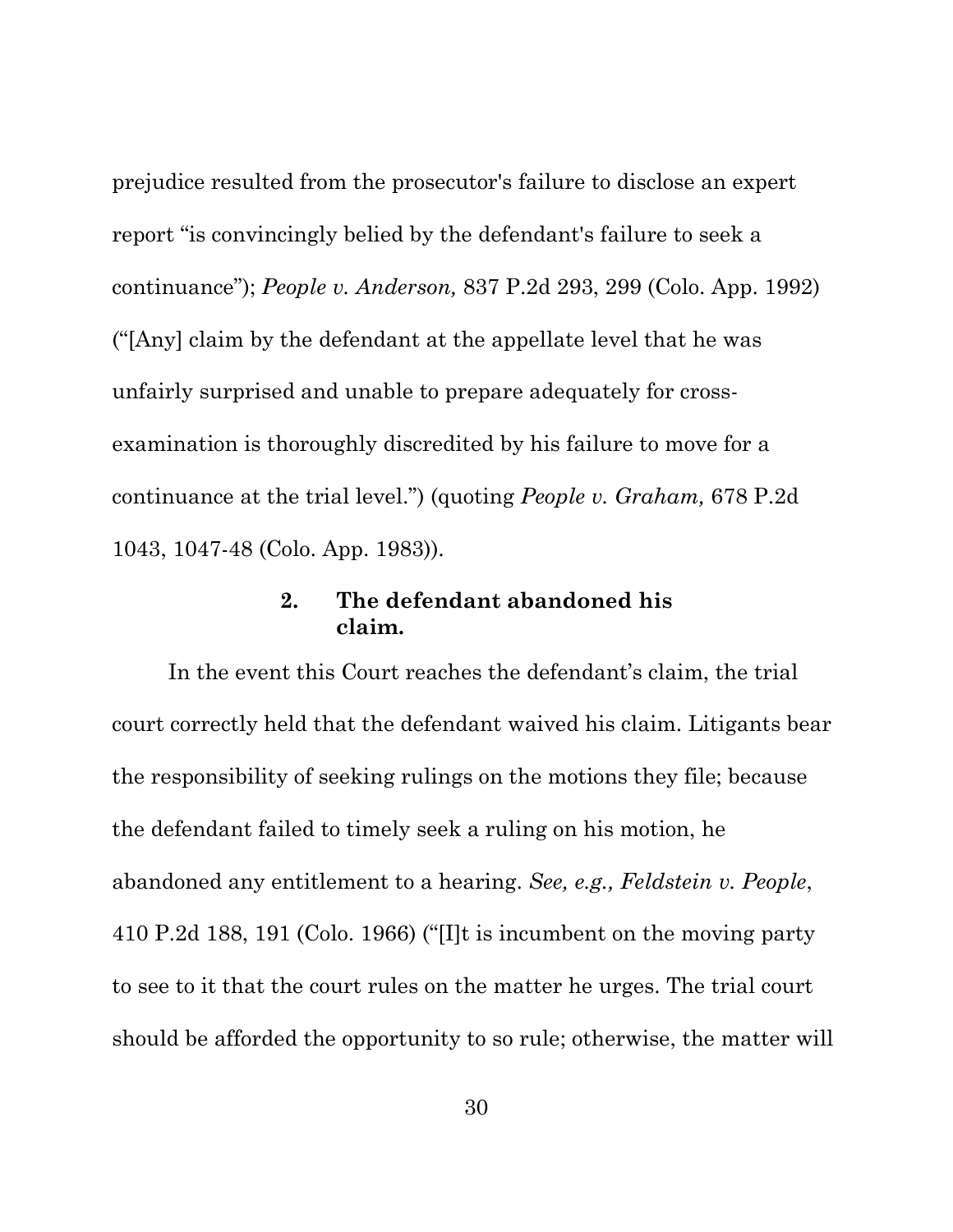prejudice resulted from the prosecutor's failure to disclose an expert report "is convincingly belied by the defendant's failure to seek a continuance"); *People v. Anderson,* 837 P.2d 293, 299 (Colo. App. 1992) ("[Any] claim by the defendant at the appellate level that he was unfairly surprised and unable to prepare adequately for crossexamination is thoroughly discredited by his failure to move for a continuance at the trial level.") (quoting *People v. Graham,* 678 P.2d 1043, 1047-48 (Colo. App. 1983)).

## **2. The defendant abandoned his claim.**

In the event this Court reaches the defendant's claim, the trial court correctly held that the defendant waived his claim. Litigants bear the responsibility of seeking rulings on the motions they file; because the defendant failed to timely seek a ruling on his motion, he abandoned any entitlement to a hearing. *See, e.g., Feldstein v. People*, 410 P.2d 188, 191 (Colo. 1966) ("[I]t is incumbent on the moving party to see to it that the court rules on the matter he urges. The trial court should be afforded the opportunity to so rule; otherwise, the matter will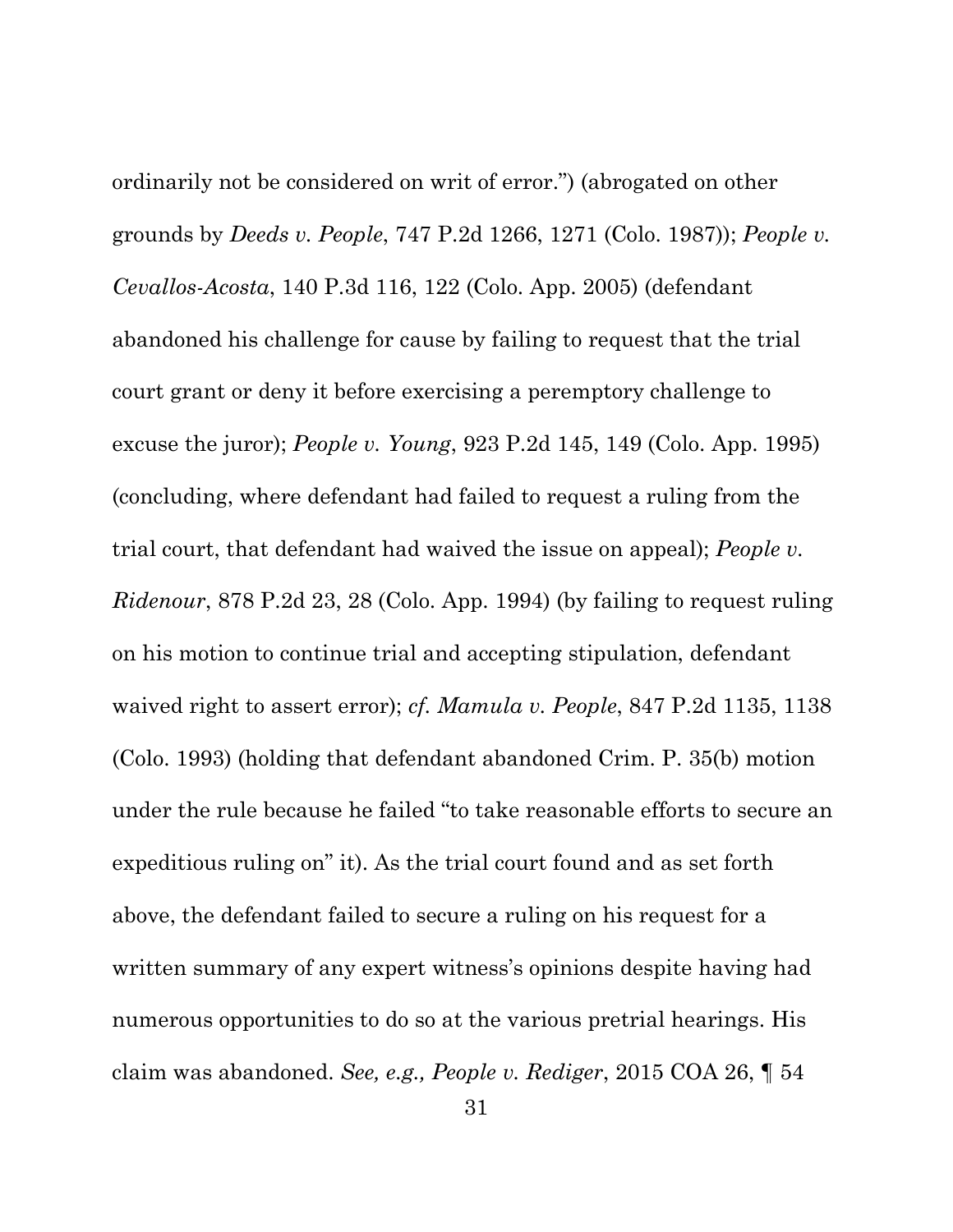ordinarily not be considered on writ of error.") (abrogated on other grounds by *Deeds v. People*, 747 P.2d 1266, 1271 (Colo. 1987)); *People v. Cevallos-Acosta*, 140 P.3d 116, 122 (Colo. App. 2005) (defendant abandoned his challenge for cause by failing to request that the trial court grant or deny it before exercising a peremptory challenge to excuse the juror); *People v. Young*, 923 P.2d 145, 149 (Colo. App. 1995) (concluding, where defendant had failed to request a ruling from the trial court, that defendant had waived the issue on appeal); *People v. Ridenour*, 878 P.2d 23, 28 (Colo. App. 1994) (by failing to request ruling on his motion to continue trial and accepting stipulation, defendant waived right to assert error); *cf. Mamula v. People*, 847 P.2d 1135, 1138 (Colo. 1993) (holding that defendant abandoned Crim. P. 35(b) motion under the rule because he failed "to take reasonable efforts to secure an expeditious ruling on" it). As the trial court found and as set forth above, the defendant failed to secure a ruling on his request for a written summary of any expert witness's opinions despite having had numerous opportunities to do so at the various pretrial hearings. His claim was abandoned. *See, e.g., People v. Rediger*, 2015 COA 26, ¶ 54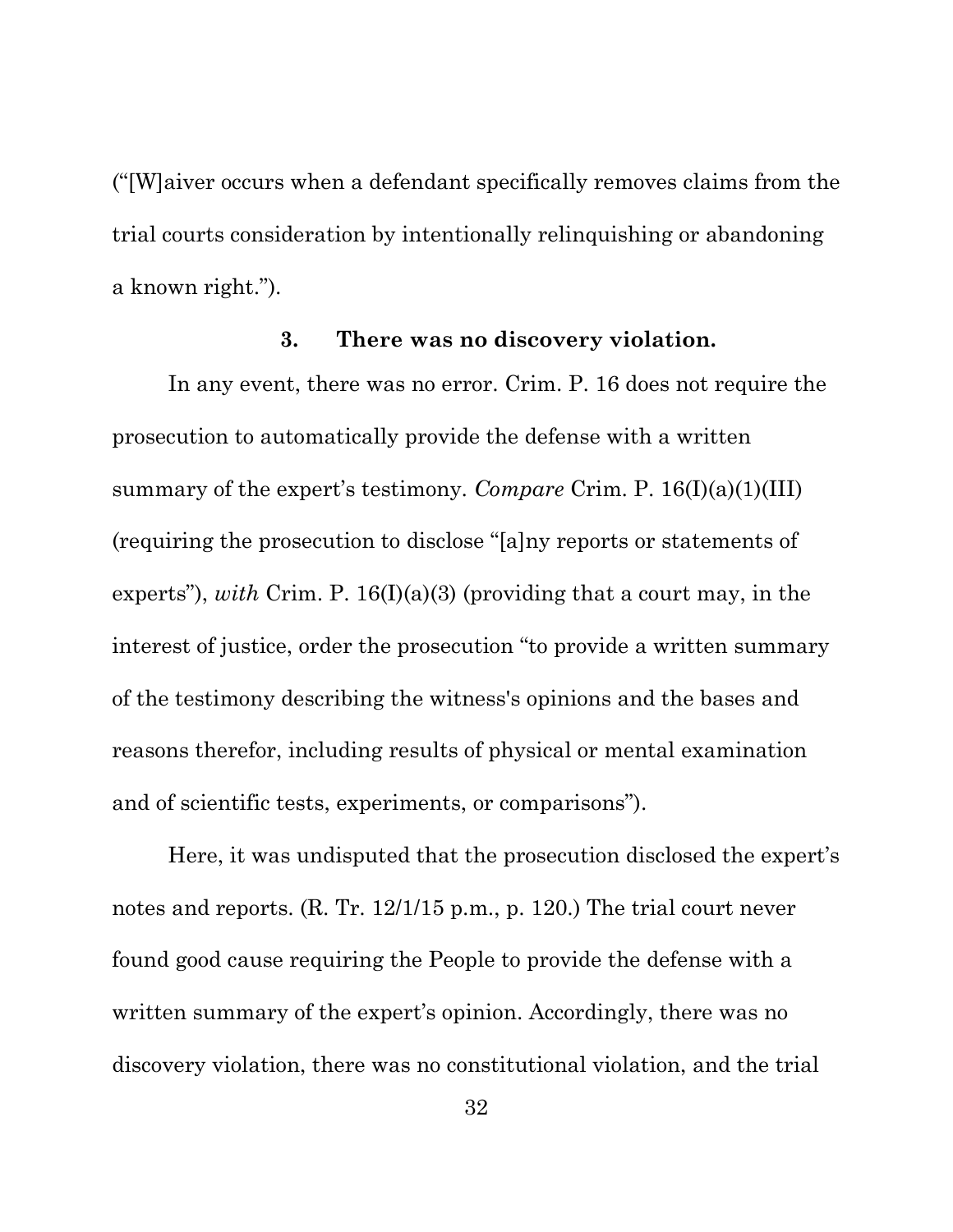("[W]aiver occurs when a defendant specifically removes claims from the trial courts consideration by intentionally relinquishing or abandoning a known right.").

#### **3. There was no discovery violation.**

In any event, there was no error. Crim. P. 16 does not require the prosecution to automatically provide the defense with a written summary of the expert's testimony. *Compare* Crim. P. 16(I)(a)(1)(III) (requiring the prosecution to disclose "[a]ny reports or statements of experts"), *with* Crim. P. 16(I)(a)(3) (providing that a court may, in the interest of justice, order the prosecution "to provide a written summary of the testimony describing the witness's opinions and the bases and reasons therefor, including results of physical or mental examination and of scientific tests, experiments, or comparisons").

Here, it was undisputed that the prosecution disclosed the expert's notes and reports. (R. Tr. 12/1/15 p.m., p. 120.) The trial court never found good cause requiring the People to provide the defense with a written summary of the expert's opinion. Accordingly, there was no discovery violation, there was no constitutional violation, and the trial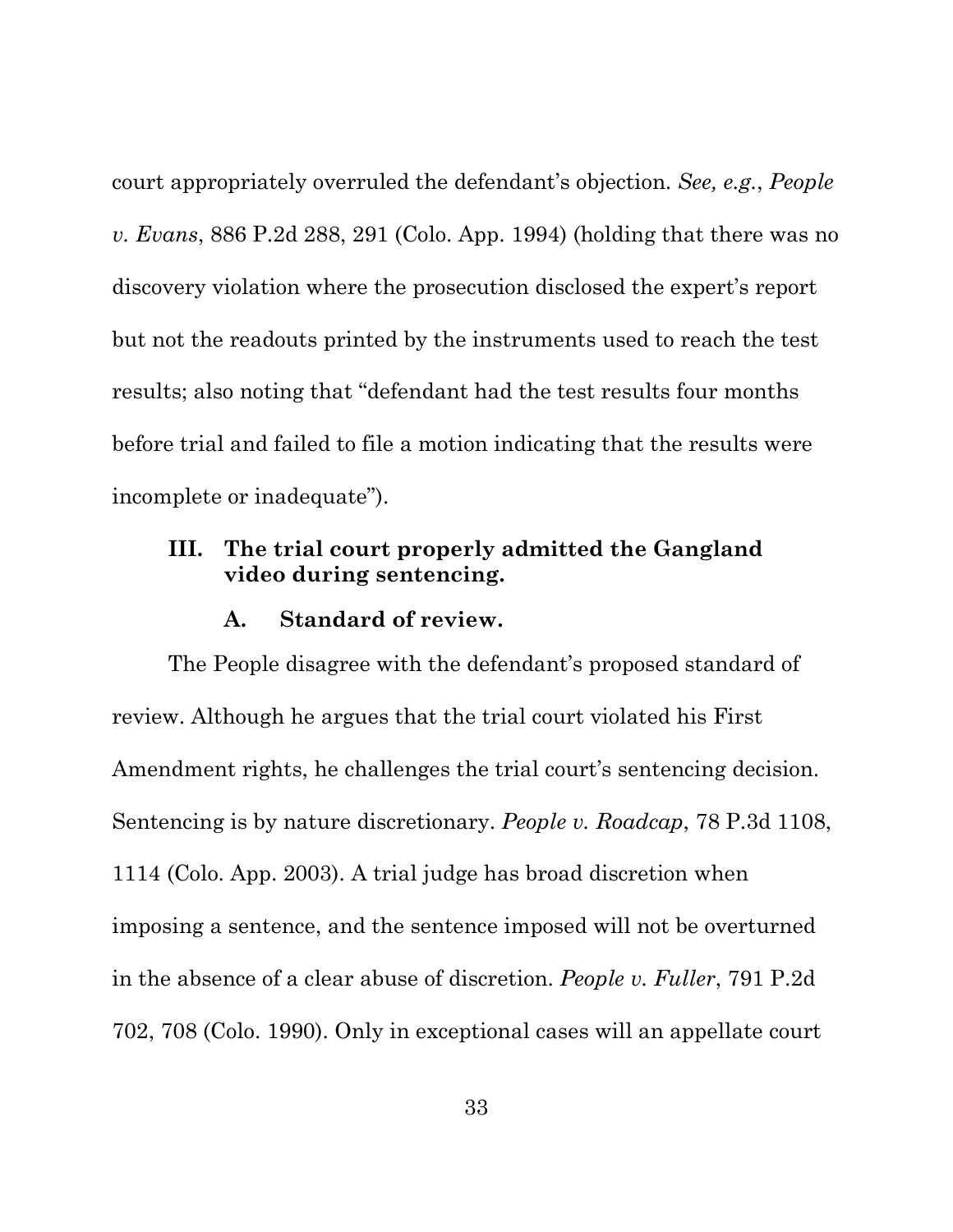court appropriately overruled the defendant's objection. *See, e.g.*, *People v. Evans*, 886 P.2d 288, 291 (Colo. App. 1994) (holding that there was no discovery violation where the prosecution disclosed the expert's report but not the readouts printed by the instruments used to reach the test results; also noting that "defendant had the test results four months before trial and failed to file a motion indicating that the results were incomplete or inadequate").

## **III. The trial court properly admitted the Gangland video during sentencing.**

#### **A. Standard of review.**

The People disagree with the defendant's proposed standard of review. Although he argues that the trial court violated his First Amendment rights, he challenges the trial court's sentencing decision. Sentencing is by nature discretionary. *People v. Roadcap*, 78 P.3d 1108, 1114 (Colo. App. 2003). A trial judge has broad discretion when imposing a sentence, and the sentence imposed will not be overturned in the absence of a clear abuse of discretion. *People v. Fuller*, 791 P.2d 702, 708 (Colo. 1990). Only in exceptional cases will an appellate court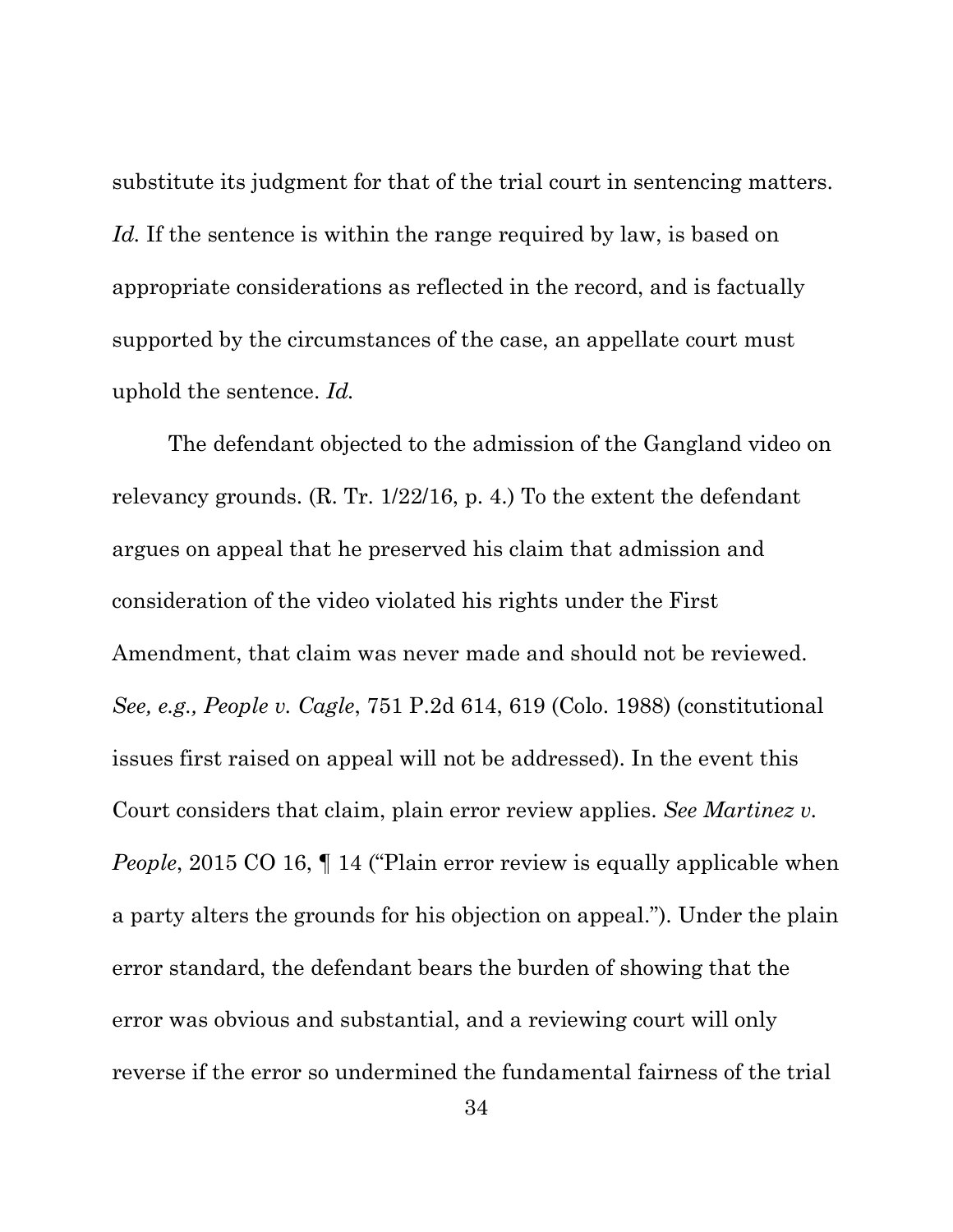substitute its judgment for that of the trial court in sentencing matters. Id. If the sentence is within the range required by law, is based on appropriate considerations as reflected in the record, and is factually supported by the circumstances of the case, an appellate court must uphold the sentence. *Id.*

The defendant objected to the admission of the Gangland video on relevancy grounds. (R. Tr. 1/22/16, p. 4.) To the extent the defendant argues on appeal that he preserved his claim that admission and consideration of the video violated his rights under the First Amendment, that claim was never made and should not be reviewed. *See, e.g., People v. Cagle*, 751 P.2d 614, 619 (Colo. 1988) (constitutional issues first raised on appeal will not be addressed). In the event this Court considers that claim, plain error review applies. *See Martinez v. People*, 2015 CO 16, 14 ("Plain error review is equally applicable when a party alters the grounds for his objection on appeal."). Under the plain error standard, the defendant bears the burden of showing that the error was obvious and substantial, and a reviewing court will only reverse if the error so undermined the fundamental fairness of the trial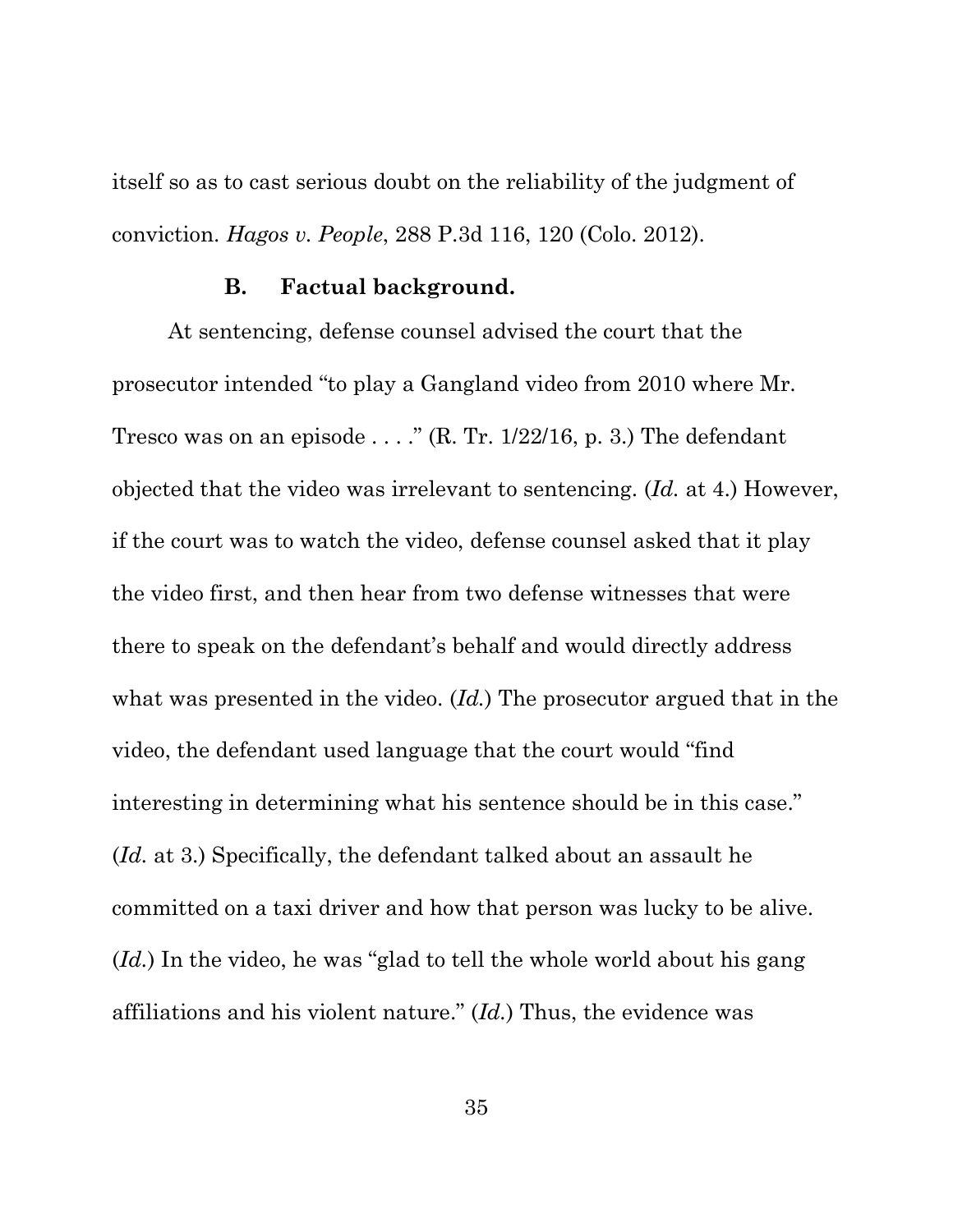itself so as to cast serious doubt on the reliability of the judgment of conviction. *Hagos v. People*, 288 P.3d 116, 120 (Colo. 2012).

#### **B. Factual background.**

At sentencing, defense counsel advised the court that the prosecutor intended "to play a Gangland video from 2010 where Mr. Tresco was on an episode ...."  $(R, Tr. 1/22/16, p. 3)$ . The defendant objected that the video was irrelevant to sentencing. (*Id.* at 4.) However, if the court was to watch the video, defense counsel asked that it play the video first, and then hear from two defense witnesses that were there to speak on the defendant's behalf and would directly address what was presented in the video. (*Id.*) The prosecutor argued that in the video, the defendant used language that the court would "find interesting in determining what his sentence should be in this case." (*Id.* at 3.) Specifically, the defendant talked about an assault he committed on a taxi driver and how that person was lucky to be alive. (*Id.*) In the video, he was "glad to tell the whole world about his gang affiliations and his violent nature." (*Id.*) Thus, the evidence was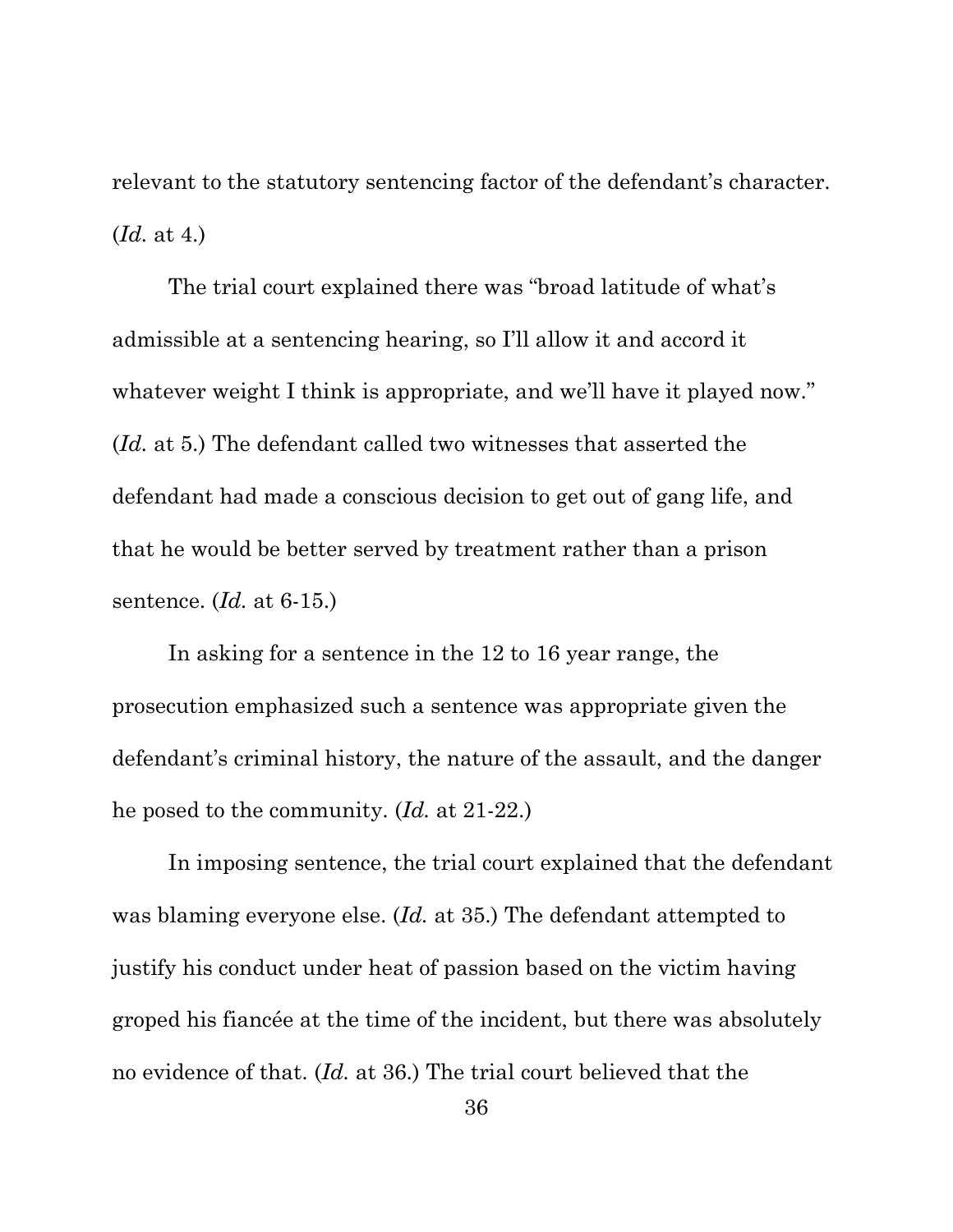relevant to the statutory sentencing factor of the defendant's character. (*Id.* at 4.)

The trial court explained there was "broad latitude of what's admissible at a sentencing hearing, so I'll allow it and accord it whatever weight I think is appropriate, and we'll have it played now." (*Id.* at 5.) The defendant called two witnesses that asserted the defendant had made a conscious decision to get out of gang life, and that he would be better served by treatment rather than a prison sentence. (*Id.* at 6-15.)

In asking for a sentence in the 12 to 16 year range, the prosecution emphasized such a sentence was appropriate given the defendant's criminal history, the nature of the assault, and the danger he posed to the community. (*Id.* at 21-22.)

In imposing sentence, the trial court explained that the defendant was blaming everyone else. (*Id.* at 35.) The defendant attempted to justify his conduct under heat of passion based on the victim having groped his fiancée at the time of the incident, but there was absolutely no evidence of that. (*Id.* at 36.) The trial court believed that the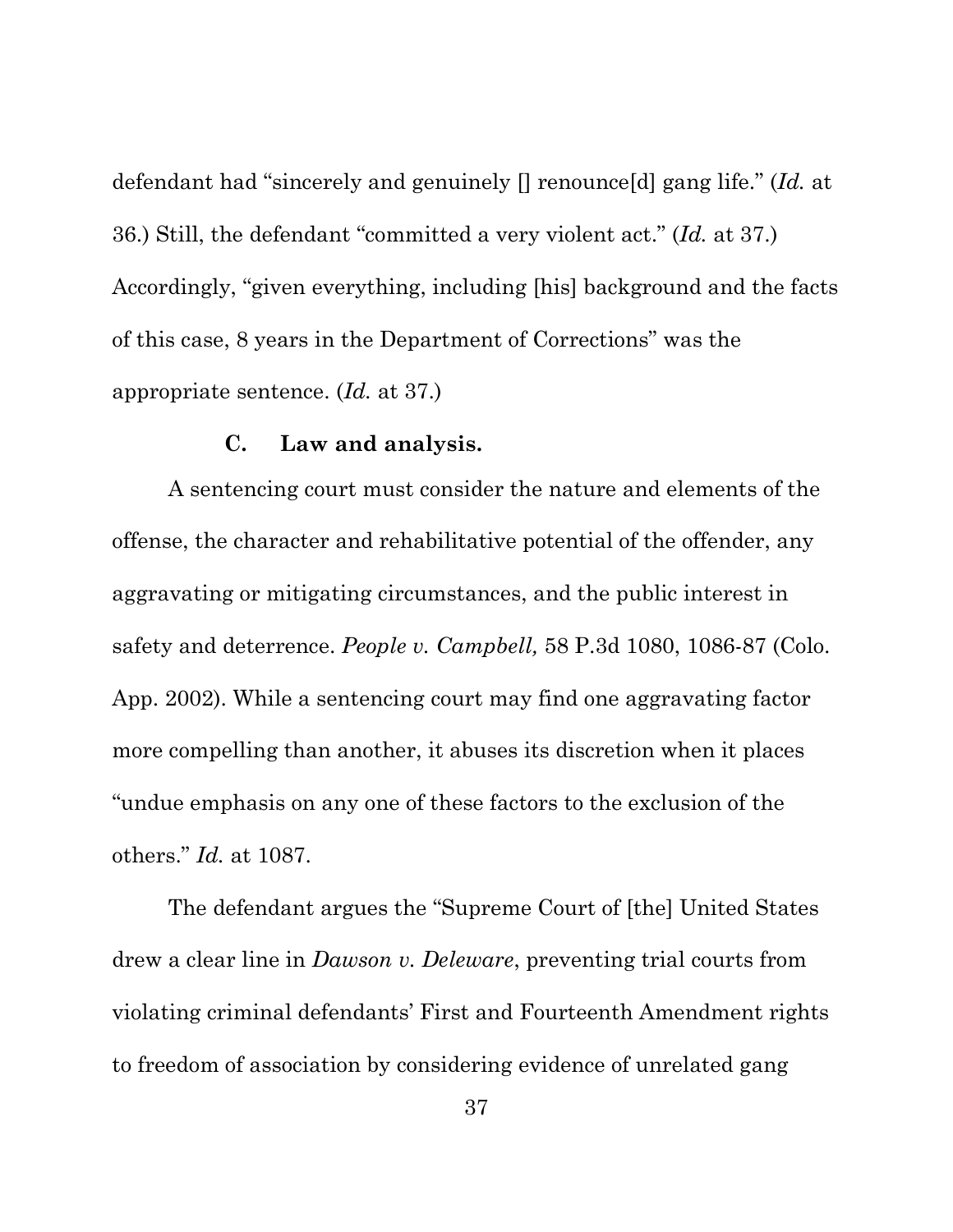defendant had "sincerely and genuinely [] renounce[d] gang life." (*Id.* at 36.) Still, the defendant "committed a very violent act." (*Id.* at 37.) Accordingly, "given everything, including [his] background and the facts of this case, 8 years in the Department of Corrections" was the appropriate sentence. (*Id.* at 37.)

## **C. Law and analysis.**

A sentencing court must consider the nature and elements of the offense, the character and rehabilitative potential of the offender, any aggravating or mitigating circumstances, and the public interest in safety and deterrence. *People v. Campbell,* 58 P.3d 1080, 1086-87 (Colo. App. 2002). While a sentencing court may find one aggravating factor more compelling than another, it abuses its discretion when it places "undue emphasis on any one of these factors to the exclusion of the others." *Id.* at 1087.

The defendant argues the "Supreme Court of [the] United States drew a clear line in *Dawson v. Deleware*, preventing trial courts from violating criminal defendants' First and Fourteenth Amendment rights to freedom of association by considering evidence of unrelated gang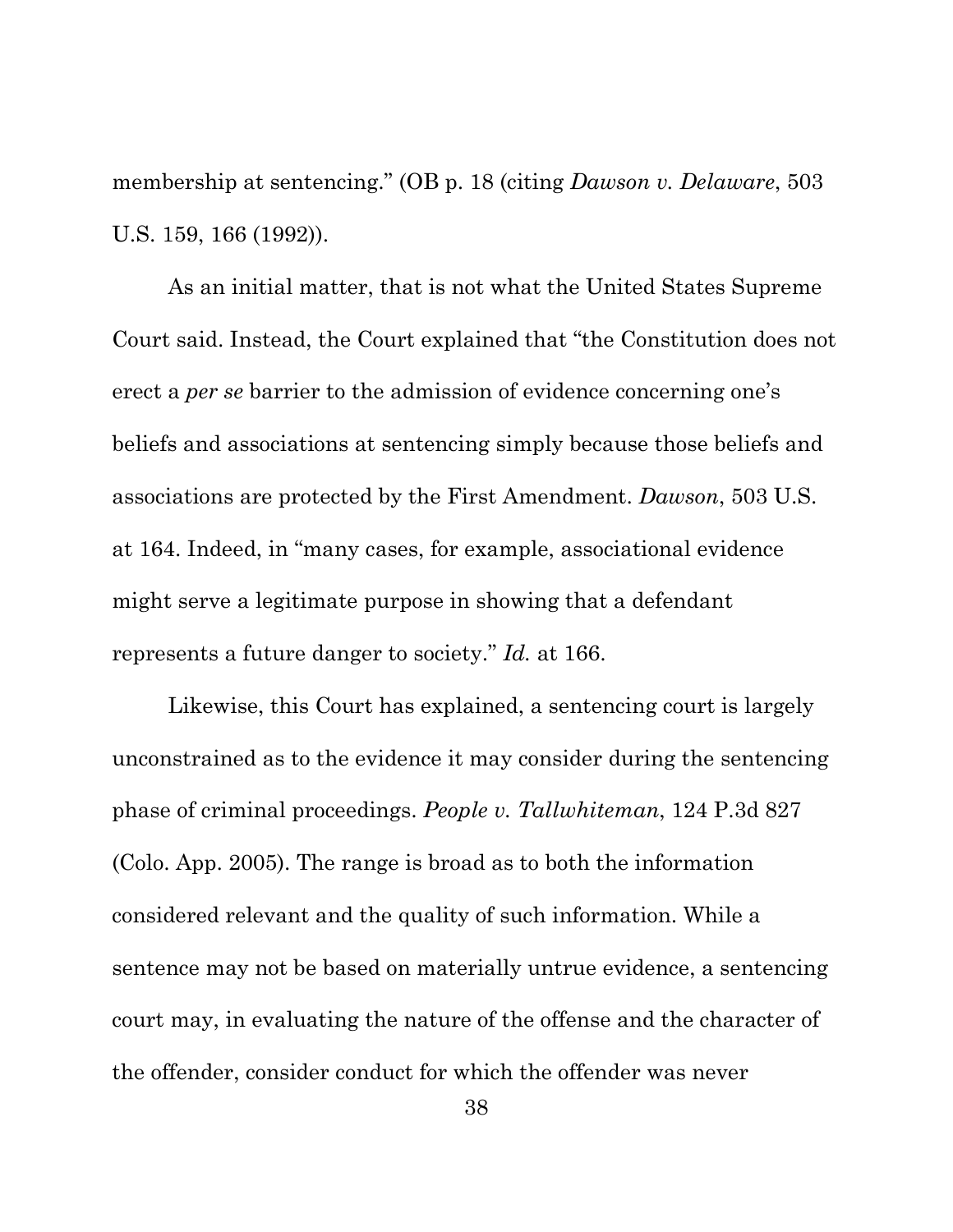membership at sentencing." (OB p. 18 (citing *Dawson v. Delaware*, 503 U.S. 159, 166 (1992)).

As an initial matter, that is not what the United States Supreme Court said. Instead, the Court explained that "the Constitution does not erect a *per se* barrier to the admission of evidence concerning one's beliefs and associations at sentencing simply because those beliefs and associations are protected by the First Amendment. *Dawson*, 503 U.S. at 164. Indeed, in "many cases, for example, associational evidence might serve a legitimate purpose in showing that a defendant represents a future danger to society." *Id.* at 166.

Likewise, this Court has explained, a sentencing court is largely unconstrained as to the evidence it may consider during the sentencing phase of criminal proceedings. *People v. Tallwhiteman*, 124 P.3d 827 (Colo. App. 2005). The range is broad as to both the information considered relevant and the quality of such information. While a sentence may not be based on materially untrue evidence, a sentencing court may, in evaluating the nature of the offense and the character of the offender, consider conduct for which the offender was never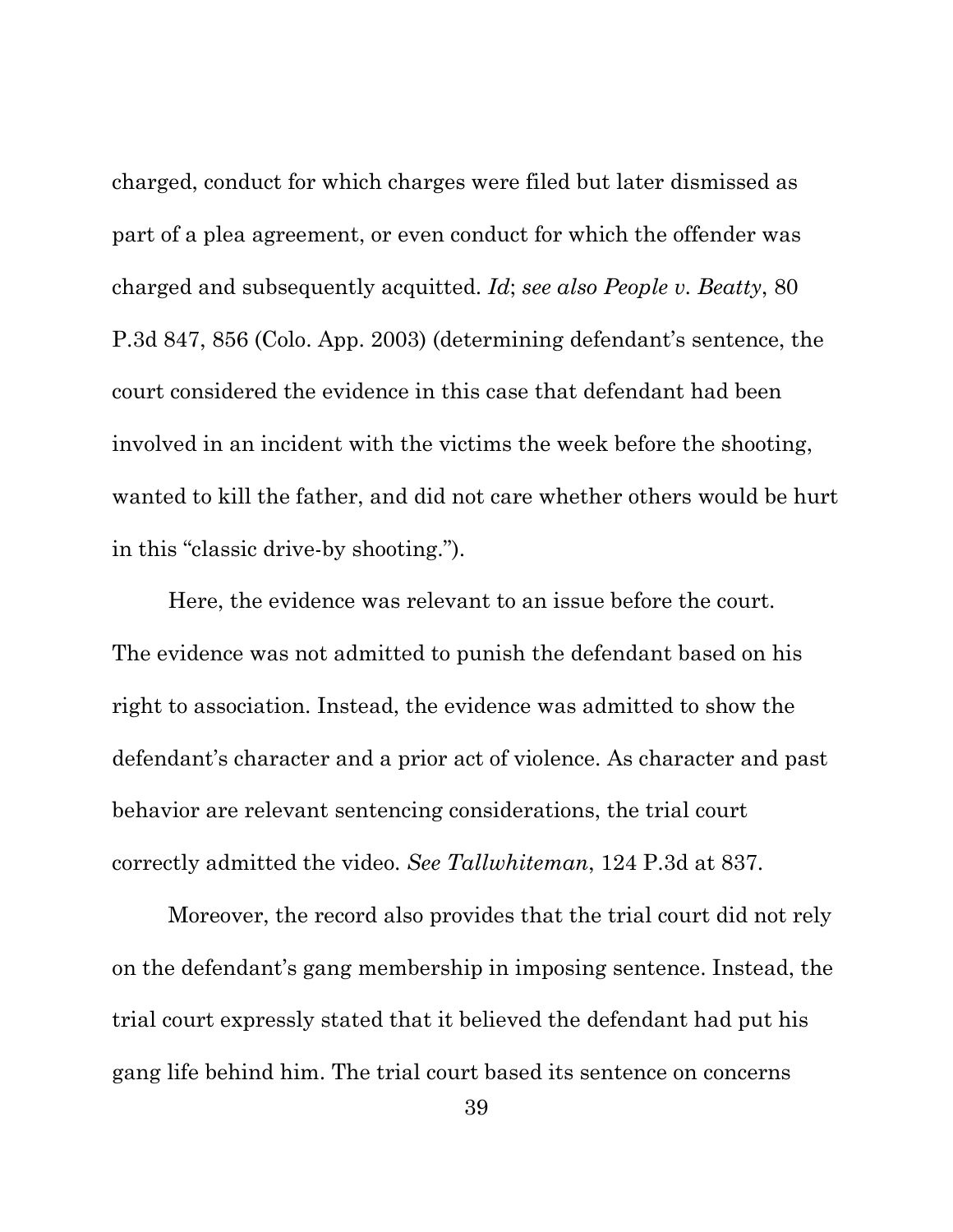charged, conduct for which charges were filed but later dismissed as part of a plea agreement, or even conduct for which the offender was charged and subsequently acquitted. *Id*; *see also People v. Beatty*, 80 P.3d 847, 856 (Colo. App. 2003) (determining defendant's sentence, the court considered the evidence in this case that defendant had been involved in an incident with the victims the week before the shooting, wanted to kill the father, and did not care whether others would be hurt in this "classic drive-by shooting.").

Here, the evidence was relevant to an issue before the court. The evidence was not admitted to punish the defendant based on his right to association. Instead, the evidence was admitted to show the defendant's character and a prior act of violence. As character and past behavior are relevant sentencing considerations, the trial court correctly admitted the video. *See Tallwhiteman*, 124 P.3d at 837.

Moreover, the record also provides that the trial court did not rely on the defendant's gang membership in imposing sentence. Instead, the trial court expressly stated that it believed the defendant had put his gang life behind him. The trial court based its sentence on concerns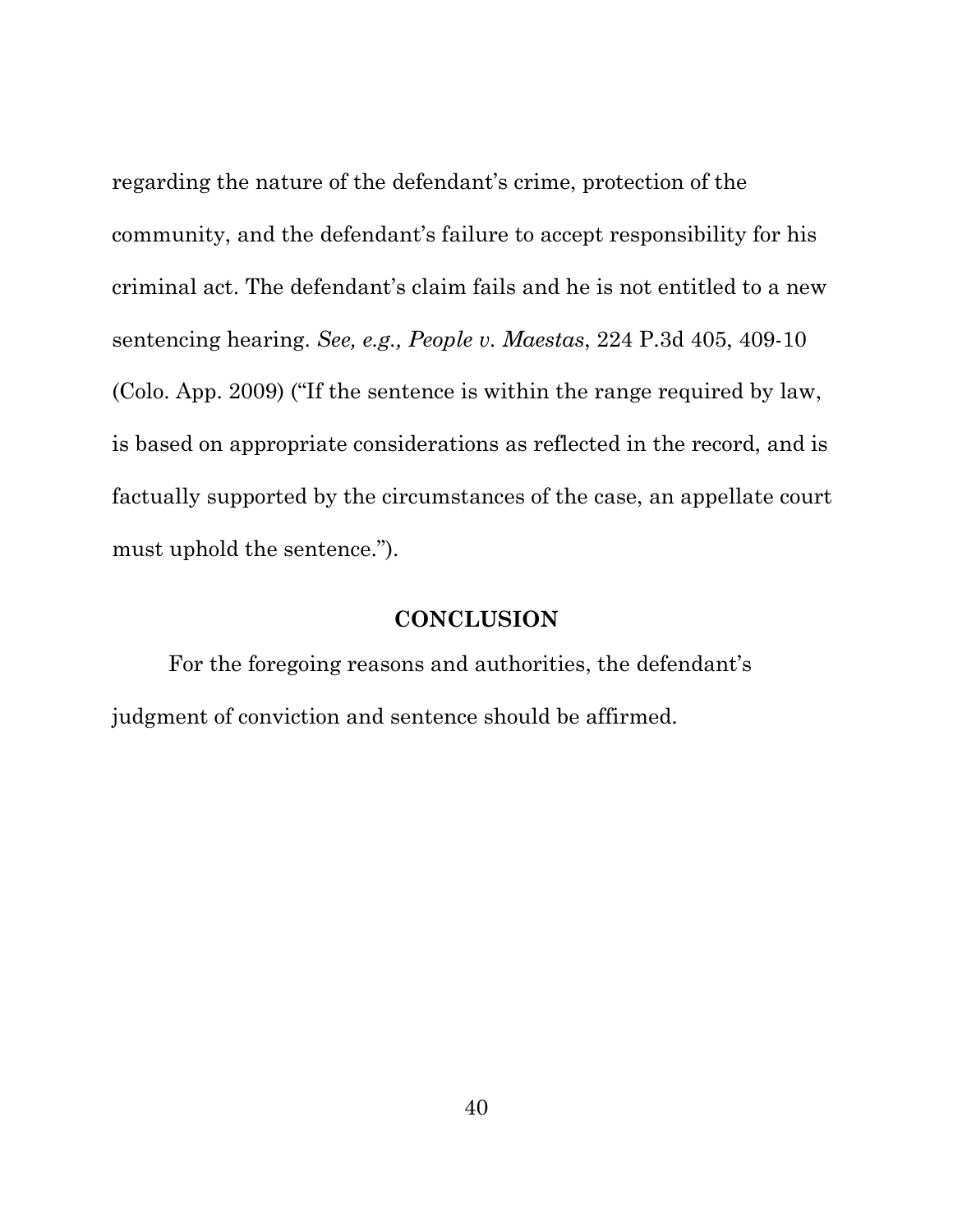regarding the nature of the defendant's crime, protection of the community, and the defendant's failure to accept responsibility for his criminal act. The defendant's claim fails and he is not entitled to a new sentencing hearing. *See, e.g., People v. Maestas*, 224 P.3d 405, 409-10 (Colo. App. 2009) ("If the sentence is within the range required by law, is based on appropriate considerations as reflected in the record, and is factually supported by the circumstances of the case, an appellate court must uphold the sentence.").

#### **CONCLUSION**

For the foregoing reasons and authorities, the defendant's judgment of conviction and sentence should be affirmed.